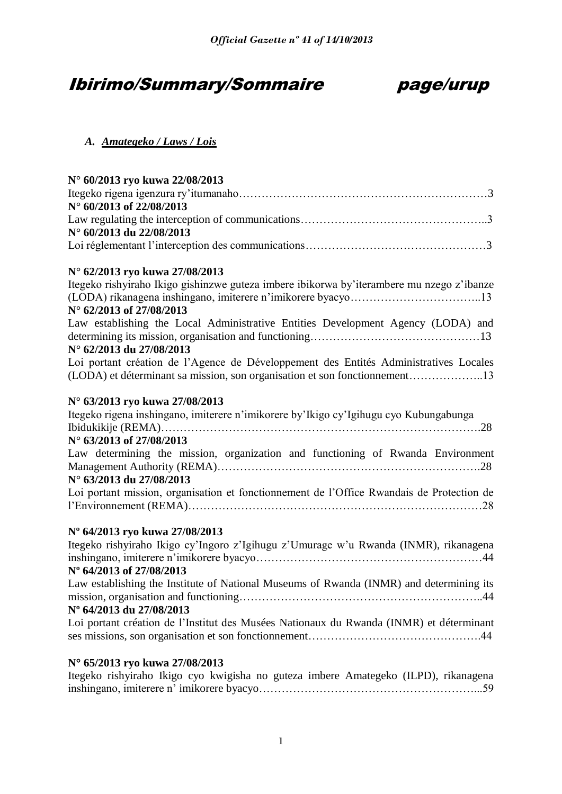# Ibirimo/Summary/Sommaire page/urup



#### *A. Amategeko / Laws / Lois*

| N° 60/2013 ryo kuwa 22/08/2013                                                            |
|-------------------------------------------------------------------------------------------|
|                                                                                           |
| N° 60/2013 of 22/08/2013                                                                  |
|                                                                                           |
| N° 60/2013 du 22/08/2013                                                                  |
|                                                                                           |
| N° 62/2013 ryo kuwa 27/08/2013                                                            |
| Itegeko rishyiraho Ikigo gishinzwe guteza imbere ibikorwa by'iterambere mu nzego z'ibanze |
|                                                                                           |
| N° 62/2013 of 27/08/2013                                                                  |
| Law establishing the Local Administrative Entities Development Agency (LODA) and          |
|                                                                                           |
| N° 62/2013 du 27/08/2013                                                                  |
| Loi portant création de l'Agence de Développement des Entités Administratives Locales     |
| (LODA) et déterminant sa mission, son organisation et son fonctionnement13                |
| N° 63/2013 ryo kuwa 27/08/2013                                                            |
| Itegeko rigena inshingano, imiterere n'imikorere by'Ikigo cy'Igihugu cyo Kubungabunga     |
|                                                                                           |
| N° 63/2013 of 27/08/2013                                                                  |
| Law determining the mission, organization and functioning of Rwanda Environment           |
|                                                                                           |
| N° 63/2013 du 27/08/2013                                                                  |
| Loi portant mission, organisation et fonctionnement de l'Office Rwandais de Protection de |
|                                                                                           |
| Nº 64/2013 ryo kuwa 27/08/2013                                                            |
| Itegeko rishyiraho Ikigo cy'Ingoro z'Igihugu z'Umurage w'u Rwanda (INMR), rikanagena      |
|                                                                                           |
| N° 64/2013 of 27/08/2013                                                                  |
| Law establishing the Institute of National Museums of Rwanda (INMR) and determining its   |
|                                                                                           |
| Nº 64/2013 du 27/08/2013                                                                  |
| Loi portant création de l'Institut des Musées Nationaux du Rwanda (INMR) et déterminant   |
|                                                                                           |

## **N 65/2013 ryo kuwa 27/08/2013**

|  |  |  |  | Itegeko rishyiraho Ikigo cyo kwigisha no guteza imbere Amategeko (ILPD), rikanagena |  |
|--|--|--|--|-------------------------------------------------------------------------------------|--|
|  |  |  |  |                                                                                     |  |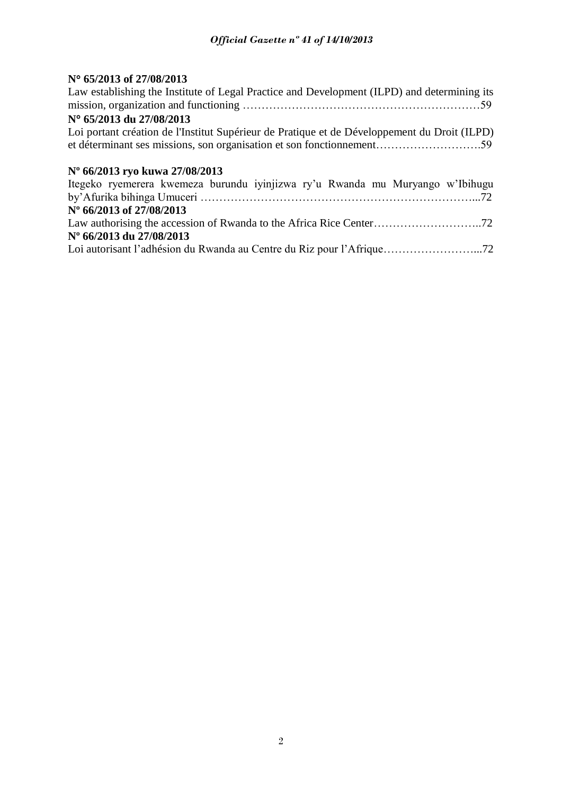#### **N 65/2013 of 27/08/2013**

| Law establishing the Institute of Legal Practice and Development (ILPD) and determining its  |
|----------------------------------------------------------------------------------------------|
|                                                                                              |
| N° 65/2013 du 27/08/2013                                                                     |
| Loi portant création de l'Institut Supérieur de Pratique et de Développement du Droit (ILPD) |
|                                                                                              |
|                                                                                              |
| N° 66/2013 ryo kuwa 27/08/2013                                                               |
| Itegeko ryemerera kwemeza burundu iyinjizwa ry'u Rwanda mu Muryango w'Ibihugu                |
|                                                                                              |
| N° 66/2013 of 27/08/2013                                                                     |
|                                                                                              |
|                                                                                              |

#### **Nº 66/2013 du 27/08/2013**

Loi autorisant l'adhésion du Rwanda au Centre du Riz pour l'Afrique……………………...72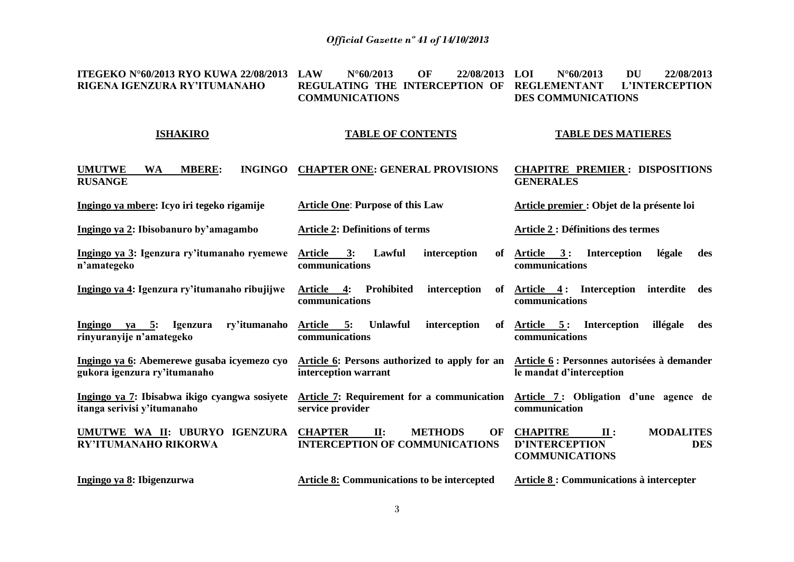**ITEGEKO N°60/2013 RYO KUWA 22/08/2013 RIGENA IGENZURA RY'ITUMANAHO LAW N°60/2013 OF 22/08/2013 REGULATING THE INTERCEPTION OF REGLEMENTANT L'INTERCEPTION COMMUNICATIONS LOI N°60/2013 DU 22/08/2013 DES COMMUNICATIONS**

#### **ISHAKIRO**

#### **TABLE OF CONTENTS**

#### **TABLE DES MATIERES**

| <b>UMUTWE</b><br><b>MBERE:</b><br><b>INGINGO</b><br><b>WA</b><br><b>RUSANGE</b> | <b>CHAPTER ONE: GENERAL PROVISIONS</b>                                                                           | <b>CHAPITRE PREMIER: DISPOSITIONS</b><br><b>GENERALES</b>                                                              |
|---------------------------------------------------------------------------------|------------------------------------------------------------------------------------------------------------------|------------------------------------------------------------------------------------------------------------------------|
| Ingingo ya mbere: Icyo iri tegeko rigamije                                      | <b>Article One: Purpose of this Law</b>                                                                          | Article premier : Objet de la présente loi                                                                             |
| Ingingo ya 2: Ibisobanuro by'amagambo                                           | <b>Article 2: Definitions of terms</b>                                                                           | <b>Article 2 : Définitions des termes</b>                                                                              |
| Ingingo ya 3: Igenzura ry'itumanaho ryemewe<br>n'amategeko                      | Article<br>interception<br>3:<br>Lawful<br>of<br>communications                                                  | Article 3: Interception<br>légale<br>des<br>communications                                                             |
| Ingingo ya 4: Igenzura ry'itumanaho ribujijwe                                   | Prohibited<br>Article 4:<br>interception<br>communications                                                       | of $Article 4: Interception$<br>interdite<br>des<br>communications                                                     |
| Ingingo ya 5: Igenzura<br>ry'itumanaho<br>rinyuranyije n'amategeko              | Article 5:<br><b>Unlawful</b><br>interception<br>of<br>communications                                            | Article 5: Interception<br>illégale<br>des<br>communications                                                           |
| Ingingo ya 6: Abemerewe gusaba icyemezo cyo<br>gukora igenzura ry'itumanaho     | Article 6: Persons authorized to apply for an Article 6: Personnes autorisées à demander<br>interception warrant | le mandat d'interception                                                                                               |
| Ingingo ya 7: Ibisabwa ikigo cyangwa sosiyete<br>itanga serivisi y'itumanaho    | Article 7: Requirement for a communication Article 7: Obligation d'une agence de<br>service provider             | communication                                                                                                          |
| UMUTWE WA II: UBURYO IGENZURA<br>RY'ITUMANAHO RIKORWA                           | <b>CHAPTER</b><br><b>METHODS</b><br>$\mathbf{II}$ :<br>OF<br><b>INTERCEPTION OF COMMUNICATIONS</b>               | <b>MODALITES</b><br><b>CHAPITRE</b><br>$\mathbf{II}$ :<br><b>D'INTERCEPTION</b><br><b>DES</b><br><b>COMMUNICATIONS</b> |
| Ingingo ya 8: Ibigenzurwa                                                       | <b>Article 8:</b> Communications to be intercepted                                                               | Article 8 : Communications à intercepter                                                                               |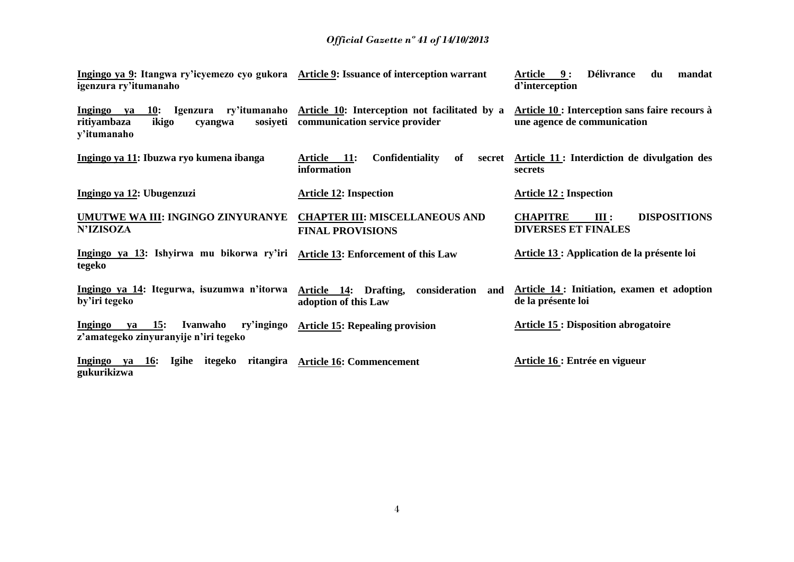| Ingingo ya 9: Itangwa ry'icyemezo cyo gukora Article 9: Issuance of interception warrant<br>igenzura ry'itumanaho  |                                                                                 | <b>Délivrance</b><br><b>Article</b><br>9:<br>du<br>mandat<br>d'interception   |
|--------------------------------------------------------------------------------------------------------------------|---------------------------------------------------------------------------------|-------------------------------------------------------------------------------|
| Ingingo<br>Igenzura ry'itumanaho<br><b>10:</b><br>va<br>ikigo<br>sosiyeti<br>ritiyambaza<br>cyangwa<br>y'itumanaho | Article 10: Interception not facilitated by a<br>communication service provider | Article 10 : Interception sans faire recours à<br>une agence de communication |
| Ingingo ya 11: Ibuzwa ryo kumena ibanga                                                                            | <b>Confidentiality</b><br><b>11:</b><br>of<br>Article<br>secret<br>information  | Article 11 : Interdiction de divulgation des<br>secrets                       |
| Ingingo ya 12: Ubugenzuzi                                                                                          | <b>Article 12: Inspection</b>                                                   | <b>Article 12 : Inspection</b>                                                |
| UMUTWE WA III: INGINGO ZINYURANYE<br><b>N'IZISOZA</b>                                                              | <b>CHAPTER III: MISCELLANEOUS AND</b><br><b>FINAL PROVISIONS</b>                | <b>CHAPITRE</b><br><b>DISPOSITIONS</b><br>III:<br><b>DIVERSES ET FINALES</b>  |
| Ingingo ya 13: Ishyirwa mu bikorwa ry'iri<br>tegeko                                                                | <b>Article 13: Enforcement of this Law</b>                                      | Article 13 : Application de la présente loi                                   |
| Ingingo ya 14: Itegurwa, isuzumwa n'itorwa<br>by'iri tegeko                                                        | Drafting,<br>consideration<br>Article 14:<br>and<br>adoption of this Law        | Article 14: Initiation, examen et adoption<br>de la présente loi              |
| 15:<br>Ingingo<br>Ivanwaho<br>ry'ingingo<br>va<br>z'amategeko zinyuranyije n'iri tegeko                            | <b>Article 15: Repealing provision</b>                                          | <b>Article 15: Disposition abrogatoire</b>                                    |
| ritangira<br>Ingingo<br><b>16:</b><br>Igihe<br>itegeko<br>va<br>gukurikizwa                                        | <b>Article 16: Commencement</b>                                                 | Article 16 : Entrée en vigueur                                                |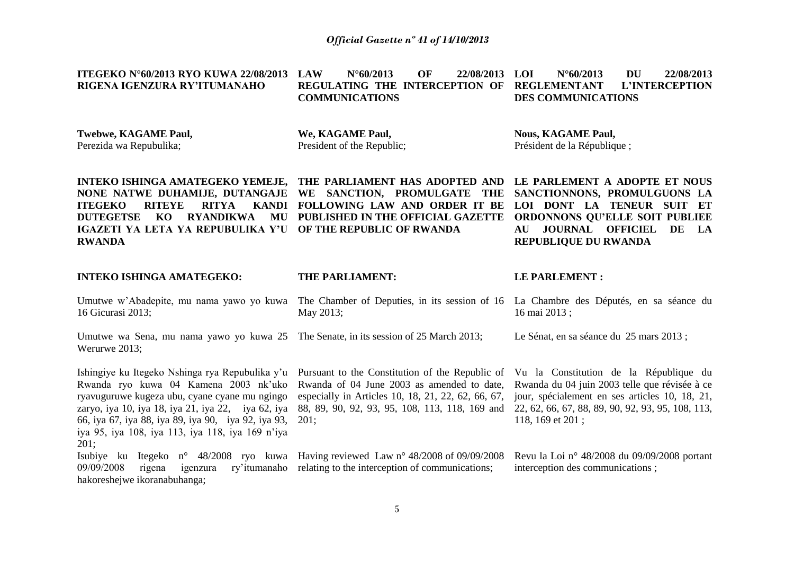N°60/2013 OF 22/08/2013 LOI

**LOI N°60/2013 DU 22/08/2013** 

**ITEGEKO N°60/2013 RYO KUWA 22/08/2013** 

| RIGENA IGENZURA RY'ITUMANAHO                                                                                                                                                                                                                                                                                       | REGULATING THE INTERCEPTION OF<br><b>COMMUNICATIONS</b>                                                                                                                                                       | <b>REGLEMENTANT</b><br>L'INTERCEPTION<br><b>DES COMMUNICATIONS</b>                                                                                                                                                 |
|--------------------------------------------------------------------------------------------------------------------------------------------------------------------------------------------------------------------------------------------------------------------------------------------------------------------|---------------------------------------------------------------------------------------------------------------------------------------------------------------------------------------------------------------|--------------------------------------------------------------------------------------------------------------------------------------------------------------------------------------------------------------------|
| Twebwe, KAGAME Paul,<br>Perezida wa Repubulika;                                                                                                                                                                                                                                                                    | We, KAGAME Paul,<br>President of the Republic;                                                                                                                                                                | <b>Nous, KAGAME Paul,</b><br>Président de la République;                                                                                                                                                           |
| INTEKO ISHINGA AMATEGEKO YEMEJE, THE PARLIAMENT HAS ADOPTED AND<br>NONE NATWE DUHAMIJE, DUTANGAJE<br><b>ITEGEKO</b><br><b>RITEYE</b><br><b>RITYA</b><br><b>KANDI</b><br><b>DUTEGETSE</b><br>KO<br><b>RYANDIKWA</b><br>MU<br>IGAZETI YA LETA YA REPUBULIKA Y'U<br><b>RWANDA</b>                                     | WE SANCTION, PROMULGATE THE<br>FOLLOWING LAW AND ORDER IT BE<br>PUBLISHED IN THE OFFICIAL GAZETTE<br>OF THE REPUBLIC OF RWANDA                                                                                | LE PARLEMENT A ADOPTE ET NOUS<br>SANCTIONNONS, PROMULGUONS LA<br>LOI DONT LA TENEUR SUIT ET<br>ORDONNONS QU'ELLE SOIT PUBLIEE<br>JOURNAL OFFICIEL<br>DE<br>LA<br>${\bf AU}$<br><b>REPUBLIQUE DU RWANDA</b>         |
| <b>INTEKO ISHINGA AMATEGEKO:</b>                                                                                                                                                                                                                                                                                   | THE PARLIAMENT:                                                                                                                                                                                               | <b>LE PARLEMENT:</b>                                                                                                                                                                                               |
| Umutwe w'Abadepite, mu nama yawo yo kuwa<br>16 Gicurasi 2013;                                                                                                                                                                                                                                                      | The Chamber of Deputies, in its session of 16 La Chambre des Députés, en sa séance du<br>May 2013;                                                                                                            | 16 mai 2013;                                                                                                                                                                                                       |
| Umutwe wa Sena, mu nama yawo yo kuwa 25 The Senate, in its session of 25 March 2013;<br>Werurwe 2013;                                                                                                                                                                                                              |                                                                                                                                                                                                               | Le Sénat, en sa séance du 25 mars 2013 ;                                                                                                                                                                           |
| Ishingiye ku Itegeko Nshinga rya Repubulika y'u<br>Rwanda ryo kuwa 04 Kamena 2003 nk'uko<br>ryavuguruwe kugeza ubu, cyane cyane mu ngingo<br>zaryo, iya 10, iya 18, iya 21, iya 22, iya 62, iya<br>66, iya 67, iya 88, iya 89, iya 90, iya 92, iya 93,<br>iya 95, iya 108, iya 113, iya 118, iya 169 n'iya<br>201: | Pursuant to the Constitution of the Republic of<br>Rwanda of 04 June 2003 as amended to date,<br>especially in Articles 10, 18, 21, 22, 62, 66, 67,<br>88, 89, 90, 92, 93, 95, 108, 113, 118, 169 and<br>201; | Vu la Constitution de la République du<br>Rwanda du 04 juin 2003 telle que révisée à ce<br>jour, spécialement en ses articles 10, 18, 21,<br>22, 62, 66, 67, 88, 89, 90, 92, 93, 95, 108, 113,<br>118, 169 et 201; |
| Isubiye ku Itegeko n° 48/2008 ryo kuwa Having reviewed Law n° 48/2008 of 09/09/2008<br>09/09/2008<br>rigena<br>igenzura<br>hakoreshejwe ikoranabuhanga;                                                                                                                                                            | ry'itumanaho relating to the interception of communications;                                                                                                                                                  | Revu la Loi nº 48/2008 du 09/09/2008 portant<br>interception des communications;                                                                                                                                   |
|                                                                                                                                                                                                                                                                                                                    |                                                                                                                                                                                                               |                                                                                                                                                                                                                    |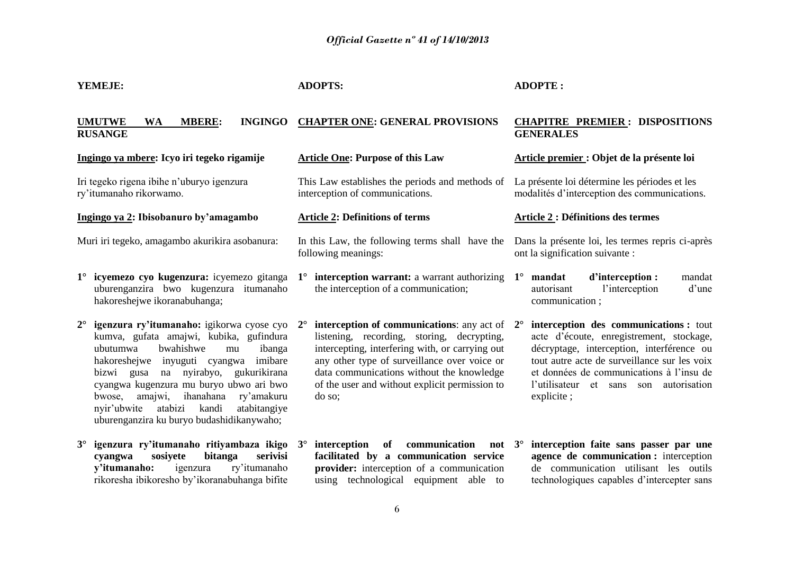| YEMEJE:                                                                                                                                                                                                                                                                                                                                                                                                                        | <b>ADOPTS:</b>                                                                                                                                                                                                                                                                                                                       | <b>ADOPTE:</b>                                                                                                                                                                                                                                                                      |  |  |
|--------------------------------------------------------------------------------------------------------------------------------------------------------------------------------------------------------------------------------------------------------------------------------------------------------------------------------------------------------------------------------------------------------------------------------|--------------------------------------------------------------------------------------------------------------------------------------------------------------------------------------------------------------------------------------------------------------------------------------------------------------------------------------|-------------------------------------------------------------------------------------------------------------------------------------------------------------------------------------------------------------------------------------------------------------------------------------|--|--|
| <b>UMUTWE</b><br><b>WA</b><br><b>MBERE:</b><br><b>INGINGO</b><br><b>RUSANGE</b>                                                                                                                                                                                                                                                                                                                                                | <b>CHAPTER ONE: GENERAL PROVISIONS</b>                                                                                                                                                                                                                                                                                               | <b>CHAPITRE PREMIER: DISPOSITIONS</b><br><b>GENERALES</b>                                                                                                                                                                                                                           |  |  |
| Ingingo ya mbere: Icyo iri tegeko rigamije                                                                                                                                                                                                                                                                                                                                                                                     | <b>Article One: Purpose of this Law</b>                                                                                                                                                                                                                                                                                              | Article premier : Objet de la présente loi                                                                                                                                                                                                                                          |  |  |
| Iri tegeko rigena ibihe n'uburyo igenzura<br>ry'itumanaho rikorwamo.                                                                                                                                                                                                                                                                                                                                                           | This Law establishes the periods and methods of<br>interception of communications.                                                                                                                                                                                                                                                   | La présente loi détermine les périodes et les<br>modalités d'interception des communications.                                                                                                                                                                                       |  |  |
| Ingingo ya 2: Ibisobanuro by'amagambo                                                                                                                                                                                                                                                                                                                                                                                          | <b>Article 2: Definitions of terms</b>                                                                                                                                                                                                                                                                                               | <b>Article 2 : Définitions des termes</b>                                                                                                                                                                                                                                           |  |  |
| Muri iri tegeko, amagambo akurikira asobanura:                                                                                                                                                                                                                                                                                                                                                                                 | In this Law, the following terms shall have the<br>following meanings:                                                                                                                                                                                                                                                               | Dans la présente loi, les termes repris ci-après<br>ont la signification suivante :                                                                                                                                                                                                 |  |  |
| 1° icyemezo cyo kugenzura: icyemezo gitanga<br>uburenganzira bwo kugenzura itumanaho<br>hakoreshejwe ikoranabuhanga;                                                                                                                                                                                                                                                                                                           | interception warrant: a warrant authorizing<br>$1^{\circ}$<br>the interception of a communication;                                                                                                                                                                                                                                   | mandat<br>d'interception :<br>$1^{\circ}$<br>mandat<br>l'interception<br>d'une<br>autorisant<br>communication;                                                                                                                                                                      |  |  |
| igenzura ry'itumanaho: igikorwa cyose cyo<br>$2^{\circ}$<br>kumva, gufata amajwi, kubika, gufindura<br>bwahishwe<br>ibanga<br>ubutumwa<br>mu<br>hakoreshejwe inyuguti cyangwa imibare<br>na nyirabyo,<br>bizwi gusa<br>gukurikirana<br>cyangwa kugenzura mu buryo ubwo ari bwo<br>amajwi,<br>ihanahana<br>ry'amakuru<br>bwose,<br>atabizi<br>atabitangiye<br>kandi<br>nyir'ubwite<br>uburenganzira ku buryo budashidikanywaho; | <b>interception of communications:</b> any act of $2^\circ$<br>$2^{\circ}$<br>listening, recording, storing, decrypting,<br>intercepting, interfering with, or carrying out<br>any other type of surveillance over voice or<br>data communications without the knowledge<br>of the user and without explicit permission to<br>do so; | interception des communications : tout<br>acte d'écoute, enregistrement, stockage,<br>décryptage, interception, interférence ou<br>tout autre acte de surveillance sur les voix<br>et données de communications à l'insu de<br>l'utilisateur et sans son autorisation<br>explicite; |  |  |
| igenzura ry'itumanaho ritiyambaza ikigo<br>$3^\circ$<br>sosiyete<br>bitanga<br>serivisi<br>cyangwa<br>y'itumanaho:<br>ry'itumanaho<br>igenzura<br>rikoresha ibikoresho by'ikoranabuhanga bifite                                                                                                                                                                                                                                | communication<br>of<br>$3^\circ$<br>interception<br>not $3^\circ$<br>facilitated by a communication service<br>provider: interception of a communication<br>using technological equipment able to                                                                                                                                    | interception faite sans passer par une<br>agence de communication : interception<br>de communication utilisant les outils<br>technologiques capables d'intercepter sans                                                                                                             |  |  |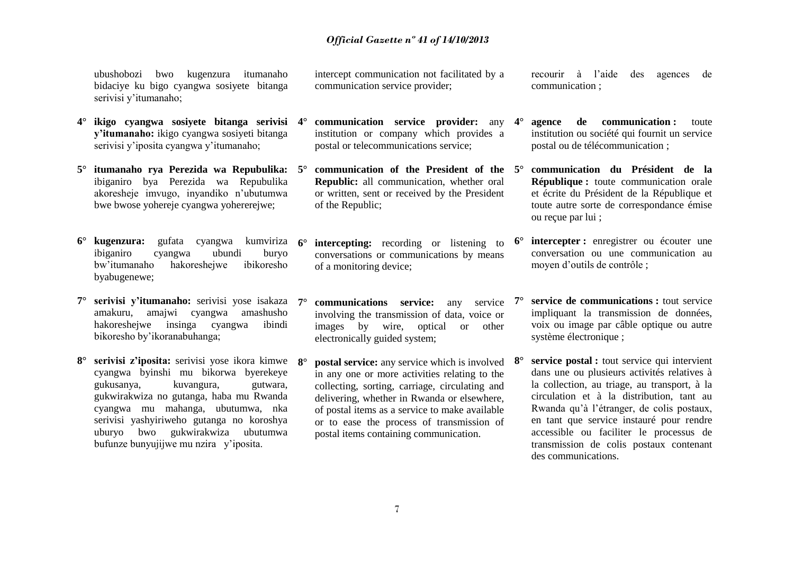ubushobozi bwo kugenzura itumanaho bidaciye ku bigo cyangwa sosiyete bitanga serivisi y'itumanaho;

- **4° ikigo cyangwa sosiyete bitanga serivisi y'itumanaho:** ikigo cyangwa sosiyeti bitanga serivisi y'iposita cyangwa y'itumanaho;
- **5° itumanaho rya Perezida wa Repubulika:** ibiganiro bya Perezida wa Repubulika akoresheje imvugo, inyandiko n'ubutumwa bwe bwose yohereje cyangwa yohererejwe;
- **6° kugenzura:** gufata cyangwa kumviriza ibiganiro cyangwa ubundi buryo bw'itumanaho hakoreshejwe ibikoresho byabugenewe;
- **7° serivisi y'itumanaho:** serivisi yose isakaza amakuru, amajwi cyangwa amashusho hakoreshejwe insinga cyangwa ibindi bikoresho by'ikoranabuhanga;
- **8° serivisi z'iposita:** serivisi yose ikora kimwe cyangwa byinshi mu bikorwa byerekeye gukusanya, kuvangura, gutwara, gukwirakwiza no gutanga, haba mu Rwanda cyangwa mu mahanga, ubutumwa, nka serivisi yashyiriweho gutanga no koroshya uburyo bwo gukwirakwiza ubutumwa bufunze bunyujijwe mu nzira y'iposita.

intercept communication not facilitated by a communication service provider;

- **4° communication service provider:** any institution or company which provides a postal or telecommunications service;
- **5° communication of the President of the Republic:** all communication, whether oral or written, sent or received by the President of the Republic;
- **intercepting:** recording or listening to  $\mathbf{6}^{\circ}$ conversations or communications by means of a monitoring device;
- *<u>communications</u> service:* any service involving the transmission of data, voice or images by wire, optical or other electronically guided system;
- **postal service:** any service which is involved  $8^\circ$ in any one or more activities relating to the collecting, sorting, carriage, circulating and delivering, whether in Rwanda or elsewhere, of postal items as a service to make available or to ease the process of transmission of postal items containing communication.

recourir à l'aide des agences de communication ;

- **agence de communication :** toute institution ou société qui fournit un service postal ou de télécommunication ;
- **5° communication du Président de la République :** toute communication orale et écrite du Président de la République et toute autre sorte de correspondance émise ou reçue par lui ;
- **intercepter :** enregistrer ou écouter une conversation ou une communication au moyen d'outils de contrôle ;
- **7° service de communications :** tout service impliquant la transmission de données, voix ou image par câble optique ou autre système électronique ;
- **service postal** : tout service qui intervient dans une ou plusieurs activités relatives à la collection, au triage, au transport, à la circulation et à la distribution, tant au Rwanda qu'à l'étranger, de colis postaux, en tant que service instauré pour rendre accessible ou faciliter le processus de transmission de colis postaux contenant des communications.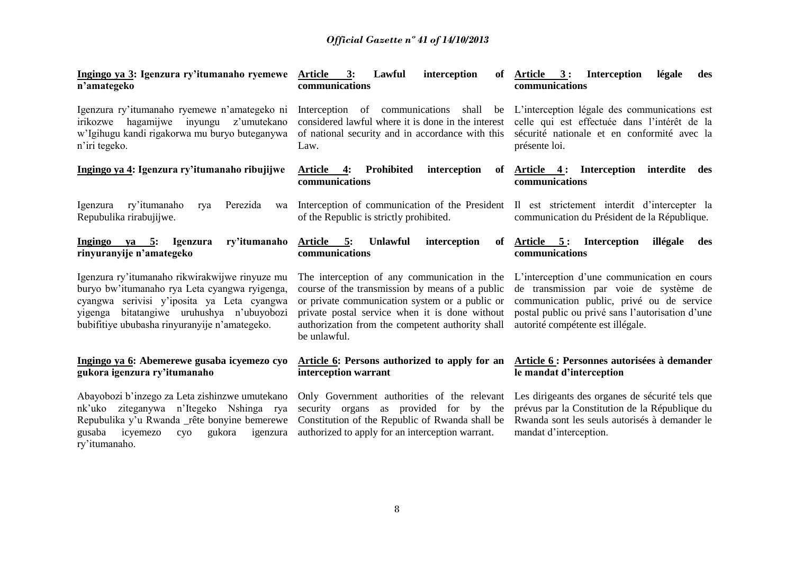| Ingingo ya 3: Igenzura ry'itumanaho ryemewe<br>n'amategeko                                                                                                                                                                                  | 3:<br>Lawful<br><b>Article</b><br>interception<br>-of<br>communications                                                                                                                                                                                                 | Article 3:<br><b>Interception</b><br>légale<br>des<br>communications                                                                                                                                                        |
|---------------------------------------------------------------------------------------------------------------------------------------------------------------------------------------------------------------------------------------------|-------------------------------------------------------------------------------------------------------------------------------------------------------------------------------------------------------------------------------------------------------------------------|-----------------------------------------------------------------------------------------------------------------------------------------------------------------------------------------------------------------------------|
| Igenzura ry'itumanaho ryemewe n'amategeko ni<br>hagamijwe<br>inyungu<br>irikozwe<br>z'umutekano<br>w'Igihugu kandi rigakorwa mu buryo buteganywa<br>n'iri tegeko.                                                                           | Interception of communications shall be L'interception légale des communications est<br>considered lawful where it is done in the interest<br>of national security and in accordance with this<br>Law.                                                                  | celle qui est effectuée dans l'intérêt de la<br>sécurité nationale et en conformité avec la<br>présente loi.                                                                                                                |
| Ingingo ya 4: Igenzura ry'itumanaho ribujijwe                                                                                                                                                                                               | Article 4:<br>Prohibited<br>interception<br>communications                                                                                                                                                                                                              | of <u>Article 4</u> : Interception<br>interdite<br>des<br>communications                                                                                                                                                    |
| Igenzura<br>ry'itumanaho<br>Perezida<br>rya<br>wa<br>Repubulika rirabujijwe.                                                                                                                                                                | Interception of communication of the President II est strictement interdit d'intercepter la<br>of the Republic is strictly prohibited.                                                                                                                                  | communication du Président de la République.                                                                                                                                                                                |
| Ingingo ya 5: Igenzura<br>ry'itumanaho<br>rinyuranyije n'amategeko                                                                                                                                                                          | Article 5:<br><b>Unlawful</b><br>interception<br>of<br>communications                                                                                                                                                                                                   | Article 5: Interception<br>illégale<br>des<br>communications                                                                                                                                                                |
| Igenzura ry'itumanaho rikwirakwijwe rinyuze mu<br>buryo bw'itumanaho rya Leta cyangwa ryigenga,<br>cyangwa serivisi y'iposita ya Leta cyangwa<br>yigenga bitatangiwe uruhushya n'ubuyobozi<br>bubifitiye ububasha rinyuranyije n'amategeko. | The interception of any communication in the<br>course of the transmission by means of a public<br>or private communication system or a public or<br>private postal service when it is done without<br>authorization from the competent authority shall<br>be unlawful. | L'interception d'une communication en cours<br>de transmission par voie de système de<br>communication public, privé ou de service<br>postal public ou privé sans l'autorisation d'une<br>autorité compétente est illégale. |
| Ingingo ya 6: Abemerewe gusaba icyemezo cyo<br>gukora igenzura ry'itumanaho                                                                                                                                                                 | Article 6: Persons authorized to apply for an<br>interception warrant                                                                                                                                                                                                   | Article 6 : Personnes autorisées à demander<br>le mandat d'interception                                                                                                                                                     |
| Abayobozi b'inzego za Leta zishinzwe umutekano<br>ziteganywa n'Itegeko Nshinga rya<br>nk'uko<br>Repubulika y'u Rwanda _rête bonyine bemerewe<br>gusaba<br>icyemezo<br>gukora<br>igenzura<br>cyo<br>ry'itumanaho.                            | Only Government authorities of the relevant<br>security organs as provided for by the<br>Constitution of the Republic of Rwanda shall be<br>authorized to apply for an interception warrant.                                                                            | Les dirigeants des organes de sécurité tels que<br>prévus par la Constitution de la République du<br>Rwanda sont les seuls autorisés à demander le<br>mandat d'interception.                                                |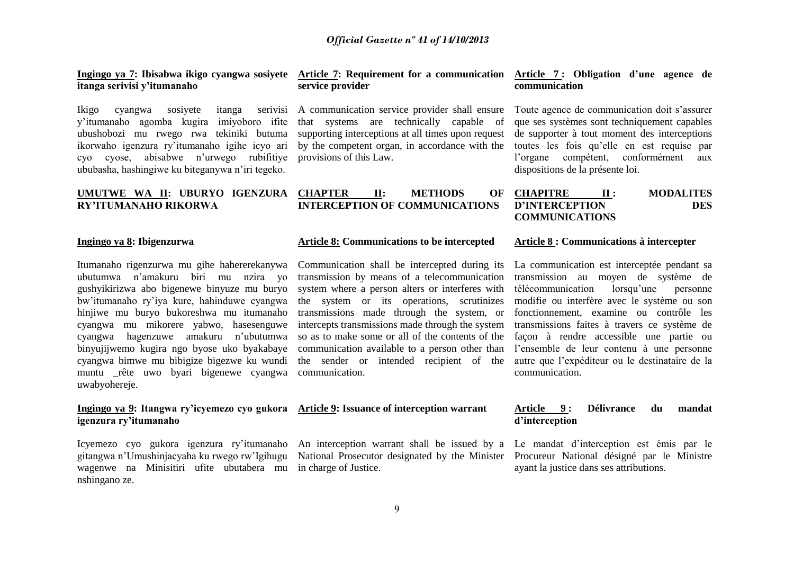**Ingingo ya 7: Ibisabwa ikigo cyangwa sosiyete Article 7: Requirement for a communication Article 7 : Obligation d'une agence de itanga serivisi y'itumanaho**

Ikigo cyangwa sosiyete itanga y'itumanaho agomba kugira imiyoboro ifite ubushobozi mu rwego rwa tekiniki butuma ikorwaho igenzura ry'itumanaho igihe icyo ari cyo cyose, abisabwe n'urwego rubifitiye ububasha, hashingiwe ku biteganywa n'iri tegeko.

#### **UMUTWE WA II: UBURYO IGENZURA CHAPTER II: METHODS OF RY'ITUMANAHO RIKORWA**

#### **Ingingo ya 8: Ibigenzurwa**

Itumanaho rigenzurwa mu gihe hahererekanywa ubutumwa n'amakuru biri mu nzira yo gushyikirizwa abo bigenewe binyuze mu buryo bw'itumanaho ry'iya kure, hahinduwe cyangwa hinjiwe mu buryo bukoreshwa mu itumanaho cyangwa mu mikorere yabwo, hasesenguwe cyangwa hagenzuwe amakuru n'ubutumwa binyujijwemo kugira ngo byose uko byakabaye cyangwa bimwe mu bibigize bigezwe ku wundi muntu \_rête uwo byari bigenewe cyangwa communication. uwabyohereje.

#### **Ingingo ya 9: Itangwa ry'icyemezo cyo gukora Article 9: Issuance of interception warrant igenzura ry'itumanaho**

Icyemezo cyo gukora igenzura ry'itumanaho gitangwa n'Umushinjacyaha ku rwego rw'Igihugu wagenwe na Minisitiri ufite ubutabera mu nshingano ze.

## **service provider**

A communication service provider shall ensure that systems are technically capable of supporting interceptions at all times upon request by the competent organ, in accordance with the provisions of this Law.

#### **INTERCEPTION OF COMMUNICATIONS CHAPITRE II : MODALITES D'INTERCEPTION DES COMMUNICATIONS**

#### **Article 8: Communications to be intercepted**

Communication shall be intercepted during its transmission by means of a telecommunication system where a person alters or interferes with the system or its operations, scrutinizes transmissions made through the system, or intercepts transmissions made through the system so as to make some or all of the contents of the communication available to a person other than the sender or intended recipient of the

National Prosecutor designated by the Minister Procureur National désigné par le Ministre in charge of Justice.

## **communication**

Toute agence de communication doit s'assurer que ses systèmes sont techniquement capables de supporter à tout moment des interceptions toutes les fois qu'elle en est requise par l'organe compétent, conformément aux dispositions de la présente loi.

#### **Article 8 : Communications à intercepter**

La communication est interceptée pendant sa transmission au moyen de système de télécommunication lorsqu'une personne modifie ou interfère avec le système ou son fonctionnement, examine ou contrôle les transmissions faites à travers ce système de façon à rendre accessible une partie ou l'ensemble de leur contenu à une personne autre que l'expéditeur ou le destinataire de la communication.

#### **Article 9 : Délivrance du mandat d'interception**

An interception warrant shall be issued by a Le mandat d'interception est émis par le ayant la justice dans ses attributions.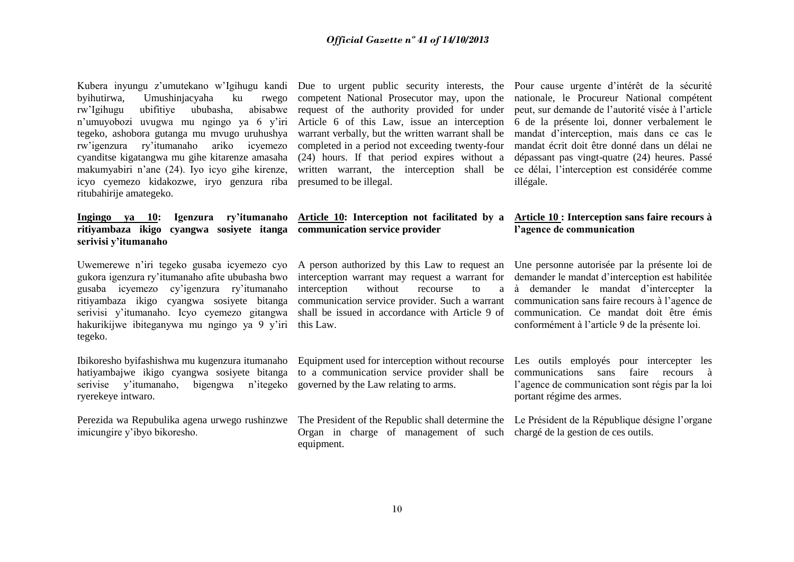Kubera inyungu z'umutekano w'Igihugu kandi Due to urgent public security interests, the Pour cause urgente d'intérêt de la sécurité byihutirwa, Umushinjacyaha ku rwego rw'Igihugu ubifitiye ububasha, n'umuyobozi uvugwa mu ngingo ya 6 y'iri tegeko, ashobora gutanga mu mvugo uruhushya rw'igenzura ry'itumanaho cyanditse kigatangwa mu gihe kitarenze amasaha makumyabiri n'ane (24). Iyo icyo gihe kirenze, icyo cyemezo kidakozwe, iryo genzura riba presumed to be illegal. ritubahirije amategeko.

## **ritiyambaza ikigo cyangwa sosiyete itanga communication service provider serivisi y'itumanaho**

gukora igenzura ry'itumanaho afite ububasha bwo gusaba icyemezo cy'igenzura ry'itumanaho ritiyambaza ikigo cyangwa sosiyete bitanga serivisi y'itumanaho. Icyo cyemezo gitangwa shall be issued in accordance with Article 9 of communication. Ce mandat doit être émis hakurikijwe ibiteganywa mu ngingo ya 9 y'iri this Law. tegeko.

Ibikoresho byifashishwa mu kugenzura itumanaho hatiyambajwe ikigo cyangwa sosiyete bitanga serivise y'itumanaho, ryerekeye intwaro.

Perezida wa Repubulika agena urwego rushinzwe The President of the Republic shall determine the Le Président de la République désigne l'organe imicungire y'ibyo bikoresho.

competent National Prosecutor may, upon the nationale, le Procureur National compétent abisabwe request of the authority provided for under Article 6 of this Law, issue an interception 6 de la présente loi, donner verbalement le warrant verbally, but the written warrant shall be mandat d'interception, mais dans ce cas le completed in a period not exceeding twenty-four (24) hours. If that period expires without a written warrant, the interception shall be

# **Ingingo ya 10: Igenzura ry'itumanaho Article 10: Interception not facilitated by a Article 10 : Interception sans faire recours à**

interception warrant may request a warrant for interception without recourse to communication service provider. Such a warrant communication sans faire recours à l'agence de

to a communication service provider shall be communications sans faire recours à bigengwa n'itegeko governed by the Law relating to arms.

> Organ in charge of management of such chargé de la gestion de ces outils. equipment.

peut, sur demande de l'autorité visée à l'article mandat écrit doit être donné dans un délai ne dépassant pas vingt-quatre (24) heures. Passé ce délai, l'interception est considérée comme illégale.

## **l'agence de communication**

Uwemerewe n'iri tegeko gusaba icyemezo cyo A person authorized by this Law to request an Une personne autorisée par la présente loi de demander le mandat d'interception est habilitée à demander le mandat d'intercepter la conformément à l'article 9 de la présente loi.

> Equipment used for interception without recourse Les outils employés pour intercepter les l'agence de communication sont régis par la loi portant régime des armes.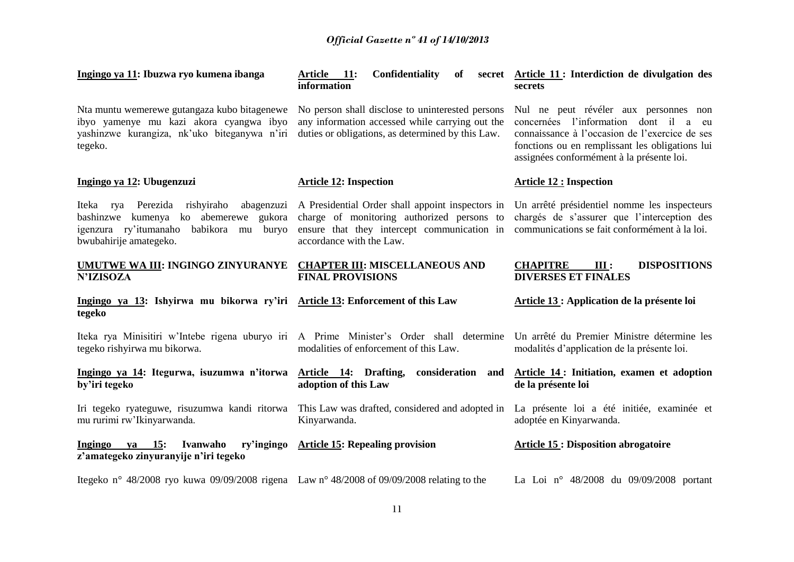| Ingingo ya 11: Ibuzwa ryo kumena ibanga                                                                                                                         | <b>Article</b><br>11:<br><b>Confidentiality</b><br>of<br>information                                                                                                      | secret Article 11 : Interdiction de divulgation des<br><b>secrets</b>                                                                                                                                                               |
|-----------------------------------------------------------------------------------------------------------------------------------------------------------------|---------------------------------------------------------------------------------------------------------------------------------------------------------------------------|-------------------------------------------------------------------------------------------------------------------------------------------------------------------------------------------------------------------------------------|
| Nta muntu wemerewe gutangaza kubo bitagenewe<br>ibyo yamenye mu kazi akora cyangwa ibyo<br>yashinzwe kurangiza, nk'uko biteganywa n'iri<br>tegeko.              | No person shall disclose to uninterested persons<br>any information accessed while carrying out the<br>duties or obligations, as determined by this Law.                  | Nul ne peut révéler aux personnes non<br>concernées l'information dont il<br>a eu<br>connaissance à l'occasion de l'exercice de ses<br>fonctions ou en remplissant les obligations lui<br>assignées conformément à la présente loi. |
| Ingingo ya 12: Ubugenzuzi                                                                                                                                       | <b>Article 12: Inspection</b>                                                                                                                                             | <b>Article 12 : Inspection</b>                                                                                                                                                                                                      |
| Perezida<br>rishyiraho abagenzuzi<br>Iteka rya<br>bashinzwe kumenya ko abemerewe gukora<br>igenzura ry'itumanaho<br>babikora mu buryo<br>bwubahirije amategeko. | A Presidential Order shall appoint inspectors in<br>charge of monitoring authorized persons to<br>ensure that they intercept communication in<br>accordance with the Law. | Un arrêté présidentiel nomme les inspecteurs<br>chargés de s'assurer que l'interception des<br>communications se fait conformément à la loi.                                                                                        |
| UMUTWE WA III: INGINGO ZINYURANYE<br><b>N'IZISOZA</b>                                                                                                           | <b>CHAPTER III: MISCELLANEOUS AND</b><br><b>FINAL PROVISIONS</b>                                                                                                          | <b>CHAPITRE</b><br>III:<br><b>DISPOSITIONS</b><br><b>DIVERSES ET FINALES</b>                                                                                                                                                        |
| Ingingo ya 13: Ishyirwa mu bikorwa ry'iri Article 13: Enforcement of this Law<br>tegeko                                                                         |                                                                                                                                                                           | Article 13 : Application de la présente loi                                                                                                                                                                                         |
| Iteka rya Minisitiri w'Intebe rigena uburyo iri A Prime Minister's Order shall determine<br>tegeko rishyirwa mu bikorwa.                                        | modalities of enforcement of this Law.                                                                                                                                    | Un arrêté du Premier Ministre détermine les<br>modalités d'application de la présente loi.                                                                                                                                          |
| Ingingo ya 14: Itegurwa, isuzumwa n'itorwa<br>by'iri tegeko                                                                                                     | Article 14: Drafting, consideration and<br>adoption of this Law                                                                                                           | Article 14: Initiation, examen et adoption<br>de la présente loi                                                                                                                                                                    |
| Iri tegeko ryateguwe, risuzumwa kandi ritorwa<br>mu rurimi rw'Ikinyarwanda.                                                                                     | This Law was drafted, considered and adopted in<br>Kinyarwanda.                                                                                                           | La présente loi a été initiée, examinée et<br>adoptée en Kinyarwanda.                                                                                                                                                               |
| va 15:<br>Ivanwaho<br>ry'ingingo<br>Ingingo<br>z'amategeko zinyuranyije n'iri tegeko                                                                            | <b>Article 15: Repealing provision</b>                                                                                                                                    | <b>Article 15 : Disposition abrogatoire</b>                                                                                                                                                                                         |
| Itegeko n° 48/2008 ryo kuwa 09/09/2008 rigena Law n° 48/2008 of 09/09/2008 relating to the                                                                      |                                                                                                                                                                           | La Loi nº 48/2008 du 09/09/2008 portant                                                                                                                                                                                             |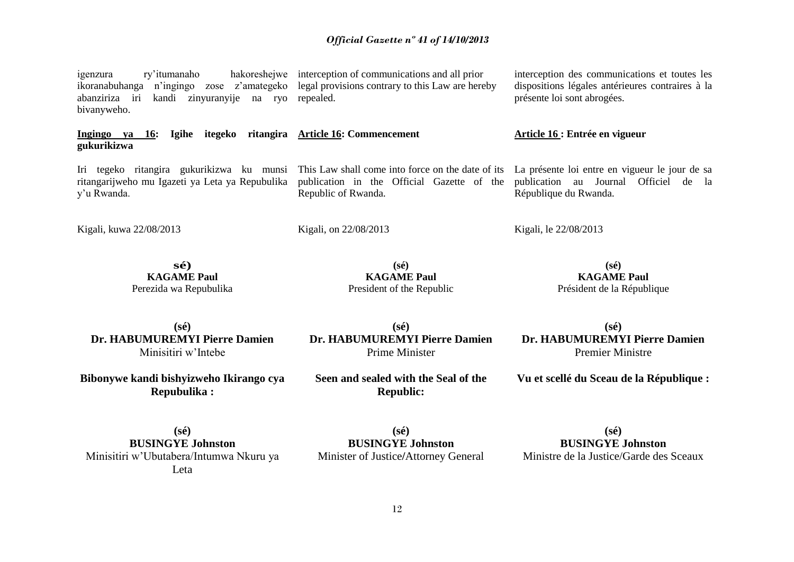igenzura ry'itumanaho hakoreshejwe interception of communications and all prior ikoranabuhanga n'ingingo zose z'amategeko legal provisions contrary to this Law are hereby abanziriza iri kandi zinyuranyije na ryo repealed.

**Ingingo ya 16: Igihe itegeko ritangira Article 16: Commencement gukurikizwa** 

ritangarijweho mu Igazeti ya Leta ya Repubulika y'u Rwanda.

Kigali, kuwa 22/08/2013

bivanyweho.

Republic of Rwanda.

Kigali, on 22/08/2013

interception des communications et toutes les dispositions légales antérieures contraires à la présente loi sont abrogées.

#### **Article 16 : Entrée en vigueur**

Iri tegeko ritangira gukurikizwa ku munsi This Law shall come into force on the date of its La présente loi entre en vigueur le jour de sa publication in the Official Gazette of the publication au Journal Officiel de la République du Rwanda.

Kigali, le 22/08/2013

**sé) KAGAME Paul** Perezida wa Repubulika

**(sé) KAGAME Paul** President of the Republic

**(sé) KAGAME Paul** Président de la République

**(sé) Dr. HABUMUREMYI Pierre Damien** Minisitiri w'Intebe

**Bibonywe kandi bishyizweho Ikirango cya Repubulika :**

**(sé) Dr. HABUMUREMYI Pierre Damien** Prime Minister

**Seen and sealed with the Seal of the Republic:**

**(sé) Dr. HABUMUREMYI Pierre Damien** Premier Ministre

**Vu et scellé du Sceau de la République :**

**(sé) BUSINGYE Johnston** Minisitiri w'Ubutabera/Intumwa Nkuru ya Leta

**(sé) BUSINGYE Johnston** Minister of Justice**/**Attorney General

**(sé) BUSINGYE Johnston** Ministre de la Justice/Garde des Sceaux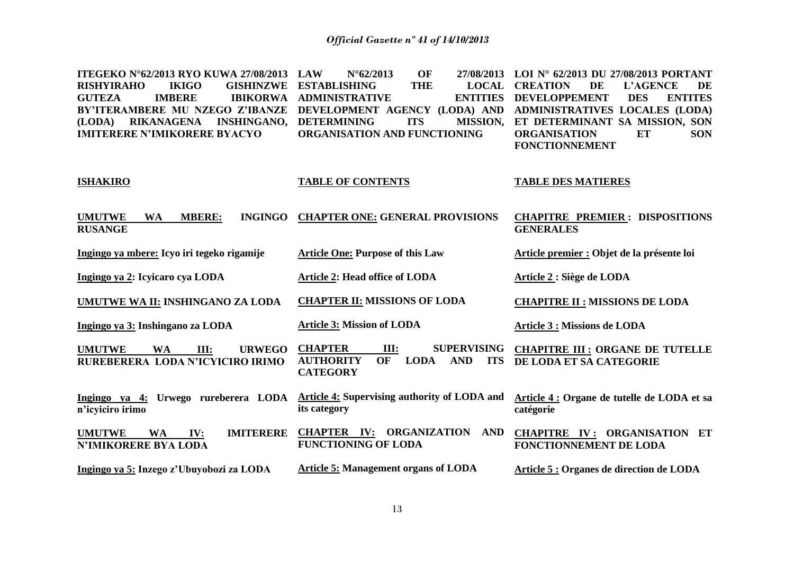| ITEGEKO N°62/2013 RYO KUWA 27/08/2013                                                   | OF<br><b>LAW</b><br>$N^{\circ}62/2013$<br>27/08/2013                                                              | LOI N° 62/2013 DU 27/08/2013 PORTANT                               |
|-----------------------------------------------------------------------------------------|-------------------------------------------------------------------------------------------------------------------|--------------------------------------------------------------------|
| <b>RISHYIRAHO</b><br><b>IKIGO</b><br><b>GISHINZWE</b>                                   | <b>ESTABLISHING</b><br><b>THE</b><br><b>LOCAL</b>                                                                 | <b>CREATION</b><br>DE<br><b>L'AGENCE</b><br>DE                     |
| <b>GUTEZA</b><br><b>IMBERE</b><br><b>IBIKORWA</b>                                       | <b>ADMINISTRATIVE</b><br><b>ENTITIES</b>                                                                          | <b>DEVELOPPEMENT</b><br><b>ENTITES</b><br><b>DES</b>               |
| BY'ITERAMBERE MU NZEGO Z'IBANZE                                                         | DEVELOPMENT AGENCY (LODA) AND                                                                                     | ADMINISTRATIVES LOCALES (LODA)                                     |
| RIKANAGENA<br><b>INSHINGANO,</b><br>(LODA)                                              | <b>DETERMINING</b><br><b>ITS</b><br><b>MISSION,</b>                                                               | ET DETERMINANT SA MISSION, SON                                     |
| <b>IMITERERE N'IMIKORERE BYACYO</b>                                                     | ORGANISATION AND FUNCTIONING                                                                                      | <b>ORGANISATION</b><br>ET<br><b>SON</b>                            |
|                                                                                         |                                                                                                                   | <b>FONCTIONNEMENT</b>                                              |
|                                                                                         |                                                                                                                   |                                                                    |
| <b>ISHAKIRO</b>                                                                         | <b>TABLE OF CONTENTS</b>                                                                                          | <b>TABLE DES MATIERES</b>                                          |
|                                                                                         |                                                                                                                   |                                                                    |
| <b>UMUTWE</b><br><b>WA</b><br><b>MBERE:</b><br><b>INGINGO</b><br><b>RUSANGE</b>         | <b>CHAPTER ONE: GENERAL PROVISIONS</b>                                                                            | <b>CHAPITRE PREMIER: DISPOSITIONS</b><br><b>GENERALES</b>          |
| Ingingo ya mbere: Icyo iri tegeko rigamije                                              | <b>Article One: Purpose of this Law</b>                                                                           | Article premier : Objet de la présente loi                         |
|                                                                                         |                                                                                                                   |                                                                    |
| Ingingo ya 2: Icyicaro cya LODA                                                         | <b>Article 2: Head office of LODA</b>                                                                             | Article 2 : Siège de LODA                                          |
| UMUTWE WA II: INSHINGANO ZA LODA                                                        | <b>CHAPTER II: MISSIONS OF LODA</b>                                                                               | <b>CHAPITRE II : MISSIONS DE LODA</b>                              |
|                                                                                         |                                                                                                                   |                                                                    |
| Ingingo ya 3: Inshingano za LODA                                                        | <b>Article 3: Mission of LODA</b>                                                                                 | <b>Article 3 : Missions de LODA</b>                                |
|                                                                                         |                                                                                                                   |                                                                    |
| <b>UMUTWE</b><br><b>WA</b><br>III:<br><b>URWEGO</b><br>RUREBERERA LODA N'ICYICIRO IRIMO | <b>CHAPTER</b><br><b>SUPERVISING</b><br>III:<br>OF<br><b>AUTHORITY</b><br><b>LODA</b><br><b>AND</b><br><b>ITS</b> | <b>CHAPITRE III : ORGANE DE TUTELLE</b><br>DE LODA ET SA CATEGORIE |
|                                                                                         | <b>CATEGORY</b>                                                                                                   |                                                                    |
|                                                                                         | Article 4: Supervising authority of LODA and                                                                      |                                                                    |
| Ingingo ya 4: Urwego rureberera LODA<br>n'icviciro irimo                                | its category                                                                                                      | Article 4 : Organe de tutelle de LODA et sa<br>catégorie           |
|                                                                                         |                                                                                                                   |                                                                    |
| <b>IMITERERE</b><br><b>UMUTWE</b><br><b>WA</b><br>IV:                                   | CHAPTER IV: ORGANIZATION AND                                                                                      | <b>CHAPITRE IV: ORGANISATION ET</b>                                |
| <b>N'IMIKORERE BYA LODA</b>                                                             | <b>FUNCTIONING OF LODA</b>                                                                                        | <b>FONCTIONNEMENT DE LODA</b>                                      |
|                                                                                         |                                                                                                                   |                                                                    |
| Ingingo ya 5: Inzego z'Ubuyobozi za LODA                                                | <b>Article 5: Management organs of LODA</b>                                                                       | Article 5 : Organes de direction de LODA                           |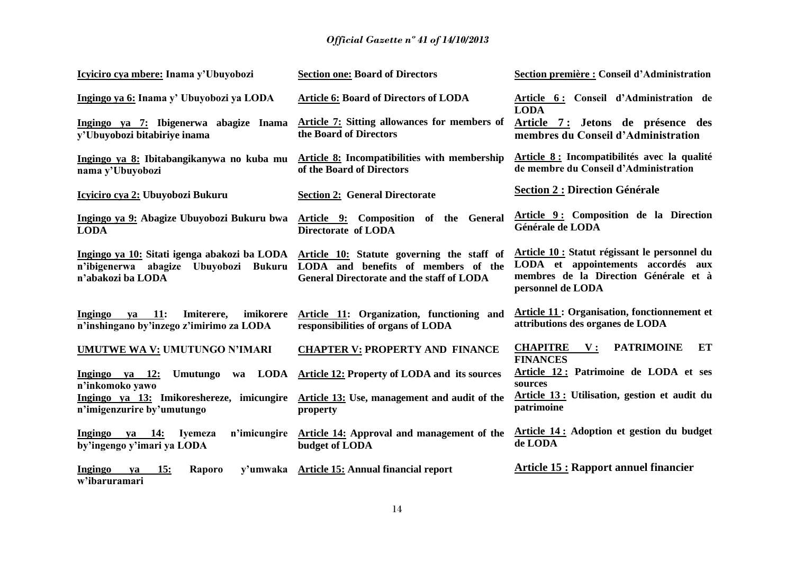| Icyiciro cya mbere: Inama y'Ubuyobozi                                                                                   | <b>Section one: Board of Directors</b>                                                                                                | Section première : Conseil d'Administration                                                                                                       |
|-------------------------------------------------------------------------------------------------------------------------|---------------------------------------------------------------------------------------------------------------------------------------|---------------------------------------------------------------------------------------------------------------------------------------------------|
| Ingingo ya 6: Inama y' Ubuyobozi ya LODA                                                                                | <b>Article 6: Board of Directors of LODA</b>                                                                                          | Article 6: Conseil d'Administration de<br><b>LODA</b>                                                                                             |
| Ingingo ya 7: Ibigenerwa abagize Inama<br>y'Ubuyobozi bitabiriye inama                                                  | Article 7: Sitting allowances for members of<br>the Board of Directors                                                                | Article 7: Jetons de présence des<br>membres du Conseil d'Administration                                                                          |
| Ingingo ya 8: Ibitabangikanywa no kuba mu<br>nama y'Ubuyobozi                                                           | Article 8: Incompatibilities with membership<br>of the Board of Directors                                                             | Article 8 : Incompatibilités avec la qualité<br>de membre du Conseil d'Administration                                                             |
| Icyiciro cya 2: Ubuyobozi Bukuru                                                                                        | <b>Section 2: General Directorate</b>                                                                                                 | <b>Section 2 : Direction Générale</b>                                                                                                             |
| Ingingo ya 9: Abagize Ubuyobozi Bukuru bwa<br><b>LODA</b>                                                               | Article 9: Composition of the General<br>Directorate of LODA                                                                          | Article 9: Composition de la Direction<br>Générale de LODA                                                                                        |
| Ingingo ya 10: Sitati igenga abakozi ba LODA<br>Ubuyobozi<br><b>Bukuru</b><br>n'ibigenerwa abagize<br>n'abakozi ba LODA | Article 10: Statute governing the staff of<br>LODA and benefits of members of the<br><b>General Directorate and the staff of LODA</b> | Article 10 : Statut régissant le personnel du<br>LODA et appointements accordés aux<br>membres de la Direction Générale et à<br>personnel de LODA |
| va 11:<br>imikorere<br>Ingingo<br>Imiterere,<br>n'inshingano by'inzego z'imirimo za LODA                                | Article 11: Organization, functioning and<br>responsibilities of organs of LODA                                                       | <b>Article 11: Organisation, fonctionnement et</b><br>attributions des organes de LODA                                                            |
| UMUTWE WA V: UMUTUNGO N'IMARI                                                                                           | <b>CHAPTER V: PROPERTY AND FINANCE</b>                                                                                                | <b>CHAPITRE</b><br><b>PATRIMOINE</b><br>ET<br>$\mathbf{V}$ :<br><b>FINANCES</b>                                                                   |
| Ingingo ya 12:<br><b>Umutungo</b><br>wa<br>n'inkomoko yawo                                                              | <b>LODA</b> Article 12: Property of LODA and its sources                                                                              | Article 12: Patrimoine de LODA et ses<br>sources                                                                                                  |
| Ingingo ya 13: Imikoreshereze, imicungire<br>n'imigenzurire by'umutungo                                                 | Article 13: Use, management and audit of the<br>property                                                                              | Article 13: Utilisation, gestion et audit du<br>patrimoine                                                                                        |
| n'imicungire<br>Ingingo<br>ya 14: Iyemeza<br>by'ingengo y'imari ya LODA                                                 | Article 14: Approval and management of the<br>budget of LODA                                                                          | Article 14: Adoption et gestion du budget<br>de LODA                                                                                              |
| Ingingo<br>15:<br>ya<br>Raporo<br>w'ibaruramari                                                                         | y'umwaka Article 15: Annual financial report                                                                                          | <b>Article 15: Rapport annuel financier</b>                                                                                                       |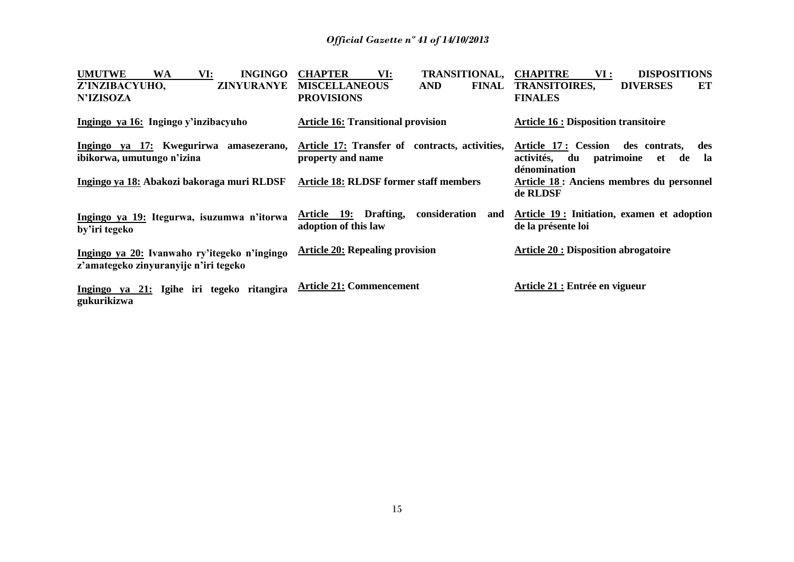| <b>UMUTWE</b><br><b>INGINGO</b><br>WA<br>VI:                                          | <b>CHAPTER</b><br><b>TRANSITIONAL,</b><br>VI:                            | <b>CHAPITRE</b><br><b>DISPOSITIONS</b><br>VI :                   |
|---------------------------------------------------------------------------------------|--------------------------------------------------------------------------|------------------------------------------------------------------|
| Z'INZIBACYUHO,<br><b>ZINYURANYE</b>                                                   | <b>MISCELLANEOUS</b><br><b>AND</b><br><b>FINAL</b>                       | <b>TRANSITOIRES,</b><br><b>DIVERSES</b><br>ET                    |
| <b>N'IZISOZA</b>                                                                      | <b>PROVISIONS</b>                                                        | <b>FINALES</b>                                                   |
| Ingingo ya 16: Ingingo y'inzibacyuho                                                  | <b>Article 16: Transitional provision</b>                                | <b>Article 16 : Disposition transitoire</b>                      |
| Ingingo ya 17: Kwegurirwa<br>amasezerano,                                             | Article 17: Transfer of contracts, activities,                           | Article 17: Cession<br>des contrats,<br>des                      |
| ibikorwa, umutungo n'izina                                                            | property and name                                                        | activités,<br>du<br>patrimoine<br>-la<br>de<br>et                |
|                                                                                       |                                                                          | dénomination                                                     |
| Ingingo ya 18: Abakozi bakoraga muri RLDSF                                            | <b>Article 18: RLDSF former staff members</b>                            | Article 18 : Anciens membres du personnel                        |
|                                                                                       |                                                                          | de RLDSF                                                         |
| Ingingo ya 19: Itegurwa, isuzumwa n'itorwa<br>by'iri tegeko                           | Drafting,<br>Article 19:<br>consideration<br>and<br>adoption of this law | Article 19: Initiation, examen et adoption<br>de la présente loi |
| Ingingo ya 20: Ivanwaho ry'itegeko n'ingingo<br>z'amategeko zinyuranyije n'iri tegeko | <b>Article 20: Repealing provision</b>                                   | <b>Article 20 : Disposition abrogatoire</b>                      |
| Ingingo ya 21: Igihe iri tegeko ritangira<br>gukurikizwa                              | <b>Article 21: Commencement</b>                                          | Article 21 : Entrée en vigueur                                   |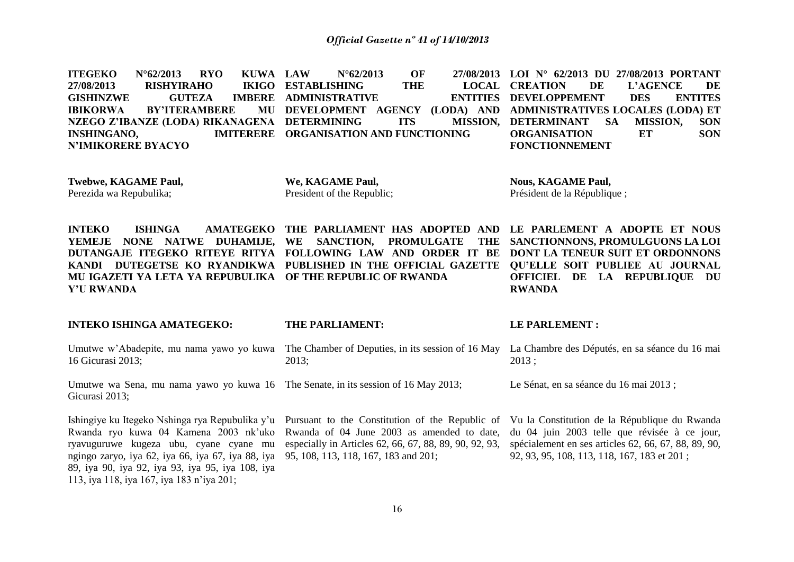**ITEGEKO N°62/2013 RYO KUWA 27/08/2013 RISHYIRAHO GISHINZWE GUTEZA IBIKORWA BY'ITERAMBERE NZEGO Z'IBANZE (LODA) RIKANAGENA DETERMINING ITS MISSION, INSHINGANO, N'IMIKORERE BYACYO LAW N°62/2013 OF 27/08/2013 LOI N° 62/2013 DU 27/08/2013 PORTANT IKIGO ESTABLISHING THE IMBERE ADMINISTRATIVE DEVELOPMENT AGENCY (LODA) AND ADMINISTRATIVES LOCALES (LODA) ET IMITERERE ORGANISATION AND FUNCTIONING CREATION DE L'AGENCE DE ENTITIES DEVELOPPEMENT DES ENTITES MISSION, DETERMINANT SA MISSION, SON ORGANISATION ET SON FONCTIONNEMENT**

**Twebwe, KAGAME Paul,**  Perezida wa Repubulika;

**We, KAGAME Paul,**  President of the Republic;

**Nous, KAGAME Paul,**  Président de la République ;

**INTEKO ISHINGA AMATEGEKO THE PARLIAMENT HAS ADOPTED AND LE PARLEMENT A ADOPTE ET NOUS YEMEJE NONE NATWE DUHAMIJE, WE SANCTION, PROMULGATE THE DUTANGAJE ITEGEKO RITEYE RITYA FOLLOWING LAW AND ORDER IT BE DONT LA TENEUR SUIT ET ORDONNONS KANDI DUTEGETSE KO RYANDIKWA PUBLISHED IN THE OFFICIAL GAZETTE QU'ELLE SOIT PUBLIEE AU JOURNAL MU IGAZETI YA LETA YA REPUBULIKA OF THE REPUBLIC OF RWANDA Y'U RWANDA** THE SANCTIONNONS, PROMULGUONS LA LOI **OFFICIEL DE LA REPUBLIQUE DU RWANDA**

**INTEKO ISHINGA AMATEGEKO:** 

#### **THE PARLIAMENT:**

Umutwe w'Abadepite, mu nama yawo yo kuwa 16 Gicurasi 2013; The Chamber of Deputies, in its session of 16 May La Chambre des Députés, en sa séance du 16 mai 2013;

Umutwe wa Sena, mu nama yawo yo kuwa 16 The Senate, in its session of 16 May 2013; Gicurasi 2013;

Ishingiye ku Itegeko Nshinga rya Repubulika y'u Rwanda ryo kuwa 04 Kamena 2003 nk'uko ryavuguruwe kugeza ubu, cyane cyane mu ngingo zaryo, iya 62, iya 66, iya 67, iya 88, iya 89, iya 90, iya 92, iya 93, iya 95, iya 108, iya 113, iya 118, iya 167, iya 183 n'iya 201;

# Pursuant to the Constitution of the Republic of

Rwanda of 04 June 2003 as amended to date, especially in Articles 62, 66, 67, 88, 89, 90, 92, 93, 95, 108, 113, 118, 167, 183 and 201;

#### **LE PARLEMENT :**

2013 ;

Le Sénat, en sa séance du 16 mai 2013 ;

Vu la Constitution de la République du Rwanda du 04 juin 2003 telle que révisée à ce jour, spécialement en ses articles 62, 66, 67, 88, 89, 90, 92, 93, 95, 108, 113, 118, 167, 183 et 201 ;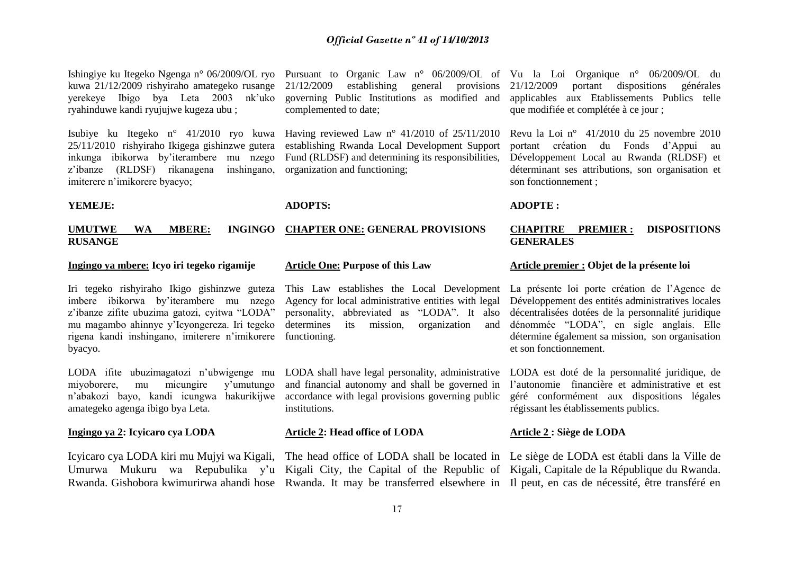21/12/2009 establishing general provisions governing Public Institutions as modified and

Having reviewed Law  $n^{\circ}$  41/2010 of 25/11/2010 establishing Rwanda Local Development Support Fund (RLDSF) and determining its responsibilities,

kuwa 21/12/2009 rishyiraho amategeko rusange yerekeye Ibigo bya Leta 2003 nk'uko ryahinduwe kandi ryujujwe kugeza ubu ;

Isubiye ku Itegeko n° 41/2010 ryo kuwa 25/11/2010 rishyiraho Ikigega gishinzwe gutera inkunga ibikorwa by'iterambere mu nzego z'ibanze (RLDSF) rikanagena inshingano, imiterere n'imikorere byacyo;

#### **YEMEJE:**

#### **UMUTWE WA MBERE: RUSANGE CHAPTER ONE: GENERAL PROVISIONS**

**ADOPTS:** 

#### **Ingingo ya mbere: Icyo iri tegeko rigamije**

Iri tegeko rishyiraho Ikigo gishinzwe guteza imbere ibikorwa by'iterambere mu nzego z'ibanze zifite ubuzima gatozi, cyitwa "LODA" mu magambo ahinnye y'Icyongereza. Iri tegeko rigena kandi inshingano, imiterere n'imikorere byacyo.

LODA ifite ubuzimagatozi n'ubwigenge mu miyoborere, mu micungire y'umutungo n'abakozi bayo, kandi icungwa hakurikijwe amategeko agenga ibigo bya Leta.

#### **Ingingo ya 2: Icyicaro cya LODA**

#### **Article One: Purpose of this Law**

complemented to date;

organization and functioning;

determines its mission, organization and functioning.

and financial autonomy and shall be governed in accordance with legal provisions governing public institutions.

#### **Article 2: Head office of LODA**

Icyicaro cya LODA kiri mu Mujyi wa Kigali, The head office of LODA shall be located in Le siège de LODA est établi dans la Ville de Umurwa Mukuru wa Repubulika y'u Kigali City, the Capital of the Republic of Kigali, Capitale de la République du Rwanda.

Ishingiye ku Itegeko Ngenga n° 06/2009/OL ryo Pursuant to Organic Law n° 06/2009/OL of Vu la Loi Organique n° 06/2009/OL du 21/12/2009 portant dispositions générales applicables aux Etablissements Publics telle que modifiée et complétée à ce jour ;

> Revu la Loi n° 41/2010 du 25 novembre 2010 portant création du Fonds d'Appui au Développement Local au Rwanda (RLDSF) et déterminant ses attributions, son organisation et son fonctionnement ;

#### **ADOPTE :**

#### **CHAPITRE PREMIER : DISPOSITIONS GENERALES**

#### **Article premier : Objet de la présente loi**

This Law establishes the Local Development La présente loi porte création de l'Agence de Agency for local administrative entities with legal Développement des entités administratives locales personality, abbreviated as "LODA". It also décentralisées dotées de la personnalité juridique dénommée "LODA", en sigle anglais. Elle détermine également sa mission, son organisation et son fonctionnement.

LODA shall have legal personality, administrative LODA est doté de la personnalité juridique, de l'autonomie financière et administrative et est géré conformément aux dispositions légales régissant les établissements publics.

#### **Article 2 : Siège de LODA**

Rwanda. Gishobora kwimurirwa ahandi hose Rwanda. It may be transferred elsewhere in Il peut, en cas de nécessité, être transféré en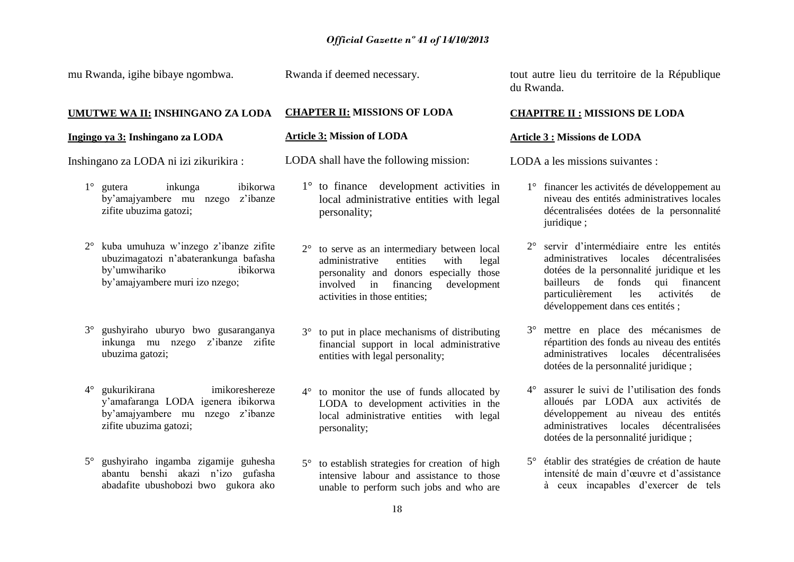mu Rwanda, igihe bibaye ngombwa.

Rwanda if deemed necessary.

#### **UMUTWE WA II: INSHINGANO ZA LODA**

#### **Ingingo ya 3: Inshingano za LODA**

Inshingano za LODA ni izi zikurikira :

- 1° gutera inkunga ibikorwa by'amajyambere mu nzego z'ibanze zifite ubuzima gatozi;
- 2° kuba umuhuza w'inzego z'ibanze zifite ubuzimagatozi n'abaterankunga bafasha by'umwihariko ibikorwa by'amajyambere muri izo nzego;
- 3° gushyiraho uburyo bwo gusaranganya inkunga mu nzego z'ibanze zifite ubuzima gatozi;
- 4° gukurikirana imikoreshereze y'amafaranga LODA igenera ibikorwa by'amajyambere mu nzego z'ibanze zifite ubuzima gatozi;
- 5° gushyiraho ingamba zigamije guhesha abantu benshi akazi n'izo gufasha abadafite ubushobozi bwo gukora ako

#### **CHAPTER II: MISSIONS OF LODA**

#### **Article 3: Mission of LODA**

- LODA shall have the following mission:
	- 1° to finance development activities in local administrative entities with legal personality;
	- 2° to serve as an intermediary between local administrative entities with legal personality and donors especially those involved in financing development activities in those entities;
	- 3° to put in place mechanisms of distributing financial support in local administrative entities with legal personality;
	- 4° to monitor the use of funds allocated by LODA to development activities in the local administrative entities with legal personality;
	- 5° to establish strategies for creation of high intensive labour and assistance to those unable to perform such jobs and who are

tout autre lieu du territoire de la République du Rwanda.

#### **CHAPITRE II : MISSIONS DE LODA**

#### **Article 3 : Missions de LODA**

LODA a les missions suivantes :

- 1° financer les activités de développement au niveau des entités administratives locales décentralisées dotées de la personnalité juridique ;
- 2° servir d'intermédiaire entre les entités administratives locales décentralisées dotées de la personnalité juridique et les bailleurs de fonds qui financent particulièrement les activités de développement dans ces entités ;
- 3° mettre en place des mécanismes de répartition des fonds au niveau des entités administratives locales décentralisées dotées de la personnalité juridique ;
- 4° assurer le suivi de l'utilisation des fonds alloués par LODA aux activités de développement au niveau des entités administratives locales décentralisées dotées de la personnalité juridique ;
- 5° établir des stratégies de création de haute intensité de main d'œuvre et d'assistance à ceux incapables d'exercer de tels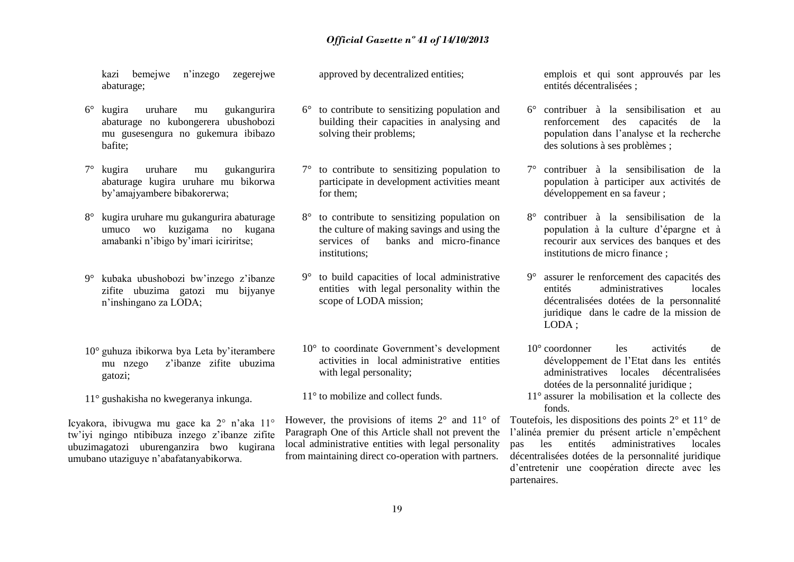kazi bemejwe n'inzego zegerejwe abaturage;

- 6° kugira uruhare mu gukangurira abaturage no kubongerera ubushobozi mu gusesengura no gukemura ibibazo bafite;
- 7° kugira uruhare mu gukangurira abaturage kugira uruhare mu bikorwa by'amajyambere bibakorerwa;
- 8° kugira uruhare mu gukangurira abaturage umuco wo kuzigama no kugana amabanki n'ibigo by'imari iciriritse;
- 9° kubaka ubushobozi bw'inzego z'ibanze zifite ubuzima gatozi mu bijyanye n'inshingano za LODA;
- 10° guhuza ibikorwa bya Leta by'iterambere mu nzego z'ibanze zifite ubuzima gatozi;
- 11° gushakisha no kwegeranya inkunga.

Icyakora, ibivugwa mu gace ka 2° n'aka 11° tw'iyi ngingo ntibibuza inzego z'ibanze zifite ubuzimagatozi uburenganzira bwo kugirana umubano utaziguye n'abafatanyabikorwa.

approved by decentralized entities;

- 6° to contribute to sensitizing population and building their capacities in analysing and solving their problems;
- 7° to contribute to sensitizing population to participate in development activities meant for them;
- 8° to contribute to sensitizing population on the culture of making savings and using the services of banks and micro-finance institutions;
- 9° to build capacities of local administrative entities with legal personality within the scope of LODA mission;
- 10° to coordinate Government's development activities in local administrative entities with legal personality;
- 11° to mobilize and collect funds.

However, the provisions of items  $2^{\circ}$  and  $11^{\circ}$  of Paragraph One of this Article shall not prevent the local administrative entities with legal personality from maintaining direct co-operation with partners.

emplois et qui sont approuvés par les entités décentralisées ;

- 6° contribuer à la sensibilisation et au renforcement des capacités de la population dans l'analyse et la recherche des solutions à ses problèmes ;
- 7° contribuer à la sensibilisation de la population à participer aux activités de développement en sa faveur ;
- 8° contribuer à la sensibilisation de la population à la culture d'épargne et à recourir aux services des banques et des institutions de micro finance ;
- 9° assurer le renforcement des capacités des entités administratives locales décentralisées dotées de la personnalité juridique dans le cadre de la mission de LODA ;
- 10° coordonner les activités de développement de l'Etat dans les entités administratives locales décentralisées dotées de la personnalité juridique ;
- 11° assurer la mobilisation et la collecte des fonds.

Toutefois, les dispositions des points 2° et 11° de l'alinéa premier du présent article n'empêchent pas les entités administratives locales décentralisées dotées de la personnalité juridique d'entretenir une coopération directe avec les partenaires.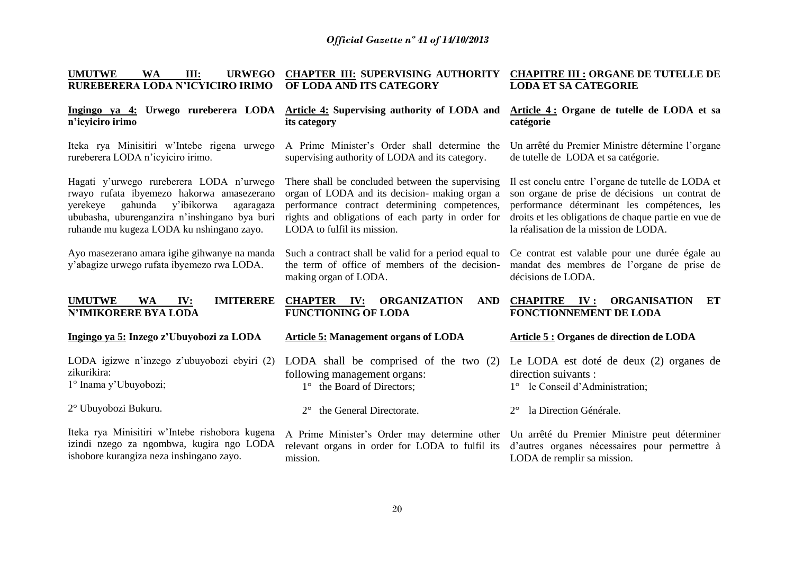| <b>UMUTWE</b><br>III:<br><b>WA</b><br><b>URWEGO</b><br>RUREBERERA LODA N'ICYICIRO IRIMO                                                                                                                                               | <b>CHAPTER III: SUPERVISING AUTHORITY</b><br>OF LODA AND ITS CATEGORY                                                                                                                                                                   | <b>CHAPITRE III : ORGANE DE TUTELLE DE</b><br><b>LODA ET SA CATEGORIE</b>                                                                                                                                                                             |
|---------------------------------------------------------------------------------------------------------------------------------------------------------------------------------------------------------------------------------------|-----------------------------------------------------------------------------------------------------------------------------------------------------------------------------------------------------------------------------------------|-------------------------------------------------------------------------------------------------------------------------------------------------------------------------------------------------------------------------------------------------------|
| Ingingo ya 4: Urwego rureberera LODA<br>n'icyiciro irimo                                                                                                                                                                              | Article 4: Supervising authority of LODA and<br>its category                                                                                                                                                                            | Article 4: Organe de tutelle de LODA et sa<br>catégorie                                                                                                                                                                                               |
| Iteka rya Minisitiri w'Intebe rigena urwego<br>rureberera LODA n'icyiciro irimo.                                                                                                                                                      | A Prime Minister's Order shall determine the<br>supervising authority of LODA and its category.                                                                                                                                         | Un arrêté du Premier Ministre détermine l'organe<br>de tutelle de LODA et sa catégorie.                                                                                                                                                               |
| Hagati y'urwego rureberera LODA n'urwego<br>rwayo rufata ibyemezo hakorwa amasezerano<br>yerekeye<br>y'ibikorwa<br>gahunda<br>agaragaza<br>ububasha, uburenganzira n'inshingano bya buri<br>ruhande mu kugeza LODA ku nshingano zayo. | There shall be concluded between the supervising<br>organ of LODA and its decision- making organ a<br>performance contract determining competences,<br>rights and obligations of each party in order for<br>LODA to fulfil its mission. | Il est conclu entre l'organe de tutelle de LODA et<br>son organe de prise de décisions un contrat de<br>performance déterminant les compétences, les<br>droits et les obligations de chaque partie en vue de<br>la réalisation de la mission de LODA. |
| Ayo masezerano amara igihe gihwanye na manda<br>y'abagize urwego rufata ibyemezo rwa LODA.                                                                                                                                            | Such a contract shall be valid for a period equal to<br>the term of office of members of the decision-<br>making organ of LODA.                                                                                                         | Ce contrat est valable pour une durée égale au<br>mandat des membres de l'organe de prise de<br>décisions de LODA.                                                                                                                                    |
| <b>UMUTWE</b><br><b>IMITERERE</b><br><b>WA</b><br>IV:<br><b>N'IMIKORERE BYA LODA</b>                                                                                                                                                  | <b>CHAPTER IV:</b><br><b>ORGANIZATION</b><br><b>AND</b><br><b>FUNCTIONING OF LODA</b>                                                                                                                                                   | <b>CHAPITRE</b><br><b>ORGANISATION</b><br>IV:<br>ET<br><b>FONCTIONNEMENT DE LODA</b>                                                                                                                                                                  |
| Ingingo ya 5: Inzego z'Ubuyobozi za LODA                                                                                                                                                                                              | <b>Article 5: Management organs of LODA</b>                                                                                                                                                                                             | Article 5 : Organes de direction de LODA                                                                                                                                                                                                              |
| LODA igizwe n'inzego z'ubuyobozi ebyiri (2)<br>zikurikira:<br>1° Inama y'Ubuyobozi;                                                                                                                                                   | LODA shall be comprised of the two $(2)$<br>following management organs:<br>1° the Board of Directors;                                                                                                                                  | Le LODA est doté de deux (2) organes de<br>direction suivants :<br>1° le Conseil d'Administration;                                                                                                                                                    |
| 2° Ubuyobozi Bukuru.                                                                                                                                                                                                                  | the General Directorate.                                                                                                                                                                                                                | la Direction Générale.<br>$2^{\circ}$                                                                                                                                                                                                                 |
| Iteka rya Minisitiri w'Intebe rishobora kugena<br>izindi nzego za ngombwa, kugira ngo LODA<br>ishobore kurangiza neza inshingano zayo.                                                                                                | A Prime Minister's Order may determine other Un arrêté du Premier Ministre peut déterminer<br>relevant organs in order for LODA to fulfil its<br>mission.                                                                               | d'autres organes nécessaires pour permettre à<br>LODA de remplir sa mission.                                                                                                                                                                          |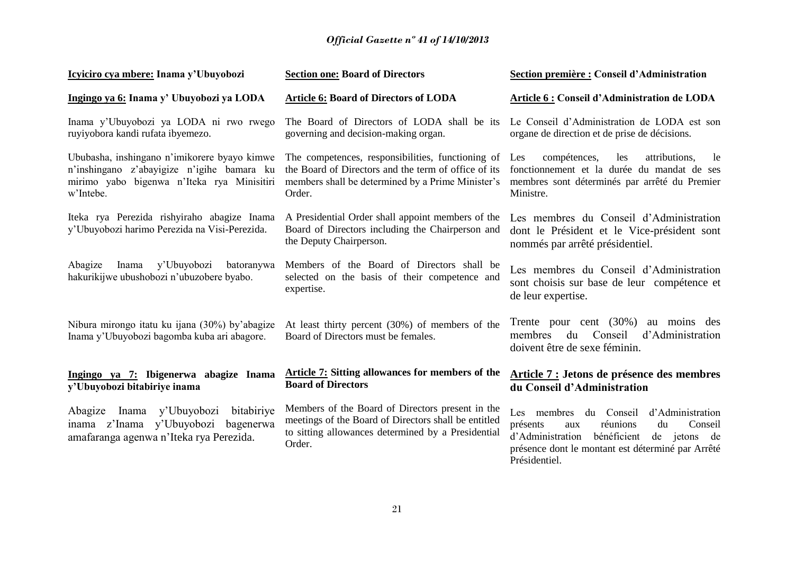| Icyiciro cya mbere: Inama y'Ubuyobozi                                                                                                                 | <b>Section one: Board of Directors</b>                                                                                                                                   | Section première : Conseil d'Administration                                                                                                                                                                            |
|-------------------------------------------------------------------------------------------------------------------------------------------------------|--------------------------------------------------------------------------------------------------------------------------------------------------------------------------|------------------------------------------------------------------------------------------------------------------------------------------------------------------------------------------------------------------------|
| Ingingo ya 6: Inama y' Ubuyobozi ya LODA                                                                                                              | <b>Article 6: Board of Directors of LODA</b>                                                                                                                             | <b>Article 6: Conseil d'Administration de LODA</b>                                                                                                                                                                     |
| Inama y'Ubuyobozi ya LODA ni rwo rwego<br>ruyiyobora kandi rufata ibyemezo.                                                                           | The Board of Directors of LODA shall be its<br>governing and decision-making organ.                                                                                      | Le Conseil d'Administration de LODA est son<br>organe de direction et de prise de décisions.                                                                                                                           |
| Ububasha, inshingano n'imikorere byayo kimwe<br>n'inshingano z'abayigize n'igihe bamara ku<br>mirimo yabo bigenwa n'Iteka rya Minisitiri<br>w'Intebe. | The competences, responsibilities, functioning of<br>the Board of Directors and the term of office of its<br>members shall be determined by a Prime Minister's<br>Order. | compétences,<br>Les<br>les<br>attributions,<br>le<br>fonctionnement et la durée du mandat de ses<br>membres sont déterminés par arrêté du Premier<br>Ministre.                                                         |
| Iteka rya Perezida rishyiraho abagize Inama<br>y'Ubuyobozi harimo Perezida na Visi-Perezida.                                                          | A Presidential Order shall appoint members of the<br>Board of Directors including the Chairperson and<br>the Deputy Chairperson.                                         | Les membres du Conseil d'Administration<br>dont le Président et le Vice-président sont<br>nommés par arrêté présidentiel.                                                                                              |
| Inama y'Ubuyobozi<br>Abagize<br>batoranywa<br>hakurikijwe ubushobozi n'ubuzobere byabo.                                                               | Members of the Board of Directors shall be<br>selected on the basis of their competence and<br>expertise.                                                                | Les membres du Conseil d'Administration<br>sont choisis sur base de leur compétence et<br>de leur expertise.                                                                                                           |
| Nibura mirongo itatu ku ijana (30%) by'abagize<br>Inama y'Ubuyobozi bagomba kuba ari abagore.                                                         | At least thirty percent (30%) of members of the<br>Board of Directors must be females.                                                                                   | Trente pour cent $(30\%)$<br>au moins des<br>du<br>Conseil<br>d'Administration<br>membres<br>doivent être de sexe féminin.                                                                                             |
| Ingingo ya 7: Ibigenerwa abagize Inama<br>y'Ubuyobozi bitabiriye inama                                                                                | <b>Article 7: Sitting allowances for members of the</b><br><b>Board of Directors</b>                                                                                     | Article 7 : Jetons de présence des membres<br>du Conseil d'Administration                                                                                                                                              |
| Abagize Inama y'Ubuyobozi<br>bitabiriye<br>inama z'Inama y'Ubuyobozi<br>bagenerwa<br>amafaranga agenwa n'Iteka rya Perezida.                          | Members of the Board of Directors present in the<br>meetings of the Board of Directors shall be entitled<br>to sitting allowances determined by a Presidential<br>Order. | du Conseil<br>Les membres<br>d'Administration<br>réunions<br>du<br>Conseil<br>présents<br>aux<br>d'Administration<br>bénéficient<br>de jetons de<br>présence dont le montant est déterminé par Arrêté<br>Présidentiel. |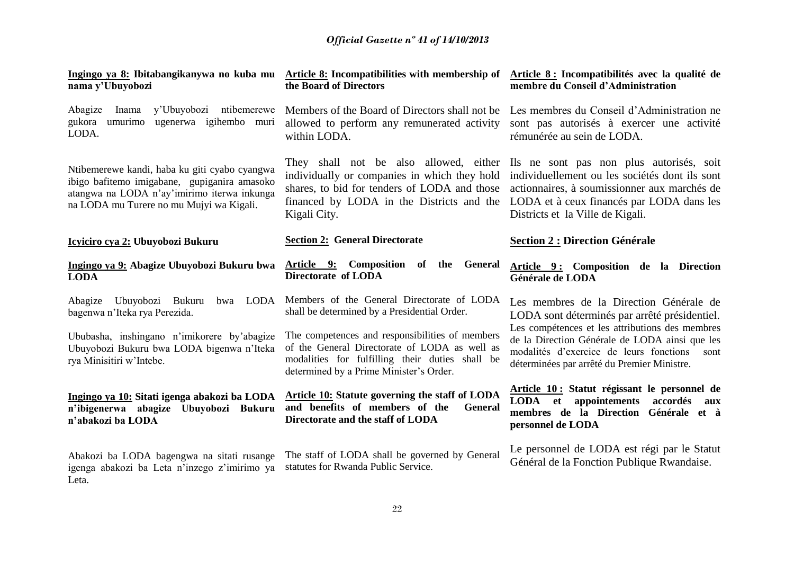| Ingingo ya 8: Ibitabangikanywa no kuba mu<br>nama y'Ubuyobozi                                                                                                                            | Article 8: Incompatibilities with membership of Article 8: Incompatibilités avec la qualité de<br>the Board of Directors                                                                                                                                                               | membre du Conseil d'Administration                                                                                                                                                                  |
|------------------------------------------------------------------------------------------------------------------------------------------------------------------------------------------|----------------------------------------------------------------------------------------------------------------------------------------------------------------------------------------------------------------------------------------------------------------------------------------|-----------------------------------------------------------------------------------------------------------------------------------------------------------------------------------------------------|
| y'Ubuyobozi ntibemerewe<br>Abagize<br>Inama<br>ugenerwa igihembo muri<br>gukora<br>umurimo<br>LODA.                                                                                      | Members of the Board of Directors shall not be.<br>allowed to perform any remunerated activity<br>within LODA.                                                                                                                                                                         | Les membres du Conseil d'Administration ne<br>sont pas autorisés à exercer une activité<br>rémunérée au sein de LODA.                                                                               |
| Ntibemerewe kandi, haba ku giti cyabo cyangwa<br>ibigo bafitemo imigabane, gupiganira amasoko<br>atangwa na LODA n'ay'imirimo iterwa inkunga<br>na LODA mu Turere no mu Mujyi wa Kigali. | They shall not be also allowed, either Ils ne sont pas non plus autorisés, soit<br>individually or companies in which they hold<br>shares, to bid for tenders of LODA and those<br>financed by LODA in the Districts and the LODA et à ceux financés par LODA dans les<br>Kigali City. | individuellement ou les sociétés dont ils sont<br>actionnaires, à soumissionner aux marchés de<br>Districts et la Ville de Kigali.                                                                  |
| Icyiciro cya 2: Ubuyobozi Bukuru                                                                                                                                                         | <b>Section 2: General Directorate</b>                                                                                                                                                                                                                                                  | <b>Section 2 : Direction Générale</b>                                                                                                                                                               |
| Ingingo ya 9: Abagize Ubuyobozi Bukuru bwa<br><b>LODA</b>                                                                                                                                | Article 9: Composition<br>of the General<br>Directorate of LODA                                                                                                                                                                                                                        | Article 9: Composition de la Direction<br>Générale de LODA                                                                                                                                          |
| Abagize Ubuyobozi Bukuru<br><b>LODA</b><br>bwa<br>bagenwa n'Iteka rya Perezida.                                                                                                          | Members of the General Directorate of LODA<br>shall be determined by a Presidential Order.                                                                                                                                                                                             | Les membres de la Direction Générale de<br>LODA sont déterminés par arrêté présidentiel.                                                                                                            |
| Ububasha, inshingano n'imikorere by'abagize<br>Ubuyobozi Bukuru bwa LODA bigenwa n'Iteka<br>rya Minisitiri w'Intebe.                                                                     | The competences and responsibilities of members<br>of the General Directorate of LODA as well as<br>modalities for fulfilling their duties shall be<br>determined by a Prime Minister's Order.                                                                                         | Les compétences et les attributions des membres<br>de la Direction Générale de LODA ainsi que les<br>modalités d'exercice de leurs fonctions<br>sont<br>déterminées par arrêté du Premier Ministre. |
| Ingingo ya 10: Sitati igenga abakozi ba LODA<br>n'ibigenerwa abagize Ubuyobozi Bukuru<br>n'abakozi ba LODA                                                                               | <b>Article 10: Statute governing the staff of LODA</b><br>and benefits of members of the<br>General<br>Directorate and the staff of LODA                                                                                                                                               | Article 10: Statut régissant le personnel de<br>appointements<br>LODA et<br>accordés<br>aux<br>membres de la Direction Générale et à<br>personnel de LODA                                           |
| Abakozi ba LODA bagengwa na sitati rusange<br>igenga abakozi ba Leta n'inzego z'imirimo ya<br>Leta.                                                                                      | The staff of LODA shall be governed by General<br>statutes for Rwanda Public Service.                                                                                                                                                                                                  | Le personnel de LODA est régi par le Statut<br>Général de la Fonction Publique Rwandaise.                                                                                                           |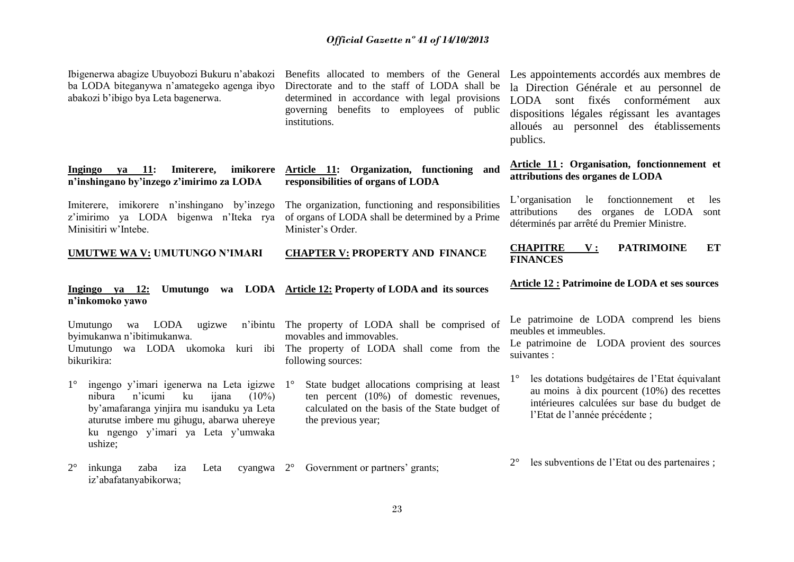| Ibigenerwa abagize Ubuyobozi Bukuru n'abakozi<br>ba LODA biteganywa n'amategeko agenga ibyo<br>abakozi b'ibigo bya Leta bagenerwa.                                                                                                                | Benefits allocated to members of the General<br>Directorate and to the staff of LODA shall be<br>determined in accordance with legal provisions<br>governing benefits to employees of public<br>institutions. | Les appointements accordés aux membres de<br>la Direction Générale et au personnel de<br>sont fixés conformément<br>LODA<br>aux<br>dispositions légales régissant les avantages<br>alloués au personnel des établissements<br>publics. |
|---------------------------------------------------------------------------------------------------------------------------------------------------------------------------------------------------------------------------------------------------|---------------------------------------------------------------------------------------------------------------------------------------------------------------------------------------------------------------|----------------------------------------------------------------------------------------------------------------------------------------------------------------------------------------------------------------------------------------|
| imikorere<br>Imiterere,<br>Ingingo<br>ya 11:<br>n'inshingano by'inzego z'imirimo za LODA                                                                                                                                                          | Article 11: Organization, functioning and<br>responsibilities of organs of LODA                                                                                                                               | <b>Article 11: Organisation, fonctionnement et</b><br>attributions des organes de LODA                                                                                                                                                 |
| Imiterere, imikorere n'inshingano by'inzego<br>z'imirimo ya LODA bigenwa n'Iteka rya<br>Minisitiri w'Intebe.                                                                                                                                      | The organization, functioning and responsibilities<br>of organs of LODA shall be determined by a Prime<br>Minister's Order.                                                                                   | L'organisation<br>fonctionnement<br>le<br>les<br>et<br>attributions<br>des organes de LODA<br>sont<br>déterminés par arrêté du Premier Ministre.                                                                                       |
| UMUTWE WA V: UMUTUNGO N'IMARI                                                                                                                                                                                                                     | <b>CHAPTER V: PROPERTY AND FINANCE</b>                                                                                                                                                                        | <b>PATRIMOINE</b><br>ET<br><b>CHAPITRE</b><br>${\bf v}$ :<br><b>FINANCES</b>                                                                                                                                                           |
| Ingingo ya 12:<br>n'inkomoko yawo                                                                                                                                                                                                                 | Umutungo wa LODA Article 12: Property of LODA and its sources                                                                                                                                                 | Article 12 : Patrimoine de LODA et ses sources                                                                                                                                                                                         |
| LODA<br>ugizwe<br>Umutungo<br>wa<br>byimukanwa n'ibitimukanwa.<br>Umutungo<br>bikurikira:                                                                                                                                                         | n'ibintu The property of LODA shall be comprised of<br>movables and immovables.<br>wa LODA ukomoka kuri ibi The property of LODA shall come from the<br>following sources:                                    | Le patrimoine de LODA comprend les biens<br>meubles et immeubles.<br>Le patrimoine de LODA provient des sources<br>suivantes :                                                                                                         |
| $1^{\circ}$<br>ingengo y'imari igenerwa na Leta igizwe<br>ku<br>nibura<br>n'icumi<br>$(10\%)$<br>ijana<br>by'amafaranga yinjira mu isanduku ya Leta<br>aturutse imbere mu gihugu, abarwa uhereye<br>ku ngengo y'imari ya Leta y'umwaka<br>ushize; | State budget allocations comprising at least<br>$1^{\circ}$<br>ten percent (10%) of domestic revenues,<br>calculated on the basis of the State budget of<br>the previous year;                                | les dotations budgétaires de l'Etat équivalant<br>au moins à dix pourcent $(10\%)$ des recettes<br>intérieures calculées sur base du budget de<br>l'Etat de l'année précédente ;                                                       |
| $2^{\circ}$<br>zaba<br>inkunga<br>Leta<br>iza                                                                                                                                                                                                     | cyangwa 2° Government or partners' grants;                                                                                                                                                                    | les subventions de l'Etat ou des partenaires ;<br>$2^{\circ}$                                                                                                                                                                          |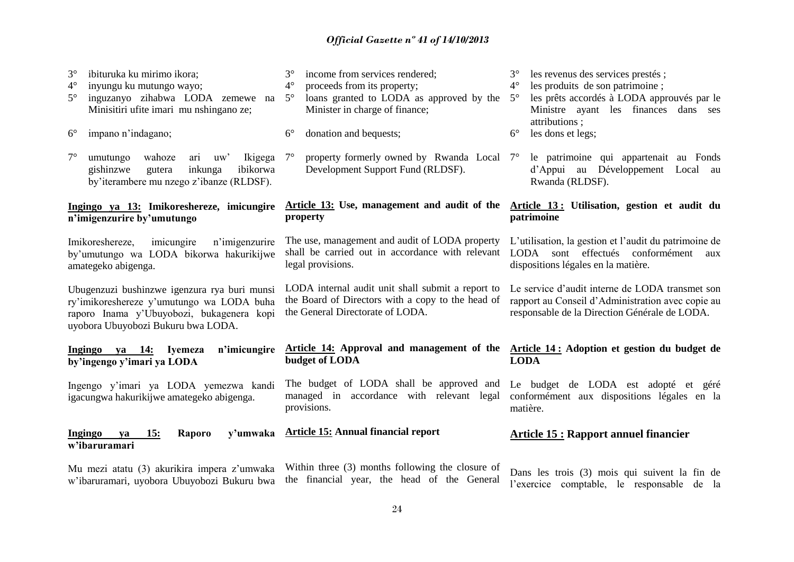| ibituruka ku mirimo ikora;<br>$3^\circ$<br>$4^\circ$<br>inyungu ku mutungo wayo;<br>inguzanyo zihabwa LODA zemewe na<br>$5^\circ$<br>Minisitiri ufite imari mu nshingano ze;<br>$6^{\circ}$<br>impano n'indagano; | $3^\circ$<br>income from services rendered;<br>$4^\circ$<br>proceeds from its property;<br>loans granted to LODA as approved by the 5°<br>$5^\circ$<br>Minister in charge of finance;<br>$6^{\circ}$<br>donation and bequests; | les revenus des services prestés;<br>$3^\circ$<br>les produits de son patrimoine;<br>$4^\circ$<br>les prêts accordés à LODA approuvés par le<br>Ministre ayant les finances<br>dans ses<br>attributions ;<br>$6^{\circ}$<br>les dons et legs; |
|-------------------------------------------------------------------------------------------------------------------------------------------------------------------------------------------------------------------|--------------------------------------------------------------------------------------------------------------------------------------------------------------------------------------------------------------------------------|-----------------------------------------------------------------------------------------------------------------------------------------------------------------------------------------------------------------------------------------------|
| $7^\circ$<br>wahoze<br>umutungo<br>ari<br>Ikigega<br>uw'<br>inkunga<br>ibikorwa<br>gishinzwe<br>gutera<br>by'iterambere mu nzego z'ibanze (RLDSF).                                                                | property formerly owned by Rwanda Local 7°<br>$7^{\circ}$<br>Development Support Fund (RLDSF).                                                                                                                                 | le patrimoine qui appartenait au Fonds<br>d'Appui au Développement Local au<br>Rwanda (RLDSF).                                                                                                                                                |
| Ingingo ya 13: Imikoreshereze, imicungire<br>n'imigenzurire by'umutungo                                                                                                                                           | Article 13: Use, management and audit of the Article 13: Utilisation, gestion et audit du<br>property                                                                                                                          | patrimoine                                                                                                                                                                                                                                    |
| imicungire<br>n'imigenzurire<br>Imikoreshereze,<br>by'umutungo wa LODA bikorwa hakurikijwe<br>amategeko abigenga.                                                                                                 | The use, management and audit of LODA property<br>shall be carried out in accordance with relevant<br>legal provisions.                                                                                                        | L'utilisation, la gestion et l'audit du patrimoine de<br>LODA sont effectués conformément aux<br>dispositions légales en la matière.                                                                                                          |
| Ubugenzuzi bushinzwe igenzura rya buri munsi<br>ry'imikoreshereze y'umutungo wa LODA buha<br>raporo Inama y'Ubuyobozi, bukagenera kopi<br>uyobora Ubuyobozi Bukuru bwa LODA.                                      | LODA internal audit unit shall submit a report to<br>the Board of Directors with a copy to the head of<br>the General Directorate of LODA.                                                                                     | Le service d'audit interne de LODA transmet son<br>rapport au Conseil d'Administration avec copie au<br>responsable de la Direction Générale de LODA.                                                                                         |
| Ingingo ya 14: Iyemeza<br>n'imicungire<br>by'ingengo y'imari ya LODA                                                                                                                                              | Article 14: Approval and management of the<br>budget of LODA                                                                                                                                                                   | Article 14 : Adoption et gestion du budget de<br><b>LODA</b>                                                                                                                                                                                  |
| Ingengo y'imari ya LODA yemezwa kandi<br>igacungwa hakurikijwe amategeko abigenga.                                                                                                                                | The budget of LODA shall be approved and<br>managed in accordance with relevant legal<br>provisions.                                                                                                                           | Le budget de LODA est adopté et<br>géré<br>conformément aux dispositions légales en la<br>matière.                                                                                                                                            |
| 15:<br>Raporo<br>y'umwaka<br><b>Ingingo</b><br>ya<br>w'ibaruramari                                                                                                                                                | <b>Article 15: Annual financial report</b>                                                                                                                                                                                     | <b>Article 15: Rapport annuel financier</b>                                                                                                                                                                                                   |
| Mu mezi atatu (3) akurikira impera z'umwaka<br>w'ibaruramari, uyobora Ubuyobozi Bukuru bwa                                                                                                                        | Within three (3) months following the closure of<br>the financial year, the head of the General                                                                                                                                | Dans les trois (3) mois qui suivent la fin de<br>l'exercice comptable, le responsable de la                                                                                                                                                   |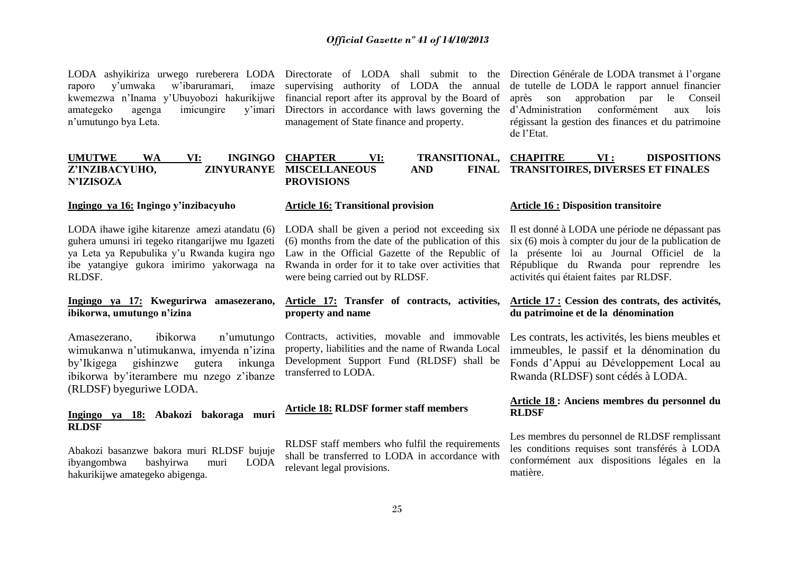raporo y'umwaka w'ibaruramari, kwemezwa n'Inama y'Ubuyobozi hakurikijwe financial report after its approval by the Board of amategeko agenga imicungire n'umutungo bya Leta.

LODA ashyikiriza urwego rureberera LODA Directorate of LODA shall submit to the Direction Générale de LODA transmet à l'organe imaze supervising authority of LODA the annual Directors in accordance with laws governing the management of State finance and property.

de tutelle de LODA le rapport annuel financier après son approbation par le Conseil d'Administration conformément aux lois régissant la gestion des finances et du patrimoine de l'Etat.

| FINAL TRANSITOIRES, DIVERSES ET FINALES<br>Z'INZIBACYUHO,<br><b>ZINYURANYE MISCELLANEOUS</b><br>AND | <b>DISPOSITIONS</b> |
|-----------------------------------------------------------------------------------------------------|---------------------|
| <b>N'IZISOZA</b><br><b>PROVISIONS</b>                                                               |                     |

#### **Ingingo ya 16: Ingingo y'inzibacyuho**

LODA ihawe igihe kitarenze amezi atandatu (6) guhera umunsi iri tegeko ritangarijwe mu Igazeti ya Leta ya Repubulika y'u Rwanda kugira ngo ibe yatangiye gukora imirimo yakorwaga na RLDSF.

#### **Ingingo ya 17: Kwegurirwa amasezerano, ibikorwa, umutungo n'izina**

Amasezerano, ibikorwa n'umutungo wimukanwa n'utimukanwa, imyenda n'izina by'Ikigega gishinzwe gutera inkunga ibikorwa by'iterambere mu nzego z'ibanze (RLDSF) byeguriwe LODA.

#### **Ingingo ya 18: Abakozi bakoraga muri RLDSF**

Abakozi basanzwe bakora muri RLDSF bujuje ibyangombwa bashyirwa muri LODA hakurikijwe amategeko abigenga.

#### **Article 16: Transitional provision**

LODA shall be given a period not exceeding six Il est donné à LODA une période ne dépassant pas (6) months from the date of the publication of this Law in the Official Gazette of the Republic of Rwanda in order for it to take over activities that were being carried out by RLDSF.

#### **Article 17: Transfer of contracts, activities, property and name**

Contracts, activities, movable and immovable property, liabilities and the name of Rwanda Local Development Support Fund (RLDSF) shall be transferred to LODA.

#### **Article 18: RLDSF former staff members**

RLDSF staff members who fulfil the requirements shall be transferred to LODA in accordance with relevant legal provisions.

#### **Article 16 : Disposition transitoire**

six (6) mois à compter du jour de la publication de la présente loi au Journal Officiel de la République du Rwanda pour reprendre les activités qui étaient faites par RLDSF.

#### **Article 17 : Cession des contrats, des activités, du patrimoine et de la dénomination**

Les contrats, les activités, les biens meubles et immeubles, le passif et la dénomination du Fonds d'Appui au Développement Local au Rwanda (RLDSF) sont cédés à LODA.

#### **Article 18 : Anciens membres du personnel du RLDSF**

Les membres du personnel de RLDSF remplissant les conditions requises sont transférés à LODA conformément aux dispositions légales en la matière.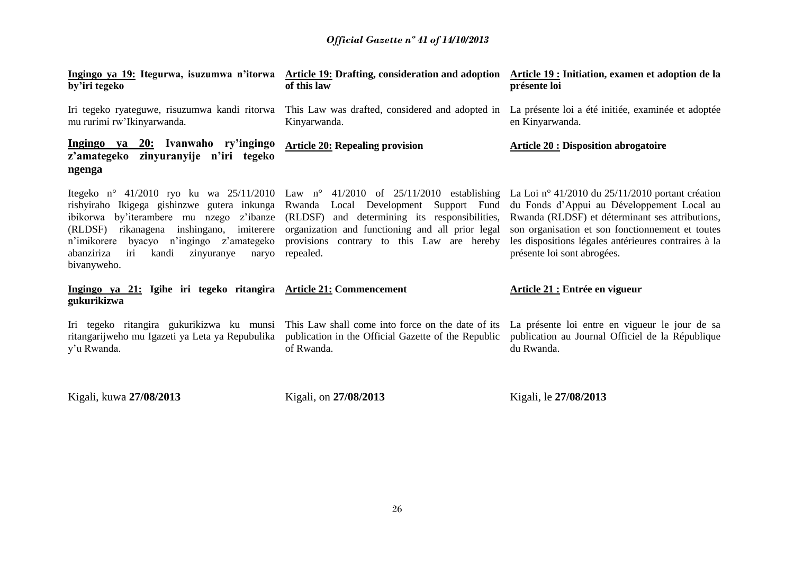| Ingingo ya 19: Itegurwa, isuzumwa n'itorwa<br>by'iri tegeko                                                                                                                                                                                            | Article 19: Drafting, consideration and adoption Article 19 : Initiation, examen et adoption de la<br>of this law                                                                                                                                                                                                                           | présente loi                                                                                                                                                                                                                             |
|--------------------------------------------------------------------------------------------------------------------------------------------------------------------------------------------------------------------------------------------------------|---------------------------------------------------------------------------------------------------------------------------------------------------------------------------------------------------------------------------------------------------------------------------------------------------------------------------------------------|------------------------------------------------------------------------------------------------------------------------------------------------------------------------------------------------------------------------------------------|
| Iri tegeko ryateguwe, risuzumwa kandi ritorwa<br>mu rurimi rw'Ikinyarwanda.                                                                                                                                                                            | This Law was drafted, considered and adopted in<br>Kinyarwanda.                                                                                                                                                                                                                                                                             | La présente loi a été initiée, examinée et adoptée<br>en Kinyarwanda.                                                                                                                                                                    |
| Ingingo ya 20: Ivanwaho ry'ingingo<br>z'amategeko zinyuranyije n'iri tegeko<br>ngenga                                                                                                                                                                  | <b>Article 20: Repealing provision</b>                                                                                                                                                                                                                                                                                                      | <b>Article 20: Disposition abrogatoire</b>                                                                                                                                                                                               |
| rishyiraho Ikigega gishinzwe gutera inkunga<br>ibikorwa by'iterambere mu nzego z'ibanze<br>inshingano, imiterere<br>(RLDSF) rikanagena<br>n'imikorere byacyo n'ingingo z'amategeko<br>abanziriza<br>kandi<br>zinyuranye<br>iri<br>naryo<br>bivanyweho. | Itegeko nº 41/2010 ryo ku wa 25/11/2010 Law nº 41/2010 of 25/11/2010 establishing La Loi nº 41/2010 du 25/11/2010 portant création<br>Rwanda Local Development Support Fund<br>(RLDSF) and determining its responsibilities,<br>organization and functioning and all prior legal<br>provisions contrary to this Law are hereby<br>repealed. | du Fonds d'Appui au Développement Local au<br>Rwanda (RLDSF) et déterminant ses attributions,<br>son organisation et son fonctionnement et toutes<br>les dispositions légales antérieures contraires à la<br>présente loi sont abrogées. |
| Ingingo ya 21: Igihe iri tegeko ritangira Article 21: Commencement<br>gukurikizwa                                                                                                                                                                      |                                                                                                                                                                                                                                                                                                                                             | Article 21 : Entrée en vigueur                                                                                                                                                                                                           |
| Iri tegeko ritangira gukurikizwa ku munsi<br>ritangarijweho mu Igazeti ya Leta ya Repubulika<br>y'u Rwanda.                                                                                                                                            | This Law shall come into force on the date of its<br>publication in the Official Gazette of the Republic<br>of Rwanda.                                                                                                                                                                                                                      | La présente loi entre en vigueur le jour de sa<br>publication au Journal Officiel de la République<br>du Rwanda.                                                                                                                         |
| Kigali, kuwa 27/08/2013                                                                                                                                                                                                                                | Kigali, on 27/08/2013                                                                                                                                                                                                                                                                                                                       | Kigali, le 27/08/2013                                                                                                                                                                                                                    |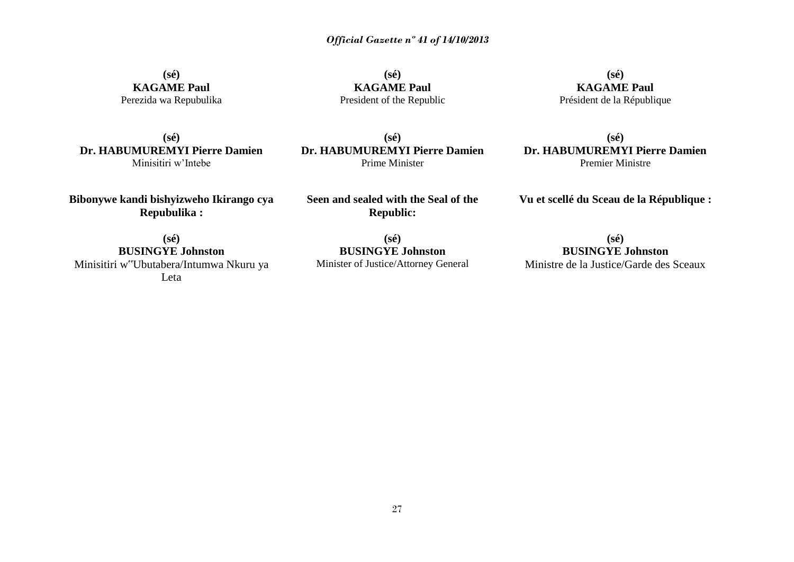**(sé) KAGAME Paul** Perezida wa Repubulika

**(sé) KAGAME Paul** President of the Republic

**(sé) KAGAME Paul** Président de la République

**(sé) Dr. HABUMUREMYI Pierre Damien** Minisitiri w'Intebe

**(sé) Dr. HABUMUREMYI Pierre Damien** Prime Minister

**(sé) Dr. HABUMUREMYI Pierre Damien** Premier Ministre

**Bibonywe kandi bishyizweho Ikirango cya Repubulika :**

**Seen and sealed with the Seal of the Republic:**

**Vu et scellé du Sceau de la République :**

**(sé) BUSINGYE Johnston** Minisitiri w"Ubutabera/Intumwa Nkuru ya Leta

**(sé) BUSINGYE Johnston** Minister of Justice/Attorney General

**(sé) BUSINGYE Johnston** Ministre de la Justice/Garde des Sceaux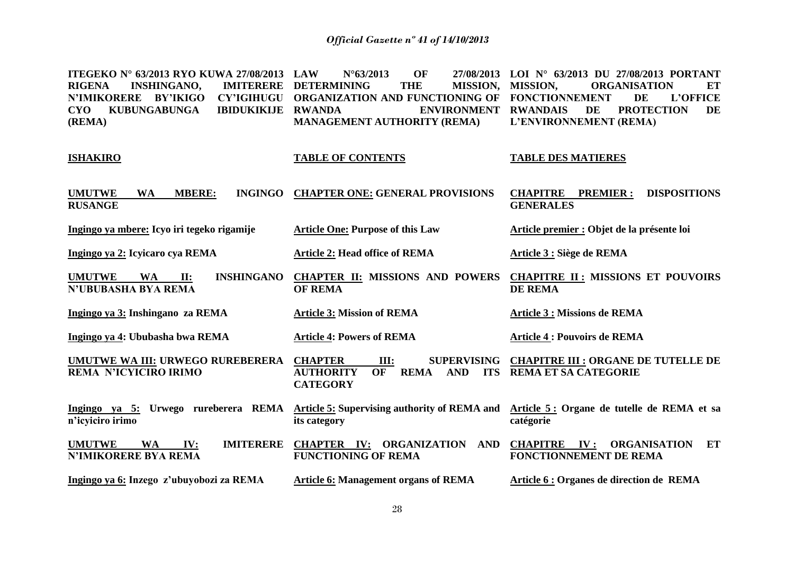**ITEGEKO N° 63/2013 RYO KUWA 27/08/2013 RIGENA INSHINGANO, N'IMIKORERE BY'IKIGO CY'IGIHUGU ORGANIZATION AND FUNCTIONING OF FONCTIONNEMENT DE L'OFFICE CYO KUBUNGABUNGA IBIDUKIKIJE (REMA) LAW N°63/2013 OF 27/08/2013 LOI N° 63/2013 DU 27/08/2013 PORTANT IMITERERE DETERMINING THE MISSION, MISSION, ENVIRONMENT RWANDAIS MANAGEMENT AUTHORITY (REMA) MISSION, ORGANISATION ET**  DE PROTECTION DE **L'ENVIRONNEMENT (REMA)**

#### **ISHAKIRO**

#### **TABLE OF CONTENTS**

**TABLE DES MATIERES**

| <b>UMUTWE</b><br><b>MBERE:</b><br><b>WA</b><br><b>INGINGO</b><br><b>RUSANGE</b> | <b>CHAPTER ONE: GENERAL PROVISIONS</b>                                                                                             | <b>DISPOSITIONS</b><br><b>CHAPITRE</b><br><b>PREMIER:</b><br><b>GENERALES</b> |
|---------------------------------------------------------------------------------|------------------------------------------------------------------------------------------------------------------------------------|-------------------------------------------------------------------------------|
| Ingingo ya mbere: Icyo iri tegeko rigamije                                      | <b>Article One: Purpose of this Law</b>                                                                                            | Article premier : Objet de la présente loi                                    |
| Ingingo ya 2: Icyicaro cya REMA                                                 | <b>Article 2: Head office of REMA</b>                                                                                              | Article 3 : Siège de REMA                                                     |
| <b>INSHINGANO</b><br><b>UMUTWE</b><br><b>WA</b><br>II:<br>N'UBUBASHA BYA REMA   | <b>CHAPTER II: MISSIONS AND POWERS</b><br><b>OF REMA</b>                                                                           | <b>CHAPITRE II: MISSIONS ET POUVOIRS</b><br><b>DE REMA</b>                    |
| Ingingo ya 3: Inshingano za REMA                                                | <b>Article 3: Mission of REMA</b>                                                                                                  | <b>Article 3 : Missions de REMA</b>                                           |
| Ingingo ya 4: Ububasha bwa REMA                                                 | <b>Article 4: Powers of REMA</b>                                                                                                   | <b>Article 4 : Pouvoirs de REMA</b>                                           |
| UMUTWE WA III: URWEGO RUREBERERA<br><b>REMA N'ICYICIRO IRIMO</b>                | <b>CHAPTER</b><br><b>SUPERVISING</b><br>Ш:<br>OF<br><b>AUTHORITY</b><br><b>REMA</b><br><b>AND</b><br><b>ITS</b><br><b>CATEGORY</b> | <b>CHAPITRE III : ORGANE DE TUTELLE DE</b><br><b>REMA ET SA CATEGORIE</b>     |
| REMA<br>Urwego rureberera<br>Ingingo ya 5:<br>n'icyiciro irimo                  | Article 5: Supervising authority of REMA and<br>its category                                                                       | Article 5: Organe de tutelle de REMA et sa<br>catégorie                       |

**UMUTWE WA IV: N'IMIKORERE BYA REMA CHAPTER IV: ORGANIZATION AND CHAPITRE IV : ORGANISATION ET FUNCTIONING OF REMA FONCTIONNEMENT DE REMA** 

**Ingingo ya 6: Inzego z'ubuyobozi za REMA Article 6: Management organs of REMA Article 6 : Organes de direction de REMA**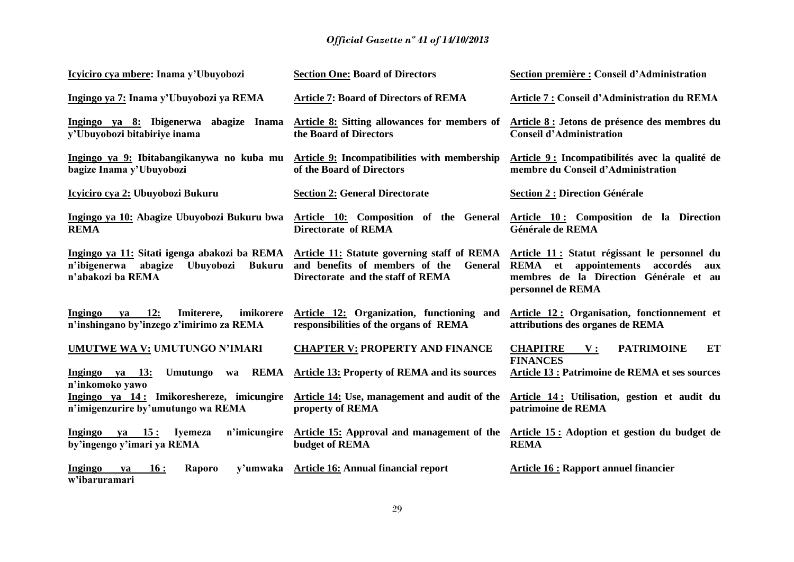| Icyiciro cya mbere: Inama y'Ubuyobozi                                                                                      | <b>Section One: Board of Directors</b>                                                                                        | Section première : Conseil d'Administration                                                                                                                     |
|----------------------------------------------------------------------------------------------------------------------------|-------------------------------------------------------------------------------------------------------------------------------|-----------------------------------------------------------------------------------------------------------------------------------------------------------------|
| Ingingo ya 7: Inama y'Ubuyobozi ya REMA                                                                                    | <b>Article 7: Board of Directors of REMA</b>                                                                                  | Article 7 : Conseil d'Administration du REMA                                                                                                                    |
| Ingingo ya 8: Ibigenerwa abagize Inama<br>y'Ubuyobozi bitabiriye inama                                                     | Article 8: Sitting allowances for members of<br>the Board of Directors                                                        | Article 8 : Jetons de présence des membres du<br><b>Conseil d'Administration</b>                                                                                |
| Ingingo ya 9: Ibitabangikanywa no kuba mu<br>bagize Inama y'Ubuyobozi                                                      | Article 9: Incompatibilities with membership<br>of the Board of Directors                                                     | Article 9 : Incompatibilités avec la qualité de<br>membre du Conseil d'Administration                                                                           |
| <u>Icyiciro cya 2:</u> Ubuyobozi Bukuru                                                                                    | <b>Section 2: General Directorate</b>                                                                                         | <b>Section 2: Direction Générale</b>                                                                                                                            |
| Ingingo ya 10: Abagize Ubuyobozi Bukuru bwa<br><b>REMA</b>                                                                 | <b>Directorate of REMA</b>                                                                                                    | Article 10: Composition of the General Article 10: Composition de la Direction<br>Générale de REMA                                                              |
| Ingingo ya 11: Sitati igenga abakozi ba REMA<br>n'ibigenerwa<br>abagize<br>Ubuyobozi<br><b>Bukuru</b><br>n'abakozi ba REMA | Article 11: Statute governing staff of REMA<br>and benefits of members of the<br>General<br>Directorate and the staff of REMA | Article 11 : Statut régissant le personnel du<br><b>REMA</b> et appointements<br>accordés<br>aux<br>membres de la Direction Générale et au<br>personnel de REMA |
| ya 12:<br>Ingingo<br>imikorere<br>Imiterere,<br>n'inshingano by'inzego z'imirimo za REMA                                   | Article 12: Organization, functioning and<br>responsibilities of the organs of REMA                                           | Article 12: Organisation, fonctionnement et<br>attributions des organes de REMA                                                                                 |
| UMUTWE WA V: UMUTUNGO N'IMARI                                                                                              | <b>CHAPTER V: PROPERTY AND FINANCE</b>                                                                                        | ET<br><b>PATRIMOINE</b><br><b>CHAPITRE</b><br>$\mathbf{V}$ :<br><b>FINANCES</b>                                                                                 |
| Ingingo ya 13:<br><b>Umutungo</b><br>wa<br>n'inkomoko yawo                                                                 | <b>REMA</b> Article 13: Property of REMA and its sources                                                                      | <b>Article 13 : Patrimoine de REMA et ses sources</b>                                                                                                           |
| Ingingo ya 14: Imikoreshereze, imicungire<br>n'imigenzurire by'umutungo wa REMA                                            | Article 14: Use, management and audit of the<br>property of REMA                                                              | Article 14: Utilisation, gestion et audit du<br>patrimoine de REMA                                                                                              |
| Ingingo ya 15:<br>n'imicungire<br><b>Iyemeza</b><br>by'ingengo y'imari ya REMA                                             | Article 15: Approval and management of the<br>budget of REMA                                                                  | Article 15: Adoption et gestion du budget de<br><b>REMA</b>                                                                                                     |
| Ingingo<br>16:<br>Raporo<br>ya<br>w'ibaruramari                                                                            | y'umwaka Article 16: Annual financial report                                                                                  | <b>Article 16 : Rapport annuel financier</b>                                                                                                                    |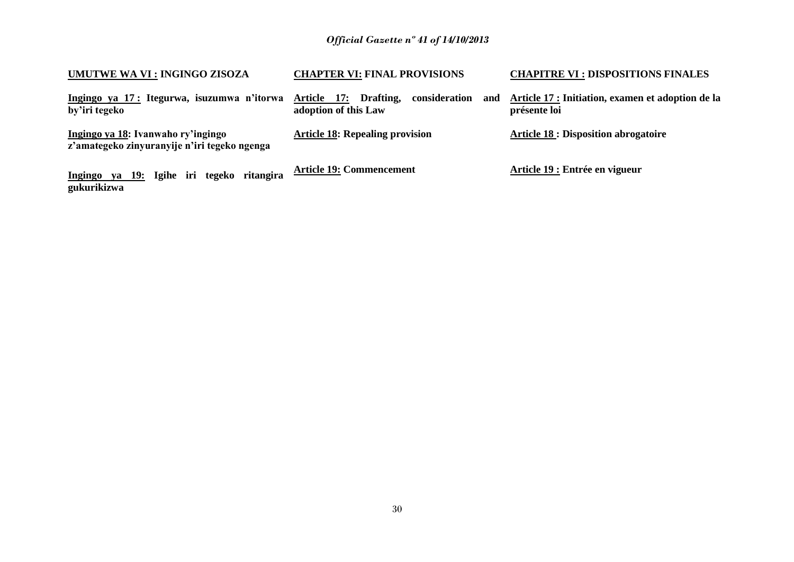| UMUTWE WA VI : INGINGO ZISOZA                                                      | <b>CHAPTER VI: FINAL PROVISIONS</b>                                   | <b>CHAPITRE VI : DISPOSITIONS FINALES</b>                         |
|------------------------------------------------------------------------------------|-----------------------------------------------------------------------|-------------------------------------------------------------------|
| Ingingo ya 17: Itegurwa, isuzumwa n'itorwa<br>by'iri tegeko                        | consideration<br>Article 17: Drafting,<br>and<br>adoption of this Law | Article 17 : Initiation, examen et adoption de la<br>présente loi |
| Ingingo ya 18: Ivanwaho ry'ingingo<br>z'amategeko zinyuranyije n'iri tegeko ngenga | <b>Article 18: Repealing provision</b>                                | <b>Article 18 : Disposition abrogatoire</b>                       |
| Ingingo ya 19: Igihe iri tegeko ritangira<br>gukurikizwa                           | <b>Article 19: Commencement</b>                                       | Article 19 : Entrée en vigueur                                    |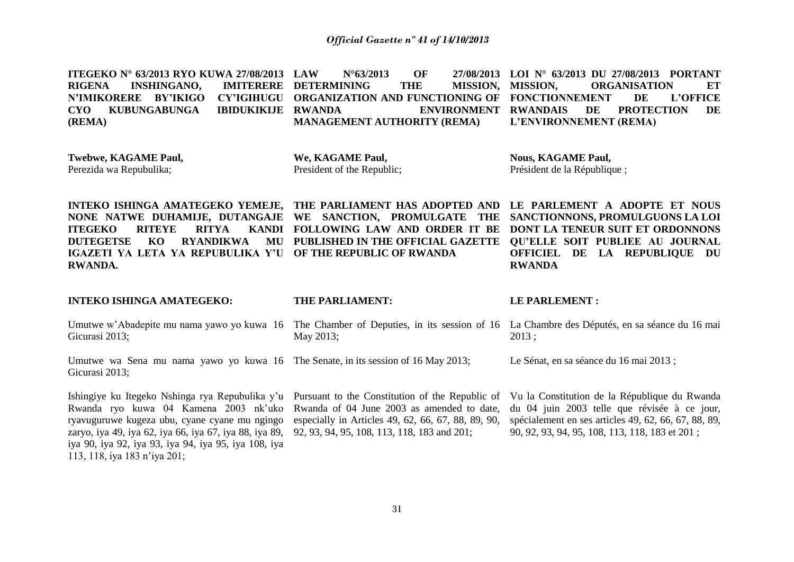**ITEGEKO N° 63/2013 RYO KUWA 27/08/2013 RIGENA INSHINGANO, N'IMIKORERE BY'IKIGO CYO KUBUNGABUNGA IBIDUKIKIJE (REMA) LAW N°63/2013 OF 27/08/2013 LOI N° 63/2013 DU 27/08/2013 PORTANT IMITERERE DETERMINING THE MISSION, MISSION, ORGANIZATION AND FUNCTIONING OF FONCTIONNEMENT DE L'OFFICE ENVIRONMENT RWANDAIS MANAGEMENT AUTHORITY (REMA) MISSION, ORGANISATION ET DE PROTECTION DE L'ENVIRONNEMENT (REMA)**

**Twebwe, KAGAME Paul,**  Perezida wa Repubulika;

**We, KAGAME Paul,** President of the Republic; **Nous, KAGAME Paul,** Président de la République ;

**INTEKO ISHINGA AMATEGEKO YEMEJE, THE PARLIAMENT HAS ADOPTED AND LE PARLEMENT A ADOPTE ET NOUS NONE NATWE DUHAMIJE, DUTANGAJE WE SANCTION, PROMULGATE THE SANCTIONNONS, PROMULGUONS LA LOI ITEGEKO RITEYE RITYA DUTEGETSE KO RYANDIKWA IGAZETI YA LETA YA REPUBULIKA Y'U OF THE REPUBLIC OF RWANDA RWANDA. FOLLOWING LAW AND ORDER IT BE DONT LA TENEUR SUIT ET ORDONNONS PUBLISHED IN THE OFFICIAL GAZETTE QU'ELLE SOIT PUBLIEE AU JOURNAL OFFICIEL DE LA REPUBLIQUE DU RWANDA** 

**INTEKO ISHINGA AMATEGEKO:**

Gicurasi 2013;

#### **THE PARLIAMENT:**

#### **LE PARLEMENT :**

Umutwe w'Abadepite mu nama yawo yo kuwa 16 The Chamber of Deputies, in its session of 16 La Chambre des Députés, en sa séance du 16 mai Gicurasi 2013; Umutwe wa Sena mu nama yawo yo kuwa 16 The Senate, in its session of 16 May 2013; May 2013; 2013 ; Le Sénat, en sa séance du 16 mai 2013 ;

Ishingiye ku Itegeko Nshinga rya Repubulika y'u Pursuant to the Constitution of the Republic of Vu la Constitution de la République du Rwanda Rwanda ryo kuwa 04 Kamena 2003 nk'uko ryavuguruwe kugeza ubu, cyane cyane mu ngingo zaryo, iya 49, iya 62, iya 66, iya 67, iya 88, iya 89, 92, 93, 94, 95, 108, 113, 118, 183 and 201; iya 90, iya 92, iya 93, iya 94, iya 95, iya 108, iya 113, 118, iya 183 n'iya 201;

Rwanda of 04 June 2003 as amended to date, especially in Articles 49, 62, 66, 67, 88, 89, 90,

du 04 juin 2003 telle que révisée à ce jour, spécialement en ses articles 49, 62, 66, 67, 88, 89, 90, 92, 93, 94, 95, 108, 113, 118, 183 et 201 ;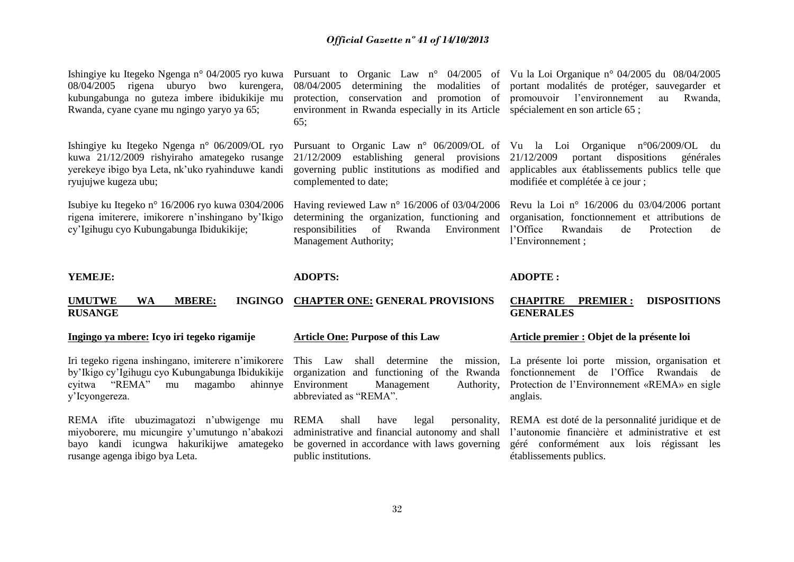| Ishingiye ku Itegeko Ngenga n° 04/2005 ryo kuwa<br>08/04/2005 rigena uburyo bwo kurengera,              | 08/04/2005                                                                                             | Pursuant to Organic Law $n^{\circ}$ 04/2005 of Vu la Loi Organique $n^{\circ}$ 04/2005 du 08/04/2005<br>determining the modalities of portant modalités de protéger, sauvegarder et |
|---------------------------------------------------------------------------------------------------------|--------------------------------------------------------------------------------------------------------|-------------------------------------------------------------------------------------------------------------------------------------------------------------------------------------|
| kubungabunga no guteza imbere ibidukikije mu                                                            | protection, conservation and promotion of promouvoir l'environmement                                   | Rwanda,<br>au                                                                                                                                                                       |
| Rwanda, cyane cyane mu ngingo yaryo ya 65;                                                              | environment in Rwanda especially in its Article spécialement en son article 65;                        |                                                                                                                                                                                     |
|                                                                                                         | 65;                                                                                                    |                                                                                                                                                                                     |
| Ishingiye ku Itegeko Ngenga n° 06/2009/OL ryo                                                           | Pursuant to Organic Law n° 06/2009/OL of Vu la Loi Organique n°06/2009/OL                              | du                                                                                                                                                                                  |
| kuwa 21/12/2009 rishyiraho amategeko rusange<br>yerekeye ibigo bya Leta, nk'uko ryahinduwe kandi        | 21/12/2009<br>establishing general provisions<br>governing public institutions as modified and         | 21/12/2009<br>portant<br>dispositions<br>générales<br>applicables aux établissements publics telle que                                                                              |
| ryujujwe kugeza ubu;                                                                                    | complemented to date;                                                                                  | modifiée et complétée à ce jour;                                                                                                                                                    |
|                                                                                                         |                                                                                                        |                                                                                                                                                                                     |
| Isubiye ku Itegeko n° 16/2006 ryo kuwa 0304/2006<br>rigena imiterere, imikorere n'inshingano by'Ikigo   | Having reviewed Law $n^{\circ}$ 16/2006 of 03/04/2006<br>determining the organization, functioning and | Revu la Loi nº 16/2006 du $03/04/2006$ portant<br>organisation, fonctionnement et attributions de                                                                                   |
| cy'Igihugu cyo Kubungabunga Ibidukikije;                                                                | responsibilities<br>Rwanda<br>of<br>Environment                                                        | l'Office<br>Rwandais<br>de<br>Protection<br>de                                                                                                                                      |
|                                                                                                         | Management Authority;                                                                                  | l'Environnement;                                                                                                                                                                    |
|                                                                                                         |                                                                                                        |                                                                                                                                                                                     |
| YEMEJE:                                                                                                 | <b>ADOPTS:</b>                                                                                         | <b>ADOPTE:</b>                                                                                                                                                                      |
| <b>UMUTWE</b><br>WA<br><b>MBERE:</b><br><b>INGINGO</b>                                                  | <b>CHAPTER ONE: GENERAL PROVISIONS</b>                                                                 | <b>CHAPITRE</b><br><b>DISPOSITIONS</b><br><b>PREMIER:</b>                                                                                                                           |
| <b>RUSANGE</b>                                                                                          |                                                                                                        | <b>GENERALES</b>                                                                                                                                                                    |
| Ingingo ya mbere: Icyo iri tegeko rigamije                                                              | <b>Article One: Purpose of this Law</b>                                                                | Article premier : Objet de la présente loi                                                                                                                                          |
|                                                                                                         |                                                                                                        |                                                                                                                                                                                     |
| Iri tegeko rigena inshingano, imiterere n'imikorere<br>by'Ikigo cy'Igihugu cyo Kubungabunga Ibidukikije | This Law<br>determine<br>shall<br>the<br>organization and functioning of the Rwanda                    | mission, La présente loi porte mission, organisation et<br>fonctionnement<br>l'Office<br>de<br>Rwandais de                                                                          |
| "REMA"<br>magambo<br>ahinnye<br>cvitwa<br>mu                                                            | Environment<br>Management<br>Authority,                                                                | Protection de l'Environnement «REMA» en sigle                                                                                                                                       |

REMA ifite ubuzimagatozi n'ubwigenge mu miyoborere, mu micungire y'umutungo n'abakozi bayo kandi icungwa hakurikijwe amategeko rusange agenga ibigo bya Leta.

y'Icyongereza.

Environment Management Authority, abbreviated as "REMA".

REMA shall have legal personality, administrative and financial autonomy and shall be governed in accordance with laws governing public institutions.

REMA est doté de la personnalité juridique et de l'autonomie financière et administrative et est géré conformément aux lois régissant les établissements publics.

anglais.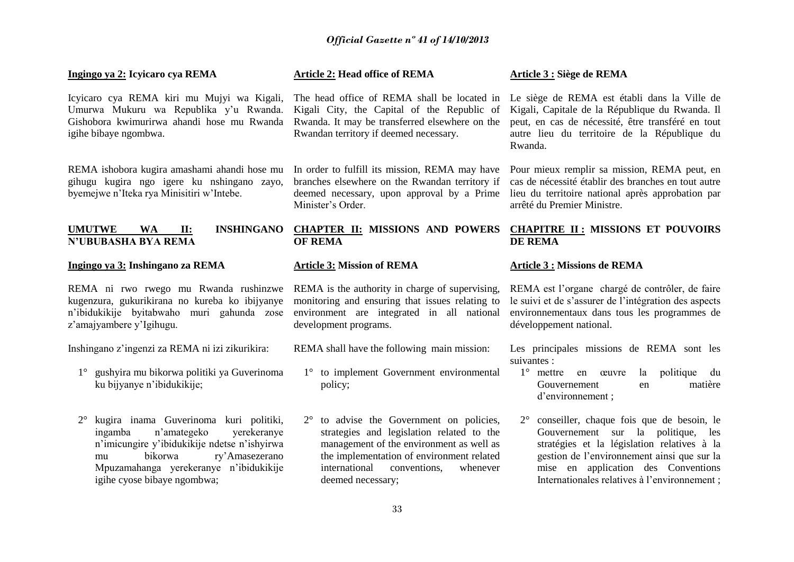#### 33 **Article 2: Head office of REMA**  The head office of REMA shall be located in Le siège de REMA est établi dans la Ville de Kigali City, the Capital of the Republic of Rwanda. It may be transferred elsewhere on the Rwandan territory if deemed necessary. In order to fulfill its mission, REMA may have Pour mieux remplir sa mission, REMA peut, en branches elsewhere on the Rwandan territory if deemed necessary, upon approval by a Prime Minister's Order. **CHAPTER II: MISSIONS AND POWERS OF REMA Article 3: Mission of REMA** REMA is the authority in charge of supervising, monitoring and ensuring that issues relating to environment are integrated in all national development programs. REMA shall have the following main mission: 1° to implement Government environmental policy; 2° to advise the Government on policies, strategies and legislation related to the management of the environment as well as the implementation of environment related international conventions, whenever deemed necessary; **Article 3 : Siège de REMA**  Kigali, Capitale de la République du Rwanda. Il peut, en cas de nécessité, être transféré en tout autre lieu du territoire de la République du Rwanda. cas de nécessité établir des branches en tout autre lieu du territoire national après approbation par arrêté du Premier Ministre. **CHAPITRE II : MISSIONS ET POUVOIRS DE REMA Article 3 : Missions de REMA**  REMA est l'organe chargé de contrôler, de faire développement national. suivantes : 1° mettre en œuvre la politique du d'environnement ;

#### **Ingingo ya 2: Icyicaro cya REMA**

Icyicaro cya REMA kiri mu Mujyi wa Kigali, Umurwa Mukuru wa Republika y'u Rwanda. Gishobora kwimurirwa ahandi hose mu Rwanda igihe bibaye ngombwa.

REMA ishobora kugira amashami ahandi hose mu gihugu kugira ngo igere ku nshingano zayo, byemejwe n'Iteka rya Minisitiri w'Intebe.

#### **UMUTWE WA II: INSHINGANO N'UBUBASHA BYA REMA**

#### **Ingingo ya 3: Inshingano za REMA**

REMA ni rwo rwego mu Rwanda rushinzwe kugenzura, gukurikirana no kureba ko ibijyanye n'ibidukikije byitabwaho muri gahunda zose z'amajyambere y'Igihugu.

Inshingano z'ingenzi za REMA ni izi zikurikira:

- 1° gushyira mu bikorwa politiki ya Guverinoma ku bijyanye n'ibidukikije;
- 2° kugira inama Guverinoma kuri politiki, ingamba n'amategeko yerekeranye n'imicungire y'ibidukikije ndetse n'ishyirwa mu bikorwa ry'Amasezerano Mpuzamahanga yerekeranye n'ibidukikije igihe cyose bibaye ngombwa;

le suivi et de s'assurer de l'intégration des aspects environnementaux dans tous les programmes de

Les principales missions de REMA sont les

- Gouvernement en matière
- 2° conseiller, chaque fois que de besoin, le Gouvernement sur la politique, les stratégies et la législation relatives à la gestion de l'environnement ainsi que sur la mise en application des Conventions Internationales relatives à l'environnement ;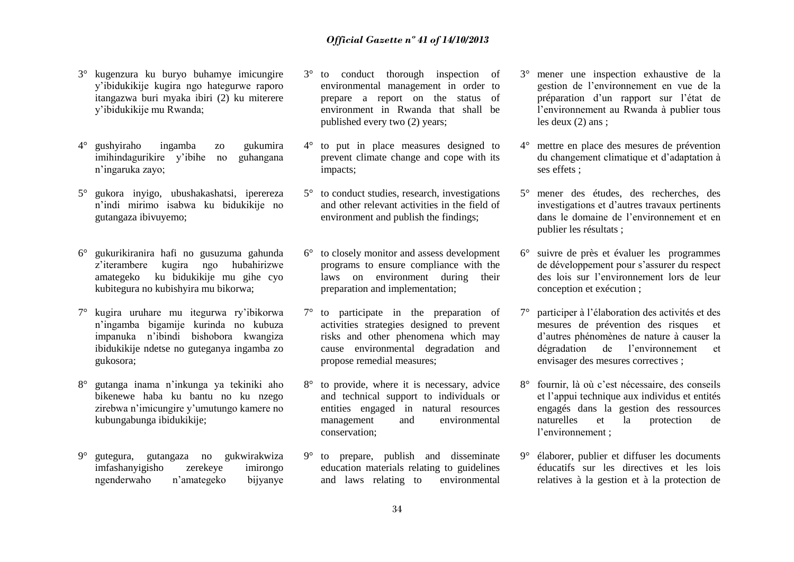- 3° kugenzura ku buryo buhamye imicungire y'ibidukikije kugira ngo hategurwe raporo itangazwa buri myaka ibiri (2) ku miterere y'ibidukikije mu Rwanda;
- 4° gushyiraho ingamba zo gukumira imihindagurikire y'ibihe no guhangana n'ingaruka zayo;
- 5° gukora inyigo, ubushakashatsi, iperereza n'indi mirimo isabwa ku bidukikije no gutangaza ibivuyemo;
- 6° gukurikiranira hafi no gusuzuma gahunda z'iterambere kugira ngo hubahirizwe amategeko ku bidukikije mu gihe cyo kubitegura no kubishyira mu bikorwa;
- 7° kugira uruhare mu itegurwa ry'ibikorwa n'ingamba bigamije kurinda no kubuza impanuka n'ibindi bishobora kwangiza ibidukikije ndetse no guteganya ingamba zo gukosora;
- 8° gutanga inama n'inkunga ya tekiniki aho bikenewe haba ku bantu no ku nzego zirebwa n'imicungire y'umutungo kamere no kubungabunga ibidukikije;
- 9° gutegura, gutangaza no gukwirakwiza imfashanyigisho zerekeye imirongo ngenderwaho n'amategeko bijyanye
- 3° to conduct thorough inspection of environmental management in order to prepare a report on the status of environment in Rwanda that shall be published every two (2) years;
- 4° to put in place measures designed to prevent climate change and cope with its impacts;
- 5° to conduct studies, research, investigations and other relevant activities in the field of environment and publish the findings;
- 6° to closely monitor and assess development programs to ensure compliance with the laws on environment during their preparation and implementation;
- 7° to participate in the preparation of activities strategies designed to prevent risks and other phenomena which may cause environmental degradation and propose remedial measures;
- 8° to provide, where it is necessary, advice and technical support to individuals or entities engaged in natural resources management and environmental conservation;
- 9° to prepare, publish and disseminate education materials relating to guidelines and laws relating to environmental
- 3° mener une inspection exhaustive de la gestion de l'environnement en vue de la préparation d'un rapport sur l'état de l'environnement au Rwanda à publier tous les deux (2) ans ;
- 4° mettre en place des mesures de prévention du changement climatique et d'adaptation à ses effets ;
- 5° mener des études, des recherches, des investigations et d'autres travaux pertinents dans le domaine de l'environnement et en publier les résultats ;
- 6° suivre de près et évaluer les programmes de développement pour s'assurer du respect des lois sur l'environnement lors de leur conception et exécution ;
- 7° participer à l'élaboration des activités et des mesures de prévention des risques et d'autres phénomènes de nature à causer la dégradation de l'environnement et envisager des mesures correctives ;
- 8° fournir, là où c'est nécessaire, des conseils et l'appui technique aux individus et entités engagés dans la gestion des ressources naturelles et la protection de l'environnement ;
- 9° élaborer, publier et diffuser les documents éducatifs sur les directives et les lois relatives à la gestion et à la protection de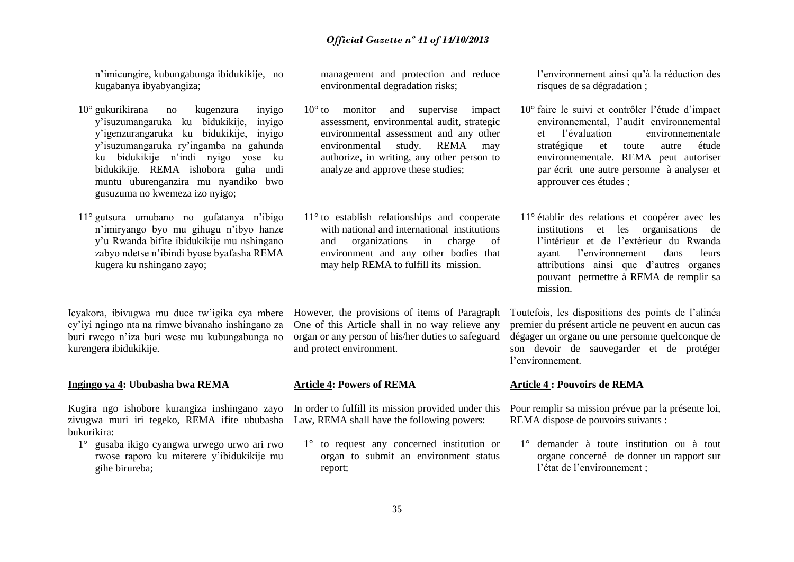n'imicungire, kubungabunga ibidukikije, no kugabanya ibyabyangiza;

- 10° gukurikirana no kugenzura inyigo y'isuzumangaruka ku bidukikije, inyigo y'igenzurangaruka ku bidukikije, inyigo y'isuzumangaruka ry'ingamba na gahunda ku bidukikije n'indi nyigo yose ku bidukikije. REMA ishobora guha undi muntu uburenganzira mu nyandiko bwo gusuzuma no kwemeza izo nyigo;
- 11° gutsura umubano no gufatanya n'ibigo n'imiryango byo mu gihugu n'ibyo hanze y'u Rwanda bifite ibidukikije mu nshingano zabyo ndetse n'ibindi byose byafasha REMA kugera ku nshingano zayo;

Icyakora, ibivugwa mu duce tw'igika cya mbere However, the provisions of items of Paragraph cy'iyi ngingo nta na rimwe bivanaho inshingano za buri rwego n'iza buri wese mu kubungabunga no kurengera ibidukikije.

#### **Ingingo ya 4: Ububasha bwa REMA**

Kugira ngo ishobore kurangiza inshingano zayo zivugwa muri iri tegeko, REMA ifite ububasha Law, REMA shall have the following powers: bukurikira:

1° gusaba ikigo cyangwa urwego urwo ari rwo rwose raporo ku miterere y'ibidukikije mu gihe birureba;

management and protection and reduce environmental degradation risks;

- 10<sup>°</sup> to monitor and supervise impact assessment, environmental audit, strategic environmental assessment and any other environmental study. REMA may authorize, in writing, any other person to analyze and approve these studies;
- 11° to establish relationships and cooperate with national and international institutions and organizations in charge of environment and any other bodies that may help REMA to fulfill its mission.

One of this Article shall in no way relieve any organ or any person of his/her duties to safeguard and protect environment.

#### **Article 4: Powers of REMA**

In order to fulfill its mission provided under this

1° to request any concerned institution or organ to submit an environment status report;

l'environnement ainsi qu'à la réduction des risques de sa dégradation ;

- 10° faire le suivi et contrôler l'étude d'impact environnemental, l'audit environnemental et l'évaluation environnementale stratégique et toute autre étude environnementale. REMA peut autoriser par écrit une autre personne à analyser et approuver ces études ;
- 11° établir des relations et coopérer avec les institutions et les organisations de l'intérieur et de l'extérieur du Rwanda ayant l'environnement dans leurs attributions ainsi que d'autres organes pouvant permettre à REMA de remplir sa mission.

Toutefois, les dispositions des points de l'alinéa premier du présent article ne peuvent en aucun cas dégager un organe ou une personne quelconque de son devoir de sauvegarder et de protéger l'environnement.

#### **Article 4 : Pouvoirs de REMA**

Pour remplir sa mission prévue par la présente loi, REMA dispose de pouvoirs suivants :

1° demander à toute institution ou à tout organe concerné de donner un rapport sur l'état de l'environnement ;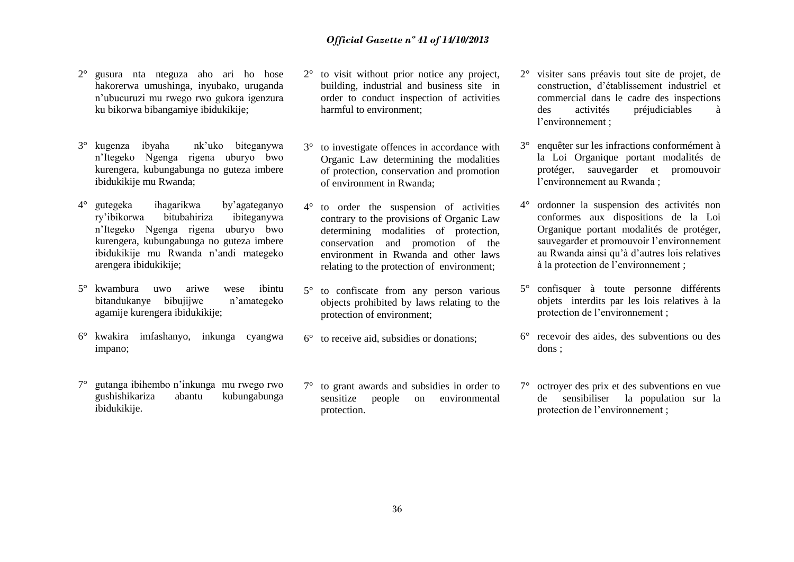- 2° gusura nta nteguza aho ari ho hose hakorerwa umushinga, inyubako, uruganda n'ubucuruzi mu rwego rwo gukora igenzura ku bikorwa bibangamiye ibidukikije;
- 3° kugenza ibyaha nk'uko biteganywa n'Itegeko Ngenga rigena uburyo bwo kurengera, kubungabunga no guteza imbere ibidukikije mu Rwanda;
- 4° gutegeka ihagarikwa by'agateganyo ry'ibikorwa bitubahiriza ibiteganywa n'Itegeko Ngenga rigena uburyo bwo kurengera, kubungabunga no guteza imbere ibidukikije mu Rwanda n'andi mategeko arengera ibidukikije;
- 5° kwambura uwo ariwe wese ibintu bitandukanye bibujijwe n'amategeko agamije kurengera ibidukikije;
- 6° kwakira imfashanyo, inkunga cyangwa impano;
- 7° gutanga ibihembo n'inkunga mu rwego rwo gushishikariza abantu kubungabunga ibidukikije.
- 2° to visit without prior notice any project, building, industrial and business site in order to conduct inspection of activities harmful to environment;
- 3° to investigate offences in accordance with Organic Law determining the modalities of protection, conservation and promotion of environment in Rwanda;
- 4° to order the suspension of activities contrary to the provisions of Organic Law determining modalities of protection, conservation and promotion of the environment in Rwanda and other laws relating to the protection of environment;
- 5° to confiscate from any person various objects prohibited by laws relating to the protection of environment;
- 6° to receive aid, subsidies or donations;
- 7° to grant awards and subsidies in order to sensitize people on environmental protection.
- 2° visiter sans préavis tout site de projet, de construction, d'établissement industriel et commercial dans le cadre des inspections des activités préjudiciables à l'environnement ;
- 3° enquêter sur les infractions conformément à la Loi Organique portant modalités de protéger, sauvegarder et promouvoir l'environnement au Rwanda ;
- 4° ordonner la suspension des activités non conformes aux dispositions de la Loi Organique portant modalités de protéger, sauvegarder et promouvoir l'environnement au Rwanda ainsi qu'à d'autres lois relatives à la protection de l'environnement ;
- 5° confisquer à toute personne différents objets interdits par les lois relatives à la protection de l'environnement ;
- 6° recevoir des aides, des subventions ou des dons ;
- 7° octroyer des prix et des subventions en vue de sensibiliser la population sur la protection de l'environnement ;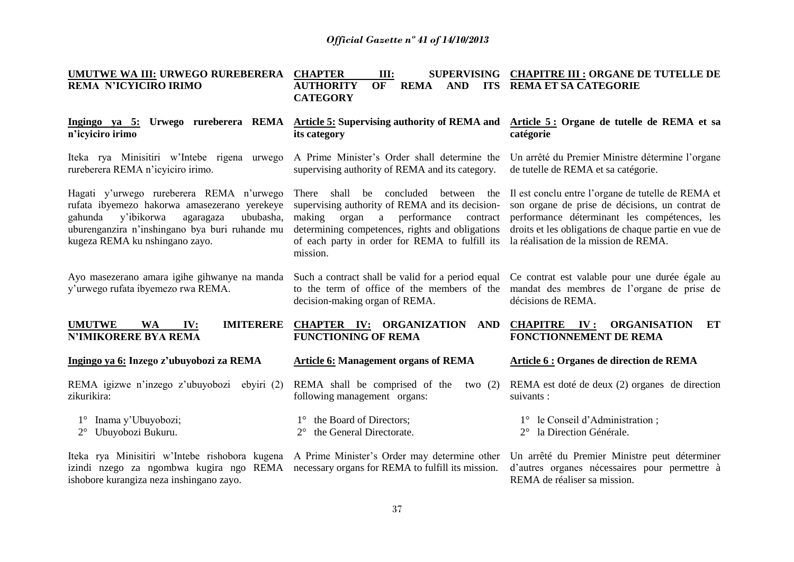| UMUTWE WA III: URWEGO RUREBERERA<br>REMA N'ICYICIRO IRIMO                                                                                                                                                                       | <b>CHAPTER</b><br>III:<br>OF<br><b>REMA</b><br><b>AUTHORITY</b><br><b>AND</b><br><b>CATEGORY</b>                                                                                                                                                            | SUPERVISING CHAPITRE III : ORGANE DE TUTELLE DE<br>ITS REMA ET SA CATEGORIE                                                                                                                                                                            |
|---------------------------------------------------------------------------------------------------------------------------------------------------------------------------------------------------------------------------------|-------------------------------------------------------------------------------------------------------------------------------------------------------------------------------------------------------------------------------------------------------------|--------------------------------------------------------------------------------------------------------------------------------------------------------------------------------------------------------------------------------------------------------|
| Ingingo ya 5: Urwego rureberera REMA<br>n'icyiciro irimo                                                                                                                                                                        | Article 5: Supervising authority of REMA and<br>its category                                                                                                                                                                                                | Article 5: Organe de tutelle de REMA et sa<br>catégorie                                                                                                                                                                                                |
| Iteka rya Minisitiri w'Intebe rigena urwego<br>rureberera REMA n'icyiciro irimo.                                                                                                                                                | A Prime Minister's Order shall determine the<br>supervising authority of REMA and its category.                                                                                                                                                             | Un arrêté du Premier Ministre détermine l'organe<br>de tutelle de REMA et sa catégorie.                                                                                                                                                                |
| Hagati y'urwego rureberera REMA n'urwego<br>rufata ibyemezo hakorwa amasezerano yerekeye<br>y'ibikorwa<br>gahunda<br>agaragaza<br>ububasha,<br>uburenganzira n'inshingano bya buri ruhande mu<br>kugeza REMA ku nshingano zayo. | There shall be concluded between the<br>supervising authority of REMA and its decision-<br>making<br>organ<br>a<br>performance<br>contract<br>determining competences, rights and obligations<br>of each party in order for REMA to fulfill its<br>mission. | Il est conclu entre l'organe de tutelle de REMA et<br>son organe de prise de décisions, un contrat de<br>performance déterminant les compétences, les<br>droits et les obligations de chaque partie en vue de<br>la réalisation de la mission de REMA. |
| Ayo masezerano amara igihe gihwanye na manda<br>y'urwego rufata ibyemezo rwa REMA.                                                                                                                                              | Such a contract shall be valid for a period equal<br>to the term of office of the members of the<br>decision-making organ of REMA.                                                                                                                          | Ce contrat est valable pour une durée égale au<br>mandat des membres de l'organe de prise de<br>décisions de REMA.                                                                                                                                     |
| <b>UMUTWE</b><br><b>WA</b><br><b>IMITERERE</b><br>IV:<br><b>N'IMIKORERE BYA REMA</b>                                                                                                                                            | <b>CHAPTER IV: ORGANIZATION</b><br>AND<br><b>FUNCTIONING OF REMA</b>                                                                                                                                                                                        | <b>CHAPITRE</b><br><b>ORGANISATION</b><br>IV:<br>ET<br><b>FONCTIONNEMENT DE REMA</b>                                                                                                                                                                   |
| Ingingo ya 6: Inzego z'ubuyobozi za REMA                                                                                                                                                                                        | <b>Article 6: Management organs of REMA</b>                                                                                                                                                                                                                 | <b>Article 6 : Organes de direction de REMA</b>                                                                                                                                                                                                        |
| REMA igizwe n'inzego z'ubuyobozi<br>ebyiri $(2)$<br>zikurikira:                                                                                                                                                                 | REMA shall be comprised of the<br>two $(2)$<br>following management organs:                                                                                                                                                                                 | REMA est doté de deux (2) organes de direction<br>suivants :                                                                                                                                                                                           |
| Inama y'Ubuyobozi;<br>$1^{\circ}$<br>Ubuyobozi Bukuru.<br>$2^{\circ}$                                                                                                                                                           | 1° the Board of Directors;<br>the General Directorate.                                                                                                                                                                                                      | 1° le Conseil d'Administration;<br>2° la Direction Générale.                                                                                                                                                                                           |
| Iteka rya Minisitiri w'Intebe rishobora kugena<br>izindi nzego za ngombwa kugira ngo REMA<br>ishobore kurangiza neza inshingano zayo.                                                                                           | A Prime Minister's Order may determine other<br>necessary organs for REMA to fulfill its mission.                                                                                                                                                           | Un arrêté du Premier Ministre peut déterminer<br>d'autres organes nécessaires pour permettre à<br>REMA de réaliser sa mission.                                                                                                                         |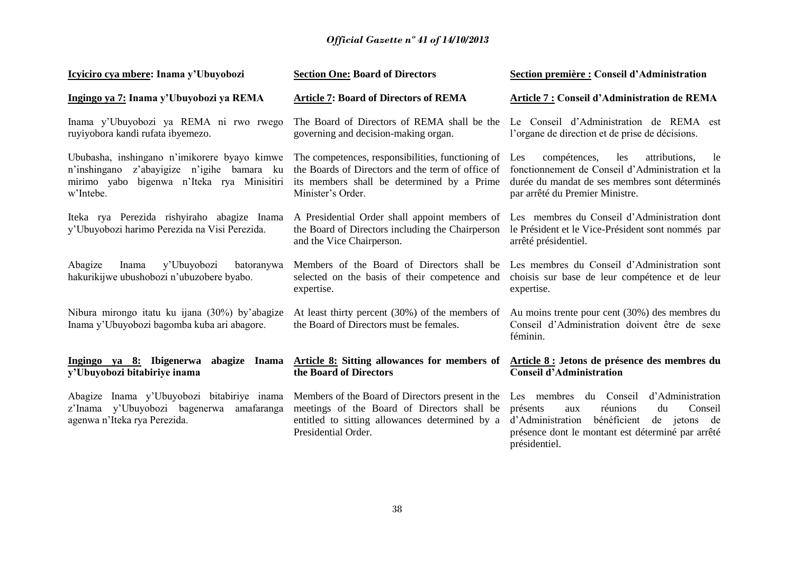| Icyiciro cya mbere: Inama y'Ubuyobozi                                                                                                                 | <b>Section One: Board of Directors</b>                                                                                                                                    | Section première : Conseil d'Administration                                                                                                                                                                         |
|-------------------------------------------------------------------------------------------------------------------------------------------------------|---------------------------------------------------------------------------------------------------------------------------------------------------------------------------|---------------------------------------------------------------------------------------------------------------------------------------------------------------------------------------------------------------------|
| Ingingo ya 7: Inama y'Ubuyobozi ya REMA                                                                                                               | <b>Article 7: Board of Directors of REMA</b>                                                                                                                              | Article 7 : Conseil d'Administration de REMA                                                                                                                                                                        |
| Inama y'Ubuyobozi ya REMA ni rwo rwego<br>ruyiyobora kandi rufata ibyemezo.                                                                           | The Board of Directors of REMA shall be the<br>governing and decision-making organ.                                                                                       | Le Conseil d'Administration de REMA est<br>l'organe de direction et de prise de décisions.                                                                                                                          |
| Ububasha, inshingano n'imikorere byayo kimwe<br>n'inshingano z'abayigize n'igihe bamara ku<br>mirimo yabo bigenwa n'Iteka rya Minisitiri<br>w'Intebe. | The competences, responsibilities, functioning of<br>the Boards of Directors and the term of office of<br>its members shall be determined by a Prime<br>Minister's Order. | compétences,<br>les<br>attributions,<br>Les<br>le<br>fonctionnement de Conseil d'Administration et la<br>durée du mandat de ses membres sont déterminés<br>par arrêté du Premier Ministre.                          |
| Iteka rya Perezida rishyiraho abagize Inama<br>y'Ubuyobozi harimo Perezida na Visi Perezida.                                                          | A Presidential Order shall appoint members of<br>the Board of Directors including the Chairperson<br>and the Vice Chairperson.                                            | Les membres du Conseil d'Administration dont<br>le Président et le Vice-Président sont nommés par<br>arrêté présidentiel.                                                                                           |
| Abagize<br>Inama<br>y'Ubuyobozi<br>batoranywa<br>hakurikijwe ubushobozi n'ubuzobere byabo.                                                            | Members of the Board of Directors shall be<br>selected on the basis of their competence and<br>expertise.                                                                 | Les membres du Conseil d'Administration sont<br>choisis sur base de leur compétence et de leur<br>expertise.                                                                                                        |
| Nibura mirongo itatu ku ijana (30%) by'abagize<br>Inama y'Ubuyobozi bagomba kuba ari abagore.                                                         | the Board of Directors must be females.                                                                                                                                   | At least thirty percent (30%) of the members of Au moins trente pour cent (30%) des membres du<br>Conseil d'Administration doivent être de sexe<br>féminin.                                                         |
| Ingingo ya 8: Ibigenerwa<br>abagize Inama<br>y'Ubuyobozi bitabiriye inama                                                                             | <b>Article 8:</b> Sitting allowances for members of<br>the Board of Directors                                                                                             | Article 8 : Jetons de présence des membres du<br><b>Conseil d'Administration</b>                                                                                                                                    |
| Abagize Inama y'Ubuyobozi bitabiriye inama<br>z'Inama y'Ubuyobozi bagenerwa amafaranga<br>agenwa n'Iteka rya Perezida.                                | Members of the Board of Directors present in the<br>meetings of the Board of Directors shall be<br>entitled to sitting allowances determined by a<br>Presidential Order.  | Les membres du Conseil<br>d'Administration<br>réunions<br>Conseil<br>présents<br>du<br>aux<br>bénéficient<br>d'Administration<br>de jetons de<br>présence dont le montant est déterminé par arrêté<br>présidentiel. |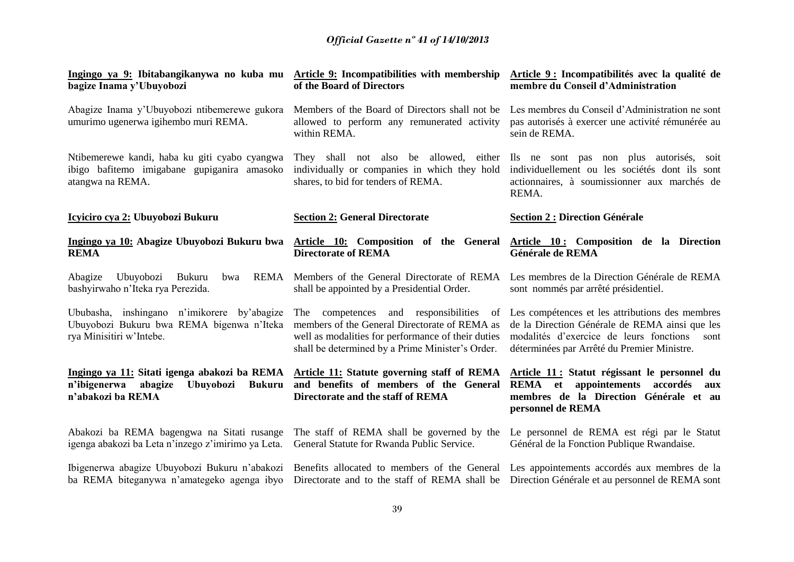| Ingingo ya 9: Ibitabangikanywa no kuba mu Article 9: Incompatibilities with membership<br>bagize Inama y'Ubuyobozi                | of the Board of Directors                                                                                                                                                                             | <b>Article 9 : Incompatibilités avec la qualité de</b><br>membre du Conseil d'Administration                                                                                                        |
|-----------------------------------------------------------------------------------------------------------------------------------|-------------------------------------------------------------------------------------------------------------------------------------------------------------------------------------------------------|-----------------------------------------------------------------------------------------------------------------------------------------------------------------------------------------------------|
| Abagize Inama y'Ubuyobozi ntibemerewe gukora<br>umurimo ugenerwa igihembo muri REMA.                                              | Members of the Board of Directors shall not be<br>allowed to perform any remunerated activity<br>within REMA.                                                                                         | Les membres du Conseil d'Administration ne sont<br>pas autorisés à exercer une activité rémunérée au<br>sein de REMA.                                                                               |
| Ntibemerewe kandi, haba ku giti cyabo cyangwa<br>ibigo bafitemo imigabane gupiganira amasoko<br>atangwa na REMA.                  | They shall not also be allowed, either<br>individually or companies in which they hold<br>shares, to bid for tenders of REMA.                                                                         | Ils ne sont pas non plus autorisés, soit<br>individuellement ou les sociétés dont ils sont<br>actionnaires, à soumissionner aux marchés de<br>REMA.                                                 |
| Icyiciro cya 2: Ubuyobozi Bukuru                                                                                                  | <b>Section 2: General Directorate</b>                                                                                                                                                                 | <b>Section 2 : Direction Générale</b>                                                                                                                                                               |
| Ingingo ya 10: Abagize Ubuyobozi Bukuru bwa<br><b>REMA</b>                                                                        | <b>Directorate of REMA</b>                                                                                                                                                                            | Article 10: Composition of the General Article 10: Composition de la Direction<br>Générale de REMA                                                                                                  |
| Ubuyobozi<br>REMA<br>Abagize<br>Bukuru<br>bwa<br>bashyirwaho n'Iteka rya Perezida.                                                | Members of the General Directorate of REMA<br>shall be appointed by a Presidential Order.                                                                                                             | Les membres de la Direction Générale de REMA<br>sont nommés par arrêté présidentiel.                                                                                                                |
| Ububasha, inshingano n'imikorere by'abagize<br>Ubuyobozi Bukuru bwa REMA bigenwa n'Iteka<br>rya Minisitiri w'Intebe.              | The competences and responsibilities<br>of<br>members of the General Directorate of REMA as<br>well as modalities for performance of their duties<br>shall be determined by a Prime Minister's Order. | Les compétences et les attributions des membres<br>de la Direction Générale de REMA ainsi que les<br>modalités d'exercice de leurs fonctions<br>sont<br>déterminées par Arrêté du Premier Ministre. |
| Ingingo ya 11: Sitati igenga abakozi ba REMA<br>n'ibigenerwa<br>abagize<br><b>Ubuyobozi</b><br><b>Bukuru</b><br>n'abakozi ba REMA | Article 11: Statute governing staff of REMA<br>and benefits of members of the General<br>Directorate and the staff of REMA                                                                            | Article 11 : Statut régissant le personnel du<br>appointements accordés<br>REMA et<br>aux<br>membres de la Direction Générale et au<br>personnel de REMA                                            |
| Abakozi ba REMA bagengwa na Sitati rusange<br>igenga abakozi ba Leta n'inzego z'imirimo ya Leta.                                  | The staff of REMA shall be governed by the<br>General Statute for Rwanda Public Service.                                                                                                              | Le personnel de REMA est régi par le Statut<br>Général de la Fonction Publique Rwandaise.                                                                                                           |
| Ibigenerwa abagize Ubuyobozi Bukuru n'abakozi<br>ba REMA biteganywa n'amategeko agenga ibyo                                       |                                                                                                                                                                                                       | Benefits allocated to members of the General Les appointements accordés aux membres de la<br>Directorate and to the staff of REMA shall be Direction Générale et au personnel de REMA sont          |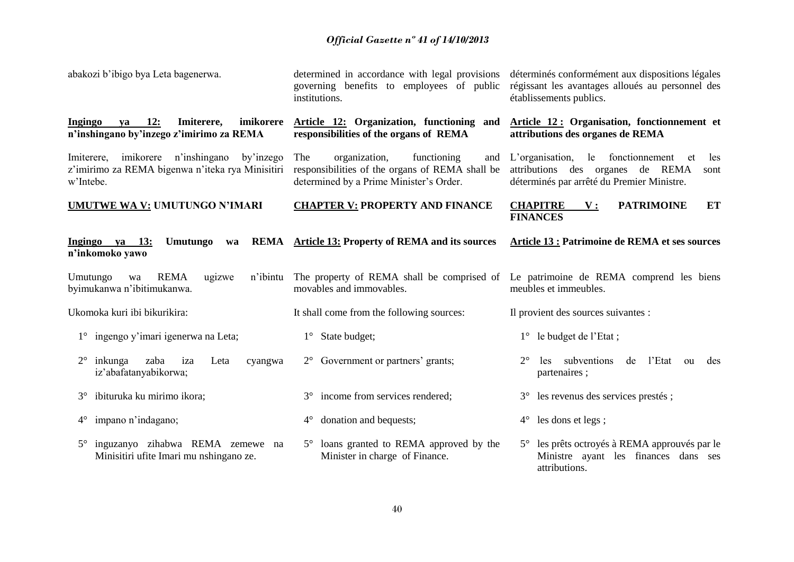| abakozi b'ibigo bya Leta bagenerwa.                                                                                | governing benefits to employees of public<br>institutions.                                                                               | determined in accordance with legal provisions déterminés conformément aux dispositions légales<br>régissant les avantages alloués au personnel des<br>établissements publics. |
|--------------------------------------------------------------------------------------------------------------------|------------------------------------------------------------------------------------------------------------------------------------------|--------------------------------------------------------------------------------------------------------------------------------------------------------------------------------|
| <b>12:</b><br>Ingingo<br>Imiterere,<br>imikorere<br>ya<br>n'inshingano by'inzego z'imirimo za REMA                 | Article 12: Organization, functioning and<br>responsibilities of the organs of REMA                                                      | Article 12: Organisation, fonctionnement et<br>attributions des organes de REMA                                                                                                |
| imikorere n'inshingano<br>by'inzego<br>Imiterere,<br>z'imirimo za REMA bigenwa n'iteka rya Minisitiri<br>w'Intebe. | The<br>organization,<br>functioning<br>and<br>responsibilities of the organs of REMA shall be<br>determined by a Prime Minister's Order. | L'organisation,<br>le fonctionnement<br>les<br>et<br>attributions des organes de REMA<br>sont<br>déterminés par arrêté du Premier Ministre.                                    |
| <b>UMUTWE WA V: UMUTUNGO N'IMARI</b>                                                                               | <b>CHAPTER V: PROPERTY AND FINANCE</b>                                                                                                   | <b>CHAPITRE</b><br><b>PATRIMOINE</b><br>ET<br>${\bf V}$ :<br><b>FINANCES</b>                                                                                                   |
| Umutungo<br>Ingingo ya 13:<br>wa<br>n'inkomoko yawo                                                                | <b>REMA</b> Article 13: Property of REMA and its sources                                                                                 | Article 13 : Patrimoine de REMA et ses sources                                                                                                                                 |
| <b>REMA</b><br>Umutungo<br>ugizwe<br>n'ibintu<br>wa<br>byimukanwa n'ibitimukanwa.                                  | movables and immovables.                                                                                                                 | The property of REMA shall be comprised of Le patrimoine de REMA comprend les biens<br>meubles et immeubles.                                                                   |
| Ukomoka kuri ibi bikurikira:                                                                                       | It shall come from the following sources:                                                                                                | Il provient des sources suivantes :                                                                                                                                            |
| 1° ingengo y'imari igenerwa na Leta;                                                                               | $1^\circ$ State budget;                                                                                                                  | $1^\circ$ le budget de l'Etat;                                                                                                                                                 |
| zaba<br>$2^{\circ}$<br>inkunga<br>iza<br>Leta<br>cyangwa<br>iz'abafatanyabikorwa;                                  | $2^{\circ}$ Government or partners' grants;                                                                                              | subventions de<br>l'Etat ou<br>$2^{\circ}$<br>les.<br>des<br>partenaires;                                                                                                      |
| ibituruka ku mirimo ikora;<br>$3^\circ$                                                                            | 3° income from services rendered;                                                                                                        | 3° les revenus des services prestés ;                                                                                                                                          |
| 4° impano n'indagano;                                                                                              | $4^{\circ}$ donation and bequests;                                                                                                       | $4^{\circ}$ les dons et legs;                                                                                                                                                  |
| 5° inguzanyo zihabwa REMA zemewe na<br>Minisitiri ufite Imari mu nshingano ze.                                     | 5° loans granted to REMA approved by the<br>Minister in charge of Finance.                                                               | 5° les prêts octroyés à REMA approuvés par le<br>Ministre ayant les finances dans ses<br>attributions.                                                                         |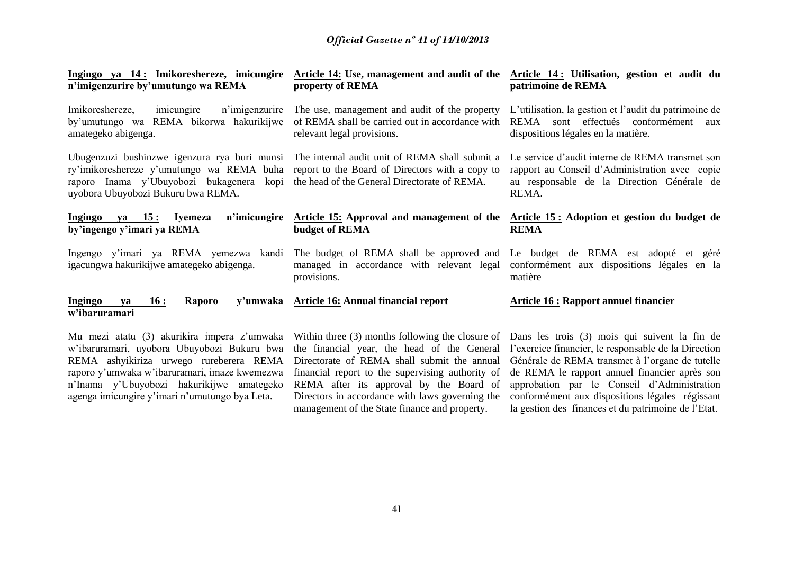| Ingingo ya 14: Imikoreshereze, imicungire<br>n'imigenzurire by'umutungo wa REMA                                                                                                                                                     | property of REMA                                                                                                                                                                          | Article 14: Use, management and audit of the Article 14: Utilisation, gestion et audit du<br>patrimoine de REMA                                                                                                                                                                                           |
|-------------------------------------------------------------------------------------------------------------------------------------------------------------------------------------------------------------------------------------|-------------------------------------------------------------------------------------------------------------------------------------------------------------------------------------------|-----------------------------------------------------------------------------------------------------------------------------------------------------------------------------------------------------------------------------------------------------------------------------------------------------------|
| n'imigenzurire<br>Imikoreshereze,<br>imicungire<br>by'umutungo wa REMA bikorwa hakurikijwe<br>amategeko abigenga.                                                                                                                   | The use, management and audit of the property<br>of REMA shall be carried out in accordance with<br>relevant legal provisions.                                                            | L'utilisation, la gestion et l'audit du patrimoine de<br>effectués conformément<br>REMA<br>sont<br>aux<br>dispositions légales en la matière.                                                                                                                                                             |
| Ubugenzuzi bushinzwe igenzura rya buri munsi The internal audit unit of REMA shall submit a<br>ry'imikoreshereze y'umutungo wa REMA buha<br>raporo Inama y'Ubuyobozi bukagenera<br>kopi<br>uyobora Ubuyobozi Bukuru bwa REMA.       | report to the Board of Directors with a copy to<br>the head of the General Directorate of REMA.                                                                                           | Le service d'audit interne de REMA transmet son<br>rapport au Conseil d'Administration avec copie<br>au responsable de la Direction Générale de<br>REMA.                                                                                                                                                  |
| n'imicungire<br>Ingingo ya 15: Iyemeza<br>by'ingengo y'imari ya REMA                                                                                                                                                                | budget of REMA                                                                                                                                                                            | Article 15: Approval and management of the Article 15: Adoption et gestion du budget de<br><b>REMA</b>                                                                                                                                                                                                    |
| Ingengo y'imari ya REMA yemezwa kandi<br>igacungwa hakurikijwe amategeko abigenga.                                                                                                                                                  | provisions.                                                                                                                                                                               | The budget of REMA shall be approved and Le budget de REMA est adopté et géré<br>managed in accordance with relevant legal conformement aux dispositions légales en la<br>matière                                                                                                                         |
| <b>Ingingo</b><br>Raporo<br>16:<br>ya<br>w'ibaruramari                                                                                                                                                                              | y'umwaka Article 16: Annual financial report                                                                                                                                              | <b>Article 16 : Rapport annuel financier</b>                                                                                                                                                                                                                                                              |
| Mu mezi atatu (3) akurikira impera z'umwaka<br>w'ibaruramari, uyobora Ubuyobozi Bukuru bwa<br>REMA ashyikiriza urwego rureberera REMA<br>raporo y'umwaka w'ibaruramari, imaze kwemezwa<br>n'Inama y'Ubuyobozi hakurikijwe amategeko | the financial year, the head of the General<br>Directorate of REMA shall submit the annual<br>financial report to the supervising authority of<br>REMA after its approval by the Board of | Within three (3) months following the closure of Dans les trois (3) mois qui suivent la fin de<br>l'exercice financier, le responsable de la Direction<br>Générale de REMA transmet à l'organe de tutelle<br>de REMA le rapport annuel financier après son<br>approbation par le Conseil d'Administration |

management of the State finance and property.

Directors in accordance with laws governing the conformément aux dispositions légales régissant

la gestion des finances et du patrimoine de l'Etat.

agenga imicungire y'imari n'umutungo bya Leta.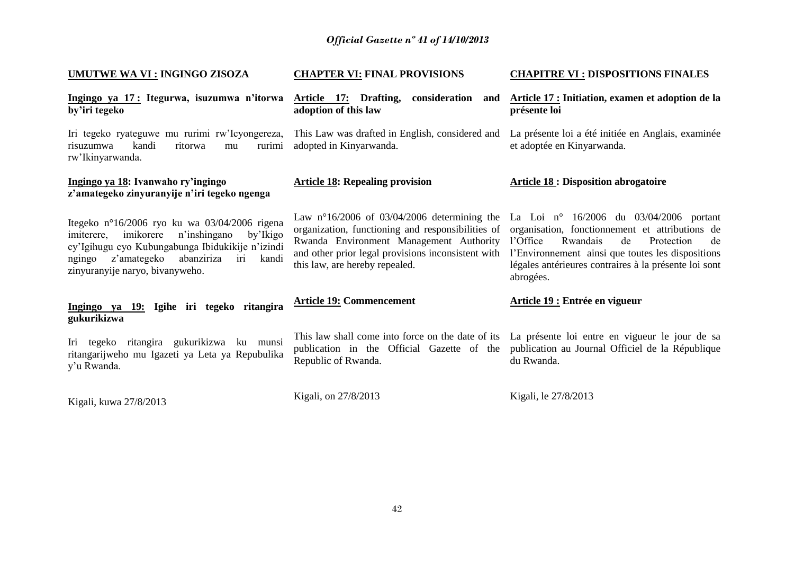| <b>UMUTWE WA VI : INGINGO ZISOZA</b>                                                                                                                                                                                                               | <b>CHAPTER VI: FINAL PROVISIONS</b>                                                                                                                                                                                                          | <b>CHAPITRE VI : DISPOSITIONS FINALES</b>                                                                                                                                                                                                                                   |
|----------------------------------------------------------------------------------------------------------------------------------------------------------------------------------------------------------------------------------------------------|----------------------------------------------------------------------------------------------------------------------------------------------------------------------------------------------------------------------------------------------|-----------------------------------------------------------------------------------------------------------------------------------------------------------------------------------------------------------------------------------------------------------------------------|
| Ingingo ya 17: Itegurwa, isuzumwa n'itorwa<br>by'iri tegeko                                                                                                                                                                                        | Article 17: Drafting, consideration and<br>adoption of this law                                                                                                                                                                              | Article 17 : Initiation, examen et adoption de la<br>présente loi                                                                                                                                                                                                           |
| Iri tegeko ryateguwe mu rurimi rw'Icyongereza,<br>risuzumwa<br>kandi<br>ritorwa<br>rurimi<br>mu<br>rw'Ikinyarwanda.                                                                                                                                | This Law was drafted in English, considered and<br>adopted in Kinyarwanda.                                                                                                                                                                   | La présente loi a été initiée en Anglais, examinée<br>et adoptée en Kinyarwanda.                                                                                                                                                                                            |
| Ingingo ya 18: Ivanwaho ry'ingingo<br>z'amategeko zinyuranyije n'iri tegeko ngenga                                                                                                                                                                 | <b>Article 18: Repealing provision</b>                                                                                                                                                                                                       | <b>Article 18: Disposition abrogatoire</b>                                                                                                                                                                                                                                  |
| Itegeko nº16/2006 ryo ku wa 03/04/2006 rigena<br>n'inshingano<br>imikorere<br>imiterere,<br>by'Ikigo<br>cy'Igihugu cyo Kubungabunga Ibidukikije n'izindi<br>z'amategeko<br>abanziriza<br>kandi<br>ngingo<br>iri<br>zinyuranyije naryo, bivanyweho. | Law $n^{\circ}16/2006$ of 03/04/2006 determining the<br>organization, functioning and responsibilities of<br>Rwanda Environment Management Authority<br>and other prior legal provisions inconsistent with<br>this law, are hereby repealed. | La Loi nº $16/2006$ du $03/04/2006$ portant<br>organisation, fonctionnement et attributions de<br>Rwandais<br>l'Office<br>de<br>Protection<br>de<br>l'Environnement ainsi que toutes les dispositions<br>légales antérieures contraires à la présente loi sont<br>abrogées. |
| Ingingo ya 19: Igihe iri tegeko ritangira<br>gukurikizwa                                                                                                                                                                                           | <b>Article 19: Commencement</b>                                                                                                                                                                                                              | Article 19 : Entrée en vigueur                                                                                                                                                                                                                                              |
| Iri tegeko ritangira gukurikizwa ku munsi<br>ritangarijweho mu Igazeti ya Leta ya Repubulika<br>y'u Rwanda.                                                                                                                                        | This law shall come into force on the date of its<br>publication in the Official Gazette of the<br>Republic of Rwanda.                                                                                                                       | La présente loi entre en vigueur le jour de sa<br>publication au Journal Officiel de la République<br>du Rwanda.                                                                                                                                                            |
| Kigali, kuwa 27/8/2013                                                                                                                                                                                                                             | Kigali, on 27/8/2013                                                                                                                                                                                                                         | Kigali, le 27/8/2013                                                                                                                                                                                                                                                        |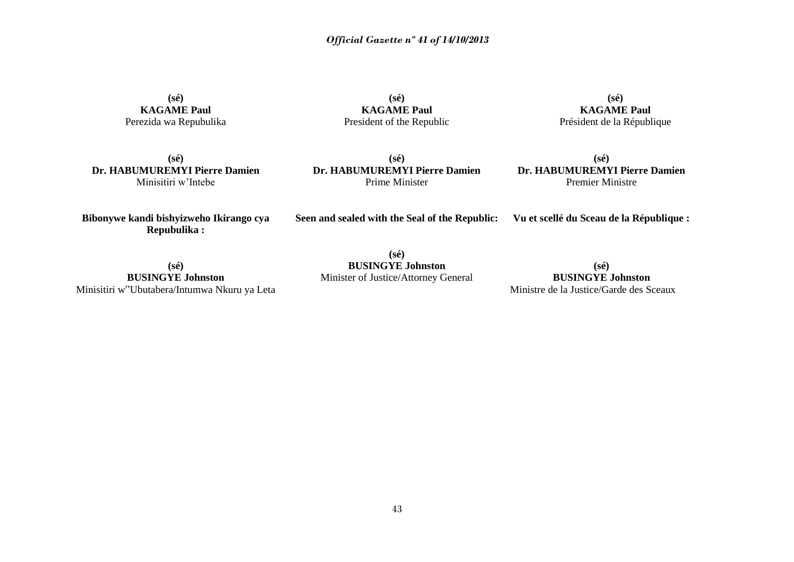**(sé) KAGAME Paul** Perezida wa Repubulika

**(sé) KAGAME Paul** President of the Republic

**(sé) KAGAME Paul** Président de la République

**(sé) Dr. HABUMUREMYI Pierre Damien** Minisitiri w'Intebe

**(sé) Dr. HABUMUREMYI Pierre Damien** Prime Minister

**(sé) Dr. HABUMUREMYI Pierre Damien** Premier Ministre

**Bibonywe kandi bishyizweho Ikirango cya Repubulika :**

**Seen and sealed with the Seal of the Republic:**

**Vu et scellé du Sceau de la République :**

**(sé) BUSINGYE Johnston** Minisitiri w"Ubutabera/Intumwa Nkuru ya Leta

**(sé) BUSINGYE Johnston** Minister of Justice/Attorney General

**(sé) BUSINGYE Johnston** Ministre de la Justice/Garde des Sceaux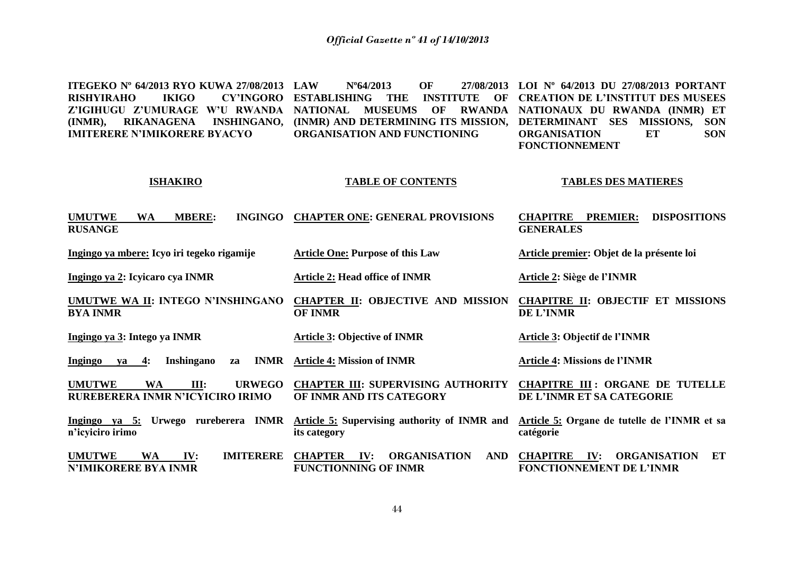**ITEGEKO Nº 64/2013 RYO KUWA 27/08/2013 RISHYIRAHO Z'IGIHUGU Z'UMURAGE W'U RWANDA NATIONAL MUSEUMS OF RWANDA NATIONAUX DU RWANDA (INMR) ET (INMR), RIKANAGENA INSHINGANO, (INMR) AND DETERMINING ITS MISSION, DETERMINANT SES MISSIONS, SON IMITERERE N'IMIKORERE BYACYO LAW Nº64/2013 OF 27/08/2013 LOI Nº 64/2013 DU 27/08/2013 PORTANT ESTABLISHING THE INSTITUTE OF CREATION DE L'INSTITUT DES MUSEES ORGANISATION AND FUNCTIONING ORGANISATION ET SON FONCTIONNEMENT**

#### **ISHAKIRO**

#### **TABLE OF CONTENTS**

#### **TABLES DES MATIERES**

| <b>UMUTWE</b><br><b>MBERE:</b><br>WA<br><b>INGINGO</b>                           | <b>CHAPTER ONE: GENERAL PROVISIONS</b>                                                    | <b>DISPOSITIONS</b><br><b>CHAPITRE</b><br><b>PREMIER:</b>                              |
|----------------------------------------------------------------------------------|-------------------------------------------------------------------------------------------|----------------------------------------------------------------------------------------|
| <b>RUSANGE</b>                                                                   |                                                                                           | <b>GENERALES</b>                                                                       |
| Ingingo ya mbere: Icyo iri tegeko rigamije                                       | <b>Article One: Purpose of this Law</b>                                                   | Article premier: Objet de la présente loi                                              |
| Ingingo ya 2: Icyicaro cya INMR                                                  | <b>Article 2: Head office of INMR</b>                                                     | Article 2: Siège de l'INMR                                                             |
| <b>UMUTWE WA II: INTEGO N'INSHINGANO</b><br><b>BYA INMR</b>                      | <b>CHAPTER II: OBJECTIVE AND MISSION</b><br><b>OF INMR</b>                                | <b>CHAPITRE II: OBJECTIF ET MISSIONS</b><br><b>DE L'INMR</b>                           |
| Ingingo ya 3: Intego ya INMR                                                     | <b>Article 3: Objective of INMR</b>                                                       | Article 3: Objectif de l'INMR                                                          |
| Inshingano<br><b>INMR</b><br>Ingingo<br>4:<br>va<br>za                           | <b>Article 4: Mission of INMR</b>                                                         | <b>Article 4: Missions de l'INMR</b>                                                   |
| III:<br><b>URWEGO</b><br><b>UMUTWE</b><br>WA<br>RUREBERERA INMR N'ICYICIRO IRIMO | <b>CHAPTER III: SUPERVISING AUTHORITY</b><br>OF INMR AND ITS CATEGORY                     | <b>CHAPITRE III: ORGANE DE TUTELLE</b><br>DE L'INMR ET SA CATEGORIE                    |
| rureberera INMR<br>Ingingo ya $5:$<br><b>Urwego</b><br>n'icyiciro irimo          | <b>Article 5: Supervising authority of INMR and</b><br>its category                       | Article 5: Organe de tutelle de l'INMR et sa<br>catégorie                              |
| <b>UMUTWE</b><br>IV:<br><b>IMITERERE</b><br>WA<br><b>N'IMIKORERE BYA INMR</b>    | <b>ORGANISATION</b><br><b>CHAPTER</b><br>IV:<br><b>AND</b><br><b>FUNCTIONNING OF INMR</b> | <b>ORGANISATION</b><br><b>CHAPITRE</b><br>IV:<br>ET<br><b>FONCTIONNEMENT DE L'INMR</b> |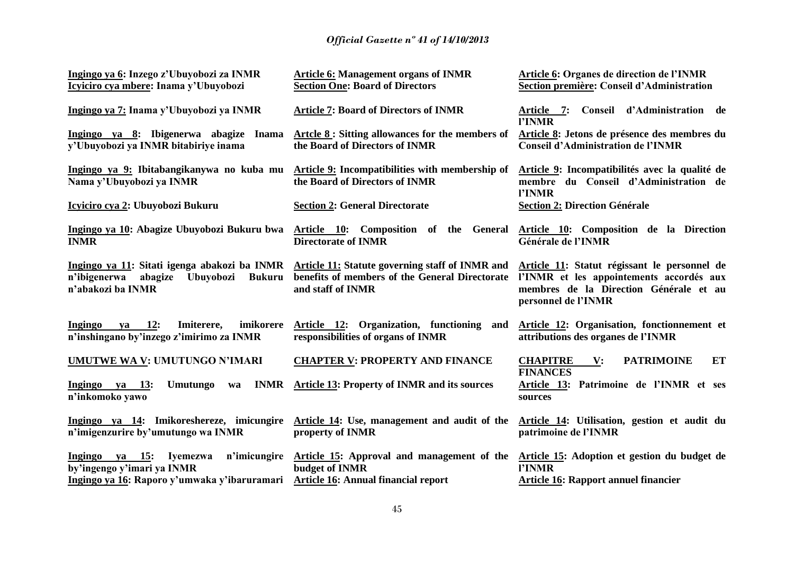| Ingingo ya 6: Inzego z'Ubuyobozi za INMR                                                                                   | <b>Article 6: Management organs of INMR</b>                                                                                   | Article 6: Organes de direction de l'INMR                                                                                                                 |
|----------------------------------------------------------------------------------------------------------------------------|-------------------------------------------------------------------------------------------------------------------------------|-----------------------------------------------------------------------------------------------------------------------------------------------------------|
| Icyiciro cya mbere: Inama y'Ubuyobozi                                                                                      | <b>Section One: Board of Directors</b>                                                                                        | Section première: Conseil d'Administration                                                                                                                |
| Ingingo ya 7: Inama y'Ubuyobozi ya INMR                                                                                    | <b>Article 7: Board of Directors of INMR</b>                                                                                  | Article 7: Conseil d'Administration de<br>l'INMR                                                                                                          |
| Ingingo ya 8: Ibigenerwa abagize Inama                                                                                     | Artcle 8: Sitting allowances for the members of                                                                               | Article 8: Jetons de présence des membres du                                                                                                              |
| y'Ubuyobozi ya INMR bitabiriye inama                                                                                       | the Board of Directors of INMR                                                                                                | <b>Conseil d'Administration de l'INMR</b>                                                                                                                 |
| Ingingo ya 9: Ibitabangikanywa no kuba mu                                                                                  | <b>Article 9:</b> Incompatibilities with membership of                                                                        | Article 9: Incompatibilités avec la qualité de                                                                                                            |
| Nama y'Ubuyobozi ya INMR                                                                                                   | the Board of Directors of INMR                                                                                                | membre du Conseil d'Administration de<br>l'INMR                                                                                                           |
| Icyiciro cya 2: Ubuyobozi Bukuru                                                                                           | <b>Section 2: General Directorate</b>                                                                                         | <b>Section 2: Direction Générale</b>                                                                                                                      |
| Ingingo ya 10: Abagize Ubuyobozi Bukuru bwa<br><b>INMR</b>                                                                 | Article 10: Composition of the General<br><b>Directorate of INMR</b>                                                          | Article 10: Composition de la Direction<br>Générale de l'INMR                                                                                             |
| Ingingo ya 11: Sitati igenga abakozi ba INMR<br>n'ibigenerwa<br>Ubuyobozi<br>abagize<br><b>Bukuru</b><br>n'abakozi ba INMR | <b>Article 11: Statute governing staff of INMR and</b><br>benefits of members of the General Directorate<br>and staff of INMR | Article 11: Statut régissant le personnel de<br>l'INMR et les appointements accordés aux<br>membres de la Direction Générale et au<br>personnel de l'INMR |
| 12:<br>imikorere<br>Ingingo<br>Imiterere,<br>va<br>n'inshingano by'inzego z'imirimo za INMR                                | Article 12: Organization, functioning<br>and<br>responsibilities of organs of INMR                                            | Article 12: Organisation, fonctionnement et<br>attributions des organes de l'INMR                                                                         |
| UMUTWE WA V: UMUTUNGO N'IMARI                                                                                              | <b>CHAPTER V: PROPERTY AND FINANCE</b>                                                                                        | <b>PATRIMOINE</b><br>ET<br><b>CHAPITRE</b><br>$\mathbf{V}$ :<br><b>FINANCES</b>                                                                           |
| <b>INMR</b><br>Ingingo ya 13:<br>Umutungo<br>wa<br>n'inkomoko yawo                                                         | <b>Article 13: Property of INMR and its sources</b>                                                                           | Article 13: Patrimoine de l'INMR et ses<br>sources                                                                                                        |
| Ingingo ya 14: Imikoreshereze, imicungire<br>n'imigenzurire by'umutungo wa INMR                                            | Article 14: Use, management and audit of the<br>property of INMR                                                              | Article 14: Utilisation, gestion et audit du<br>patrimoine de l'INMR                                                                                      |
| Ingingo ya 15:<br>n'imicungire<br>Iyemezwa<br>by'ingengo y'imari ya INMR                                                   | Article 15: Approval and management of the<br>budget of INMR                                                                  | Article 15: Adoption et gestion du budget de<br>l'INMR                                                                                                    |
| Ingingo ya 16: Raporo y'umwaka y'ibaruramari                                                                               | Article 16: Annual financial report                                                                                           | <b>Article 16: Rapport annuel financier</b>                                                                                                               |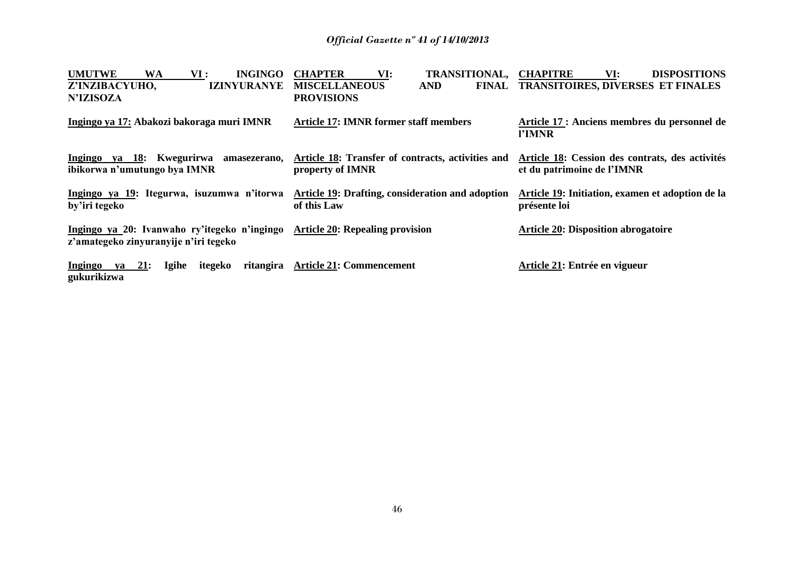| <b>UMUTWE</b><br><b>INGINGO</b><br><b>WA</b><br>VI :<br>Z'INZIBACYUHO,<br><b>IZINYURANYE</b><br><b>N'IZISOZA</b> | <b>CHAPTER</b><br>VI:<br><b>TRANSITIONAL,</b><br><b>MISCELLANEOUS</b><br><b>AND</b><br><b>PROVISIONS</b> | <b>CHAPITRE</b><br>VI:<br><b>DISPOSITIONS</b><br>FINAL TRANSITOIRES, DIVERSES ET FINALES |
|------------------------------------------------------------------------------------------------------------------|----------------------------------------------------------------------------------------------------------|------------------------------------------------------------------------------------------|
| Ingingo ya 17: Abakozi bakoraga muri IMNR                                                                        | <b>Article 17: IMNR former staff members</b>                                                             | Article 17 : Anciens membres du personnel de<br>l'IMNR                                   |
| Ingingo ya 18: Kwegurirwa<br>amasezerano,<br>ibikorwa n'umutungo bya IMNR                                        | Article 18: Transfer of contracts, activities and<br>property of IMNR                                    | Article 18: Cession des contrats, des activités<br>et du patrimoine de l'IMNR            |
| Ingingo ya 19: Itegurwa, isuzumwa n'itorwa<br>by'iri tegeko                                                      | <b>Article 19: Drafting, consideration and adoption</b><br>of this Law                                   | Article 19: Initiation, examen et adoption de la<br>présente loi                         |
| Ingingo ya 20: Ivanwaho ry'itegeko n'ingingo<br>z'amategeko zinyuranyije n'iri tegeko                            | <b>Article 20: Repealing provision</b>                                                                   | <b>Article 20: Disposition abrogatoire</b>                                               |
| Ingingo<br>21:<br>itegeko<br>ritangira<br>Igihe<br>va<br>gukurikizwa                                             | <b>Article 21: Commencement</b>                                                                          | Article 21: Entrée en vigueur                                                            |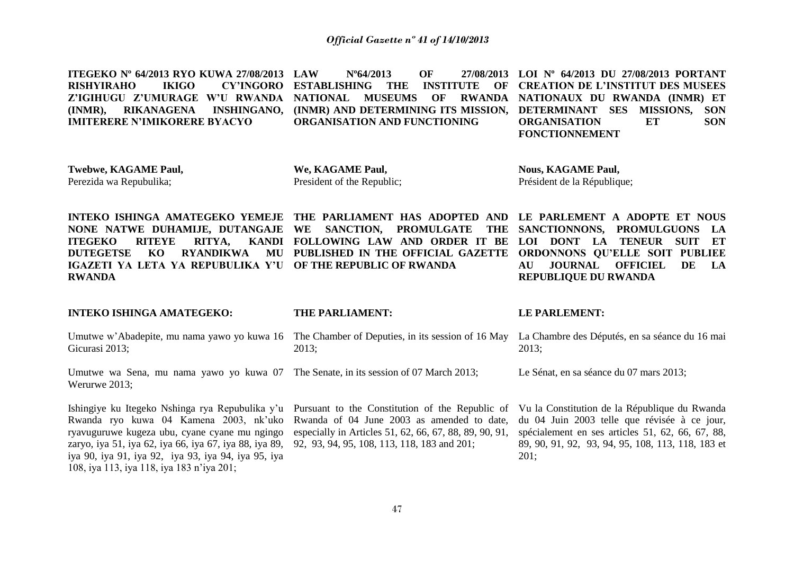**ITEGEKO Nº 64/2013 RYO KUWA 27/08/2013 RISHYIRAHO IKIGO CY'INGORO ESTABLISHING THE INSTITUTE OF CREATION DE L'INSTITUT DES MUSEES Z'IGIHUGU Z'UMURAGE W'U RWANDA NATIONAL MUSEUMS OF RWANDA NATIONAUX DU RWANDA (INMR) ET (INMR), RIKANAGENA INSHINGANO, (INMR) AND DETERMINING ITS MISSION, DETERMINANT SES MISSIONS, SON IMITERERE N'IMIKORERE BYACYO LAW Nº64/2013 OF 27/08/2013 LOI Nº 64/2013 DU 27/08/2013 PORTANT ORGANISATION AND FUNCTIONING ORGANISATION ET SON FONCTIONNEMENT**

**Twebwe, KAGAME Paul,** Perezida wa Repubulika;

**We, KAGAME Paul,** President of the Republic;

**Nous, KAGAME Paul,** Président de la République;

**INTEKO ISHINGA AMATEGEKO YEMEJE THE PARLIAMENT HAS ADOPTED AND LE PARLEMENT A ADOPTE ET NOUS NONE NATWE DUHAMIJE, DUTANGAJE WE SANCTION, PROMULGATE THE SANCTIONNONS, PROMULGUONS LA ITEGEKO RITEYE RITYA. DUTEGETSE KO RYANDIKWA MU PUBLISHED IN THE OFFICIAL GAZETTE ORDONNONS QU'ELLE SOIT PUBLIEE IGAZETI YA LETA YA REPUBULIKA Y'U OF THE REPUBLIC OF RWANDA RWANDA**

**FOLLOWING LAW AND ORDER IT BE LOI DONT LA TENEUR SUIT ET AU JOURNAL OFFICIEL DE LA REPUBLIQUE DU RWANDA**

| <b>INTEKO ISHINGA AMATEGEKO:</b>                                                                                                                                                                                                                                                                                                                                                                    | THE PARLIAMENT:                                                                                       | LE PARLEMENT:                                                                                                                                                                                                  |
|-----------------------------------------------------------------------------------------------------------------------------------------------------------------------------------------------------------------------------------------------------------------------------------------------------------------------------------------------------------------------------------------------------|-------------------------------------------------------------------------------------------------------|----------------------------------------------------------------------------------------------------------------------------------------------------------------------------------------------------------------|
| Umutwe w'Abadepite, mu nama yawo yo kuwa 16<br>Gicurasi 2013;                                                                                                                                                                                                                                                                                                                                       | The Chamber of Deputies, in its session of 16 May<br>$2013$ ;                                         | La Chambre des Députés, en sa séance du 16 mai<br>$2013$ ;                                                                                                                                                     |
| Umutwe wa Sena, mu nama yawo yo kuwa 07 The Senate, in its session of 07 March 2013;<br>Werurwe 2013;                                                                                                                                                                                                                                                                                               |                                                                                                       | Le Sénat, en sa séance du 07 mars 2013;                                                                                                                                                                        |
| Ishingiye ku Itegeko Nshinga rya Repubulika y'u Pursuant to the Constitution of the Republic of<br>Rwanda ryo kuwa 04 Kamena 2003, nk'uko Rwanda of 04 June 2003 as amended to date,<br>ryavuguruwe kugeza ubu, cyane cyane mu ngingo<br>zaryo, iya 51, iya 62, iya 66, iya 67, iya 88, iya 89,<br>iya 90, iya 91, iya 92, iya 93, iya 94, iya 95, iya<br>108, iya 113, iya 118, iya 183 n'iya 201; | especially in Articles 51, 62, 66, 67, 88, 89, 90, 91,<br>92, 93, 94, 95, 108, 113, 118, 183 and 201; | Vu la Constitution de la République du Rwanda<br>du 04 Juin 2003 telle que révisée à ce jour,<br>spécialement en ses articles 51, 62, 66, 67, 88,<br>89, 90, 91, 92, 93, 94, 95, 108, 113, 118, 183 et<br>201: |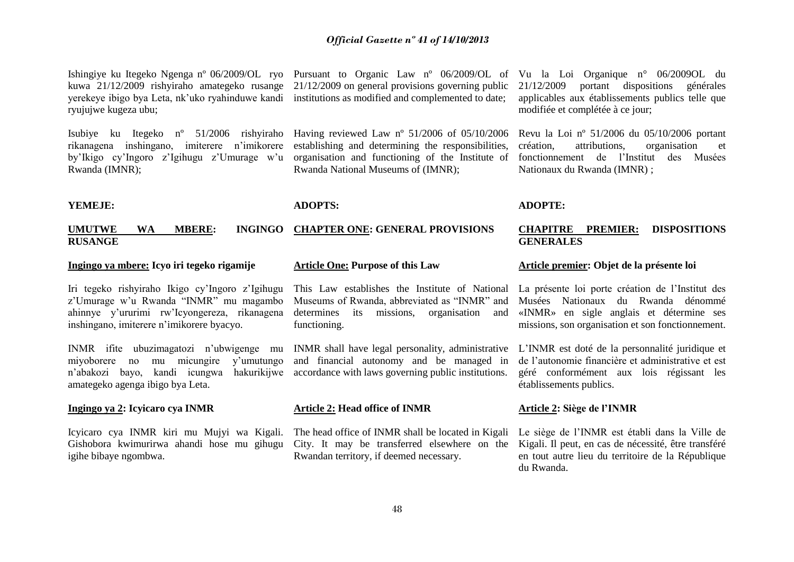Ishingiye ku Itegeko Ngenga nº 06/2009/OL ryo Pursuant to Organic Law nº 06/2009/OL of Vu la Loi Organique n° 06/2009OL du kuwa 21/12/2009 rishyiraho amategeko rusange 21/12/2009 on general provisions governing public yerekeye ibigo bya Leta, nk'uko ryahinduwe kandi institutions as modified and complemented to date; ryujujwe kugeza ubu;

rikanagena inshingano, imiterere n'imikorere by'Ikigo cy'Ingoro z'Igihugu z'Umurage w'u Rwanda (IMNR);

Isubiye ku Itegeko nº 51/2006 rishyiraho Having reviewed Law nº 51/2006 of 05/10/2006 establishing and determining the responsibilities, organisation and functioning of the Institute of Rwanda National Museums of (IMNR);

#### **ADOPTS:**

#### **UMUTWE WA MBERE: INGINGO CHAPTER ONE: GENERAL PROVISIONS RUSANGE**

#### **Ingingo ya mbere: Icyo iri tegeko rigamije**

**YEMEJE:** 

Iri tegeko rishyiraho Ikigo cy'Ingoro z'Igihugu z'Umurage w'u Rwanda "INMR" mu magambo ahinnye y'ururimi rw'Icyongereza, rikanagena inshingano, imiterere n'imikorere byacyo.

INMR ifite ubuzimagatozi n'ubwigenge mu INMR shall have legal personality, administrative miyoborere no mu micungire y'umutungo amategeko agenga ibigo bya Leta.

#### **Ingingo ya 2: Icyicaro cya INMR**

Icyicaro cya INMR kiri mu Mujyi wa Kigali. Gishobora kwimurirwa ahandi hose mu gihugu igihe bibaye ngombwa.

#### **Article One: Purpose of this Law**

This Law establishes the Institute of National Museums of Rwanda, abbreviated as "INMR" and determines its missions, organisation and functioning.

n'abakozi bayo, kandi icungwa hakurikijwe accordance with laws governing public institutions. and financial autonomy and be managed in

#### **Article 2: Head office of INMR**

The head office of INMR shall be located in Kigali City. It may be transferred elsewhere on the Rwandan territory, if deemed necessary.

21/12/2009 portant dispositions générales applicables aux établissements publics telle que modifiée et complétée à ce jour;

Revu la Loi nº 51/2006 du 05/10/2006 portant création, attributions, organisation et fonctionnement de l'Institut des Musées Nationaux du Rwanda (IMNR) ;

#### **ADOPTE:**

#### **CHAPITRE PREMIER: DISPOSITIONS GENERALES**

#### **Article premier: Objet de la présente loi**

La présente loi porte création de l'Institut des Musées Nationaux du Rwanda dénommé «INMR» en sigle anglais et détermine ses missions, son organisation et son fonctionnement.

L'INMR est doté de la personnalité juridique et de l'autonomie financière et administrative et est géré conformément aux lois régissant les établissements publics.

#### **Article 2: Siège de l'INMR**

Le siège de l'INMR est établi dans la Ville de Kigali. Il peut, en cas de nécessité, être transféré en tout autre lieu du territoire de la République du Rwanda.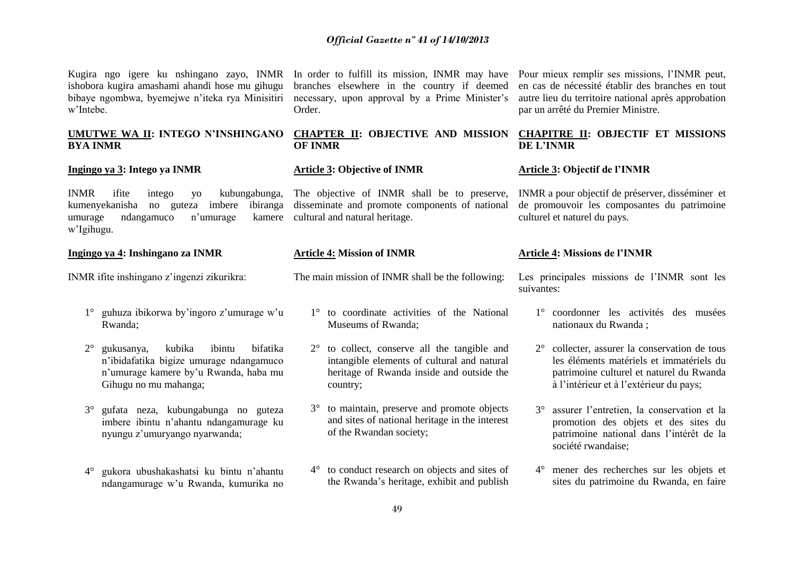Kugira ngo igere ku nshingano zayo, INMR In order to fulfill its mission, INMR may have ishobora kugira amashami ahandi hose mu gihugu bibaye ngombwa, byemejwe n'iteka rya Minisitiri w'Intebe.

### **UMUTWE WA II: INTEGO N'INSHINGANO BYA INMR**

#### **Ingingo ya 3: Intego ya INMR**

INMR ifite intego yo kubungabunga, kumenyekanisha no guteza imbere ibiranga umurage ndangamuco n'umurage w'Igihugu.

**Ingingo ya 4: Inshingano za INMR**

INMR ifite inshingano z'ingenzi zikurikra:

- 1° guhuza ibikorwa by'ingoro z'umurage w'u Rwanda;
- 2° gukusanya, kubika ibintu bifatika n'ibidafatika bigize umurage ndangamuco n'umurage kamere by'u Rwanda, haba mu Gihugu no mu mahanga;
- 3° gufata neza, kubungabunga no guteza imbere ibintu n'ahantu ndangamurage ku nyungu z'umuryango nyarwanda;
- 4° gukora ubushakashatsi ku bintu n'ahantu ndangamurage w'u Rwanda, kumurika no

branches elsewhere in the country if deemed necessary, upon approval by a Prime Minister's Order.

### **CHAPTER II: OBJECTIVE AND MISSION OF INMR**

### **Article 3: Objective of INMR**

The objective of INMR shall be to preserve, disseminate and promote components of national kamere cultural and natural heritage.

#### **Article 4: Mission of INMR**

The main mission of INMR shall be the following:

- 1° to coordinate activities of the National Museums of Rwanda;
- 2° to collect, conserve all the tangible and intangible elements of cultural and natural heritage of Rwanda inside and outside the country;
- 3° to maintain, preserve and promote objects and sites of national heritage in the interest of the Rwandan society;
- 4° to conduct research on objects and sites of the Rwanda's heritage, exhibit and publish

Pour mieux remplir ses missions, l'INMR peut, en cas de nécessité établir des branches en tout autre lieu du territoire national après approbation par un arrêté du Premier Ministre.

#### **CHAPITRE II: OBJECTIF ET MISSIONS DE L'INMR**

#### **Article 3: Objectif de l'INMR**

INMR a pour objectif de préserver, disséminer et de promouvoir les composantes du patrimoine culturel et naturel du pays.

#### **Article 4: Missions de l'INMR**

Les principales missions de l'INMR sont les suivantes:

- 1° coordonner les activités des musées nationaux du Rwanda ;
- 2° collecter, assurer la conservation de tous les éléments matériels et immatériels du patrimoine culturel et naturel du Rwanda à l'intérieur et à l'extérieur du pays;
- 3° assurer l'entretien, la conservation et la promotion des objets et des sites du patrimoine national dans l'intérêt de la société rwandaise;
- 4° mener des recherches sur les objets et sites du patrimoine du Rwanda, en faire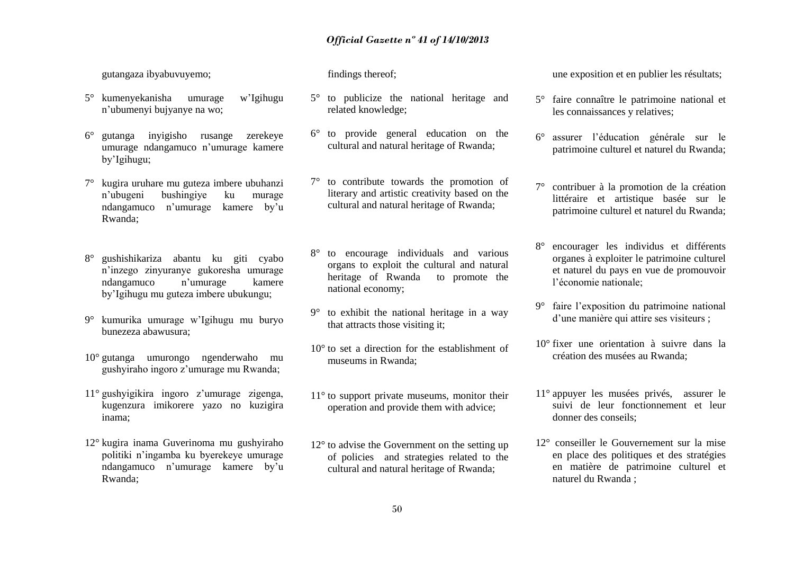gutangaza ibyabuvuyemo;

- 5° kumenyekanisha umurage w'Igihugu n'ubumenyi bujyanye na wo;
- 6° gutanga inyigisho rusange zerekeye umurage ndangamuco n'umurage kamere by'Igihugu;
- 7° kugira uruhare mu guteza imbere ubuhanzi n'ubugeni bushingiye ku murage ndangamuco n'umurage kamere by'u Rwanda;
- 8° gushishikariza abantu ku giti cyabo n'inzego zinyuranye gukoresha umurage ndangamuco n'umurage kamere by'Igihugu mu guteza imbere ubukungu;
- 9° kumurika umurage w'Igihugu mu buryo bunezeza abawusura;
- 10° gutanga umurongo ngenderwaho mu gushyiraho ingoro z'umurage mu Rwanda;
- 11° gushyigikira ingoro z'umurage zigenga, kugenzura imikorere yazo no kuzigira inama;
- 12° kugira inama Guverinoma mu gushyiraho politiki n'ingamba ku byerekeye umurage ndangamuco n'umurage kamere by'u Rwanda;

findings thereof;

- 5° to publicize the national heritage and related knowledge;
- 6° to provide general education on the cultural and natural heritage of Rwanda;
- 7° to contribute towards the promotion of literary and artistic creativity based on the cultural and natural heritage of Rwanda;
- 8° to encourage individuals and various organs to exploit the cultural and natural heritage of Rwanda to promote the national economy;
- 9° to exhibit the national heritage in a way that attracts those visiting it;
- 10° to set a direction for the establishment of museums in Rwanda;
- 11° to support private museums, monitor their operation and provide them with advice;
- 12° to advise the Government on the setting up of policies and strategies related to the cultural and natural heritage of Rwanda;

une exposition et en publier les résultats;

- 5° faire connaître le patrimoine national et les connaissances y relatives;
- 6° assurer l'éducation générale sur le patrimoine culturel et naturel du Rwanda;
- 7° contribuer à la promotion de la création littéraire et artistique basée sur le patrimoine culturel et naturel du Rwanda;
- 8° encourager les individus et différents organes à exploiter le patrimoine culturel et naturel du pays en vue de promouvoir l'économie nationale;
- 9° faire l'exposition du patrimoine national d'une manière qui attire ses visiteurs ;
- 10° fixer une orientation à suivre dans la création des musées au Rwanda;
- 11° appuyer les musées privés, assurer le suivi de leur fonctionnement et leur donner des conseils;
- 12° conseiller le Gouvernement sur la mise en place des politiques et des stratégies en matière de patrimoine culturel et naturel du Rwanda ;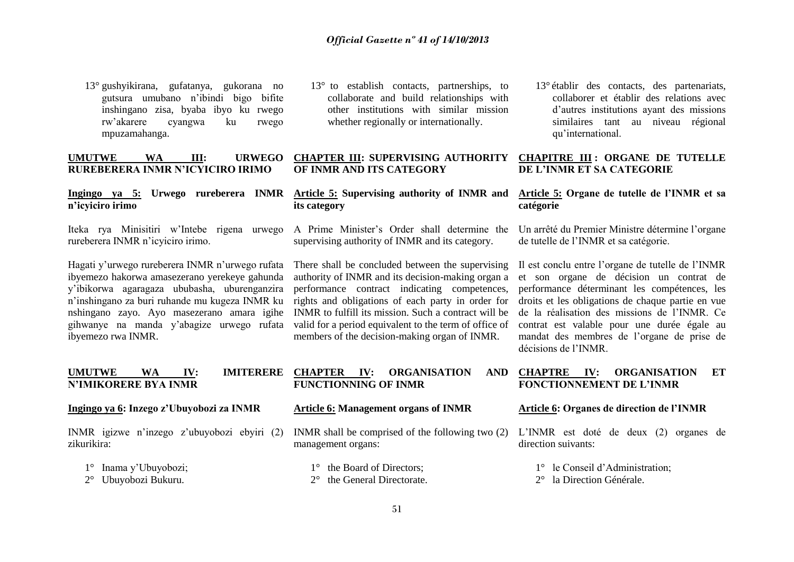13° gushyikirana, gufatanya, gukorana no gutsura umubano n'ibindi bigo bifite inshingano zisa, byaba ibyo ku rwego rw'akarere cyangwa ku rwego mpuzamahanga.

#### **UMUTWE WA III: URWEGO RUREBERERA INMR N'ICYICIRO IRIMO**

# **n'icyiciro irimo**

Iteka rya Minisitiri w'Intebe rigena urwego rureberera INMR n'icyiciro irimo.

Hagati y'urwego rureberera INMR n'urwego rufata ibyemezo hakorwa amasezerano yerekeye gahunda y'ibikorwa agaragaza ububasha, uburenganzira n'inshingano za buri ruhande mu kugeza INMR ku nshingano zayo. Ayo masezerano amara igihe gihwanye na manda y'abagize urwego rufata ibyemezo rwa INMR.

13° to establish contacts, partnerships, to collaborate and build relationships with other institutions with similar mission whether regionally or internationally.

#### **CHAPTER III: SUPERVISING AUTHORITY OF INMR AND ITS CATEGORY**

#### **Ingingo ya 5: Urwego rureberera INMR Article 5: Supervising authority of INMR and its category**

A Prime Minister's Order shall determine the supervising authority of INMR and its category.

There shall be concluded between the supervising authority of INMR and its decision-making organ a performance contract indicating competences, rights and obligations of each party in order for INMR to fulfill its mission. Such a contract will be valid for a period equivalent to the term of office of members of the decision-making organ of INMR.

13° établir des contacts, des partenariats, collaborer et établir des relations avec d'autres institutions ayant des missions similaires tant au niveau régional qu'international.

### **CHAPITRE III : ORGANE DE TUTELLE DE L'INMR ET SA CATEGORIE**

#### **Article 5: Organe de tutelle de l'INMR et sa catégorie**

Un arrêté du Premier Ministre détermine l'organe de tutelle de l'INMR et sa catégorie.

Il est conclu entre l'organe de tutelle de l'INMR et son organe de décision un contrat de performance déterminant les compétences, les droits et les obligations de chaque partie en vue de la réalisation des missions de l'INMR. Ce contrat est valable pour une durée égale au mandat des membres de l'organe de prise de décisions de l'INMR.

#### **UMUTWE WA IV: IMITERERE N'IMIKORERE BYA INMR CHAPTER IV: ORGANISATION AND FUNCTIONNING OF INMR CHAPTRE IV: ORGANISATION ET FONCTIONNEMENT DE L'INMR**

#### **Ingingo ya 6: Inzego z'Ubuyobozi za INMR**

INMR igizwe n'inzego z'ubuyobozi ebyiri (2) zikurikira:

- 1° Inama y'Ubuyobozi;
- 2° Ubuyobozi Bukuru.

#### **Article 6: Management organs of INMR**

INMR shall be comprised of the following two (2) management organs:

1° the Board of Directors;

#### 2° the General Directorate.

#### **Article 6: Organes de direction de l'INMR**

L'INMR est doté de deux (2) organes de direction suivants:

1° le Conseil d'Administration;

2° la Direction Générale.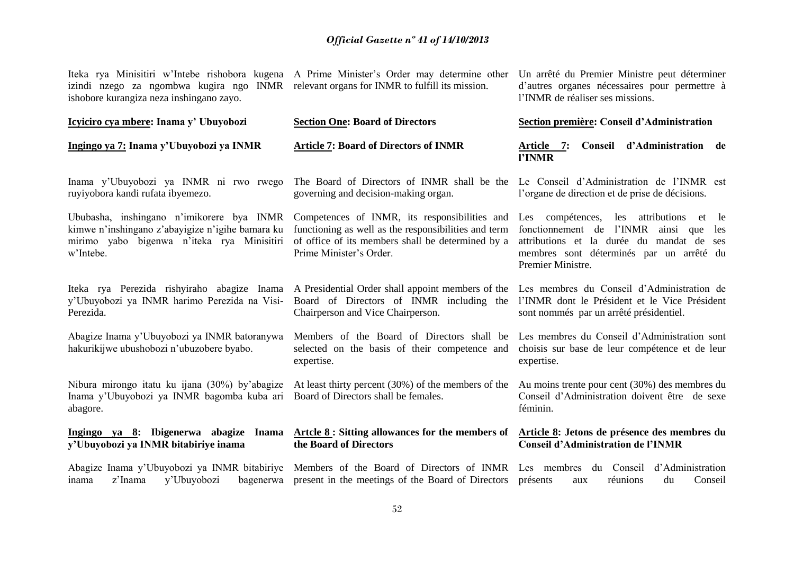| Iteka rya Minisitiri w'Intebe rishobora kugena A Prime Minister's Order may determine other<br>izindi nzego za ngombwa kugira ngo INMR relevant organs for INMR to fulfill its mission.<br>ishobore kurangiza neza inshingano zayo. |                                                                                                                                                                                       | Un arrêté du Premier Ministre peut déterminer<br>d'autres organes nécessaires pour permettre à<br>l'INMR de réaliser ses missions.                                                                             |
|-------------------------------------------------------------------------------------------------------------------------------------------------------------------------------------------------------------------------------------|---------------------------------------------------------------------------------------------------------------------------------------------------------------------------------------|----------------------------------------------------------------------------------------------------------------------------------------------------------------------------------------------------------------|
| Icyiciro cya mbere: Inama y' Ubuyobozi                                                                                                                                                                                              | <b>Section One: Board of Directors</b>                                                                                                                                                | Section première: Conseil d'Administration                                                                                                                                                                     |
| Ingingo ya 7: Inama y'Ubuyobozi ya INMR                                                                                                                                                                                             | <b>Article 7: Board of Directors of INMR</b>                                                                                                                                          | Conseil d'Administration de<br>Article 7:<br>l'INMR                                                                                                                                                            |
| Inama y'Ubuyobozi ya INMR ni rwo rwego<br>ruyiyobora kandi rufata ibyemezo.                                                                                                                                                         | The Board of Directors of INMR shall be the<br>governing and decision-making organ.                                                                                                   | Le Conseil d'Administration de l'INMR est<br>l'organe de direction et de prise de décisions.                                                                                                                   |
| Ububasha, inshingano n'imikorere bya INMR<br>kimwe n'inshingano z'abayigize n'igihe bamara ku<br>mirimo yabo bigenwa n'iteka rya Minisitiri<br>w'Intebe.                                                                            | Competences of INMR, its responsibilities and<br>functioning as well as the responsibilities and term<br>of office of its members shall be determined by a<br>Prime Minister's Order. | Les compétences,<br>les attributions<br>le<br>et<br>fonctionnement de l'INMR<br>ainsi que<br>les<br>attributions et la durée du mandat de ses<br>membres sont déterminés par un arrêté du<br>Premier Ministre. |
| Iteka rya Perezida rishyiraho abagize Inama A Presidential Order shall appoint members of the<br>y'Ubuyobozi ya INMR harimo Perezida na Visi-<br>Perezida.                                                                          | Board of Directors of INMR including the<br>Chairperson and Vice Chairperson.                                                                                                         | Les membres du Conseil d'Administration de<br>l'INMR dont le Président et le Vice Président<br>sont nommés par un arrêté présidentiel.                                                                         |
| Abagize Inama y'Ubuyobozi ya INMR batoranywa<br>hakurikijwe ubushobozi n'ubuzobere byabo.                                                                                                                                           | Members of the Board of Directors shall be<br>selected on the basis of their competence and<br>expertise.                                                                             | Les membres du Conseil d'Administration sont<br>choisis sur base de leur compétence et de leur<br>expertise.                                                                                                   |
| Nibura mirongo itatu ku ijana (30%) by'abagize<br>Inama y'Ubuyobozi ya INMR bagomba kuba ari<br>abagore.                                                                                                                            | At least thirty percent (30%) of the members of the<br>Board of Directors shall be females.                                                                                           | Au moins trente pour cent (30%) des membres du<br>Conseil d'Administration doivent être de sexe<br>féminin.                                                                                                    |
| Ingingo ya 8: Ibigenerwa abagize Inama<br>y'Ubuyobozi ya INMR bitabiriye inama                                                                                                                                                      | $\underline{\text{Artele 8}}$ : Sitting allowances for the members of<br>the Board of Directors                                                                                       | Article 8: Jetons de présence des membres du<br><b>Conseil d'Administration de l'INMR</b>                                                                                                                      |
| Abagize Inama y'Ubuyobozi ya INMR bitabiriye<br>y'Ubuyobozi<br>z'Inama<br>bagenerwa<br>inama                                                                                                                                        | Members of the Board of Directors of INMR<br>present in the meetings of the Board of Directors                                                                                        | Les membres du Conseil<br>d'Administration<br>présents<br>réunions<br>du<br>Conseil<br>aux                                                                                                                     |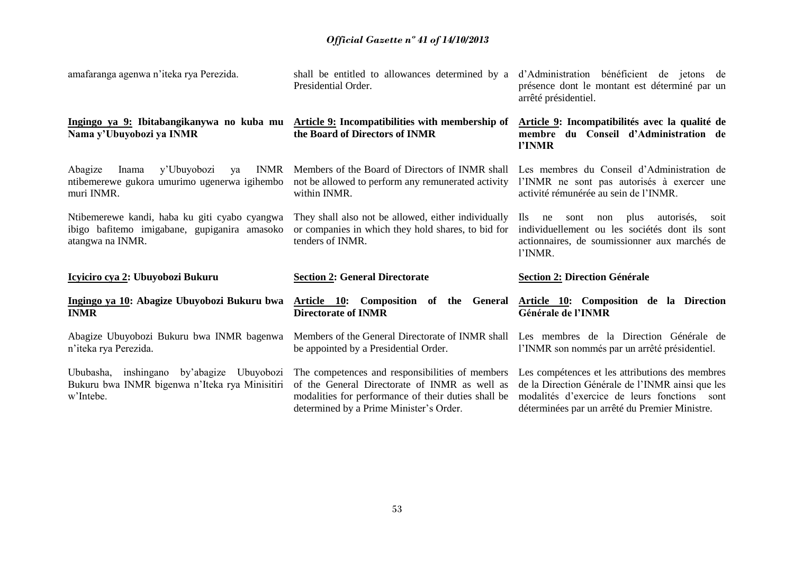| amafaranga agenwa n'iteka rya Perezida.                                                                            | shall be entitled to allowances determined by a<br>Presidential Order.                                                        | d'Administration bénéficient de jetons de<br>présence dont le montant est déterminé par un<br>arrêté présidentiel.                                                          |
|--------------------------------------------------------------------------------------------------------------------|-------------------------------------------------------------------------------------------------------------------------------|-----------------------------------------------------------------------------------------------------------------------------------------------------------------------------|
| Ingingo ya 9: Ibitabangikanywa no kuba mu<br>Nama y'Ubuyobozi ya INMR                                              | Article 9: Incompatibilities with membership of<br>the Board of Directors of INMR                                             | Article 9: Incompatibilités avec la qualité de<br>membre du Conseil d'Administration de<br>l'INMR                                                                           |
| <b>INMR</b><br>Abagize<br>y'Ubuyobozi<br>ya<br>Inama<br>ntibemerewe gukora umurimo ugenerwa igihembo<br>muri INMR. | Members of the Board of Directors of INMR shall<br>not be allowed to perform any remunerated activity<br>within INMR.         | Les membres du Conseil d'Administration de<br>l'INMR ne sont pas autorisés à exercer une<br>activité rémunérée au sein de l'INMR.                                           |
| Ntibemerewe kandi, haba ku giti cyabo cyangwa<br>ibigo bafitemo imigabane, gupiganira amasoko<br>atangwa na INMR.  | They shall also not be allowed, either individually<br>or companies in which they hold shares, to bid for<br>tenders of INMR. | plus<br>autorisés,<br>$\rm{lls}$<br>ne<br>sont<br>non<br>soit<br>individuellement ou les sociétés dont ils sont<br>actionnaires, de soumissionner aux marchés de<br>l'INMR. |
| <u>Icyiciro cya 2</u> : Ubuyobozi Bukuru                                                                           | <b>Section 2: General Directorate</b>                                                                                         | <b>Section 2: Direction Générale</b>                                                                                                                                        |
| Ingingo ya 10: Abagize Ubuyobozi Bukuru bwa<br><b>INMR</b>                                                         | Article 10: Composition of the General<br><b>Directorate of INMR</b>                                                          | Article 10: Composition de la Direction<br>Générale de l'INMR                                                                                                               |
| Abagize Ubuyobozi Bukuru bwa INMR bagenwa                                                                          |                                                                                                                               |                                                                                                                                                                             |
| n'iteka rya Perezida.                                                                                              | Members of the General Directorate of INMR shall<br>be appointed by a Presidential Order.                                     | Les membres de la Direction Générale de<br>l'INMR son nommés par un arrêté présidentiel.                                                                                    |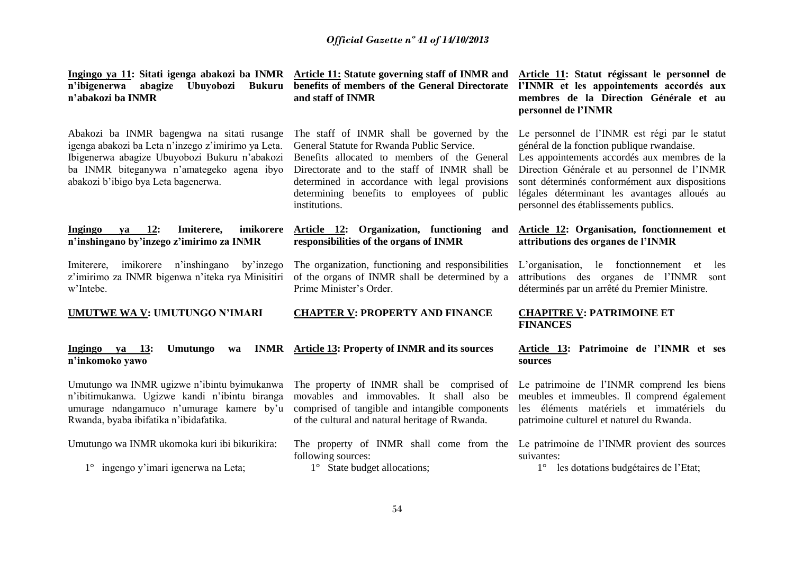**n'ibigenerwa abagize Ubuyobozi Bukuru n'abakozi ba INMR** 

Abakozi ba INMR bagengwa na sitati rusange igenga abakozi ba Leta n'inzego z'imirimo ya Leta. Ibigenerwa abagize Ubuyobozi Bukuru n'abakozi ba INMR biteganywa n'amategeko agena ibyo abakozi b'ibigo bya Leta bagenerwa.

#### **Ingingo ya 12: Imiterere, imikorere n'inshingano by'inzego z'imirimo za INMR**

Imiterere, imikorere n'inshingano by'inzego z'imirimo za INMR bigenwa n'iteka rya Minisitiri of the organs of INMR shall be determined by a w'Intebe.

**UMUTWE WA V: UMUTUNGO N'IMARI**

#### **Ingingo ya 13: Umutungo n'inkomoko yawo**

Umutungo wa INMR ugizwe n'ibintu byimukanwa n'ibitimukanwa. Ugizwe kandi n'ibintu biranga umurage ndangamuco n'umurage kamere by'u Rwanda, byaba ibifatika n'ibidafatika.

Umutungo wa INMR ukomoka kuri ibi bikurikira:

1° ingengo y'imari igenerwa na Leta;

**Ingingo ya 11: Sitati igenga abakozi ba INMR Article 11: Statute governing staff of INMR and Article 11: Statut régissant le personnel de benefits of members of the General Directorate and staff of INMR** 

> The staff of INMR shall be governed by the General Statute for Rwanda Public Service.

Benefits allocated to members of the General Directorate and to the staff of INMR shall be determined in accordance with legal provisions determining benefits to employees of public institutions.

### **Article 12: Organization, functioning and responsibilities of the organs of INMR**

The organization, functioning and responsibilities Prime Minister's Order.

#### **CHAPTER V: PROPERTY AND FINANCE**

# **Article 13: Property of INMR and its sources**

The property of INMR shall be comprised of movables and immovables. It shall also be comprised of tangible and intangible components of the cultural and natural heritage of Rwanda.

following sources:

1° State budget allocations;

**l'INMR et les appointements accordés aux membres de la Direction Générale et au personnel de l'INMR** 

Le personnel de l'INMR est régi par le statut général de la fonction publique rwandaise.

Les appointements accordés aux membres de la Direction Générale et au personnel de l'INMR sont déterminés conformément aux dispositions légales déterminant les avantages alloués au personnel des établissements publics.

### **Article 12: Organisation, fonctionnement et attributions des organes de l'INMR**

L'organisation, le fonctionnement et les attributions des organes de l'INMR sont déterminés par un arrêté du Premier Ministre.

### **CHAPITRE V: PATRIMOINE ET FINANCES**

#### **Article 13: Patrimoine de l'INMR et ses sources**

Le patrimoine de l'INMR comprend les biens meubles et immeubles. Il comprend également les éléments matériels et immatériels du patrimoine culturel et naturel du Rwanda.

The property of INMR shall come from the Le patrimoine de l'INMR provient des sources suivantes:

1° les dotations budgétaires de l'Etat;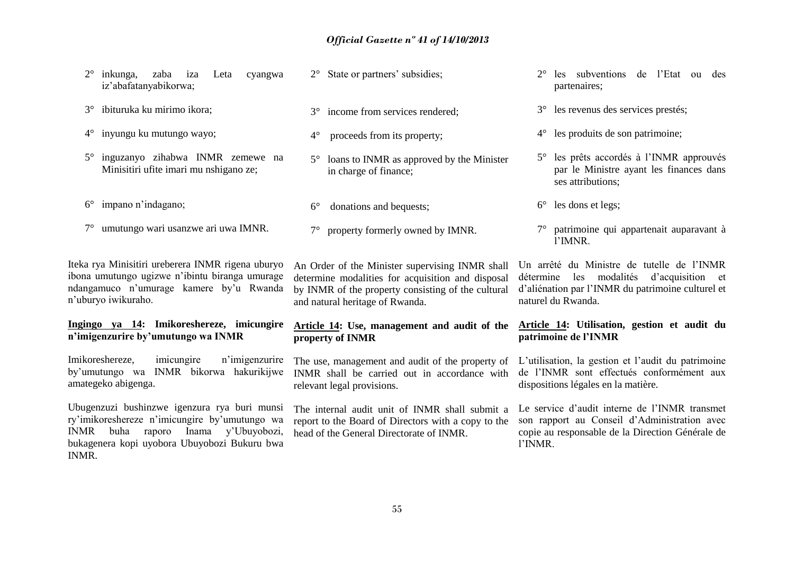2° inkunga, zaba iza Leta cyangwa iz'abafatanyabikorwa; 3° ibituruka ku mirimo ikora; 4° inyungu ku mutungo wayo; 5° inguzanyo zihabwa INMR zemewe na Minisitiri ufite imari mu nshigano ze; 6° impano n'indagano; 7° umutungo wari usanzwe ari uwa IMNR. Iteka rya Minisitiri ureberera INMR rigena uburyo ibona umutungo ugizwe n'ibintu biranga umurage ndangamuco n'umurage kamere by'u Rwanda n'uburyo iwikuraho. **Ingingo ya 14: Imikoreshereze, imicungire n'imigenzurire by'umutungo wa INMR** Imikoreshereze, imicungire n'imigenzurire by'umutungo wa INMR bikorwa hakurikijwe amategeko abigenga. Ubugenzuzi bushinzwe igenzura rya buri munsi ry'imikoreshereze n'imicungire by'umutungo wa INMR buha raporo Inama y'Ubuyobozi, bukagenera kopi uyobora Ubuyobozi Bukuru bwa 2° State or partners' subsidies; 3° income from services rendered; 4° proceeds from its property; 5° loans to INMR as approved by the Minister in charge of finance; 6° donations and bequests; 7° property formerly owned by IMNR. An Order of the Minister supervising INMR shall determine modalities for acquisition and disposal by INMR of the property consisting of the cultural and natural heritage of Rwanda. **Article 14: Use, management and audit of the property of INMR** The use, management and audit of the property of INMR shall be carried out in accordance with relevant legal provisions. The internal audit unit of INMR shall submit a report to the Board of Directors with a copy to the head of the General Directorate of INMR. 2° les subventions de l'Etat ou des partenaires; 3° les revenus des services prestés; 4° les produits de son patrimoine; 5° les prêts accordés à l'INMR approuvés par le Ministre ayant les finances dans ses attributions; 6° les dons et legs; 7° patrimoine qui appartenait auparavant à l'IMNR. Un arrêté du Ministre de tutelle de l'INMR détermine les modalités d'acquisition et d'aliénation par l'INMR du patrimoine culturel et naturel du Rwanda. **Article 14: Utilisation, gestion et audit du patrimoine de l'INMR** L'utilisation, la gestion et l'audit du patrimoine de l'INMR sont effectués conformément aux dispositions légales en la matière. Le service d'audit interne de l'INMR transmet son rapport au Conseil d'Administration avec copie au responsable de la Direction Générale de l'INMR.

INMR.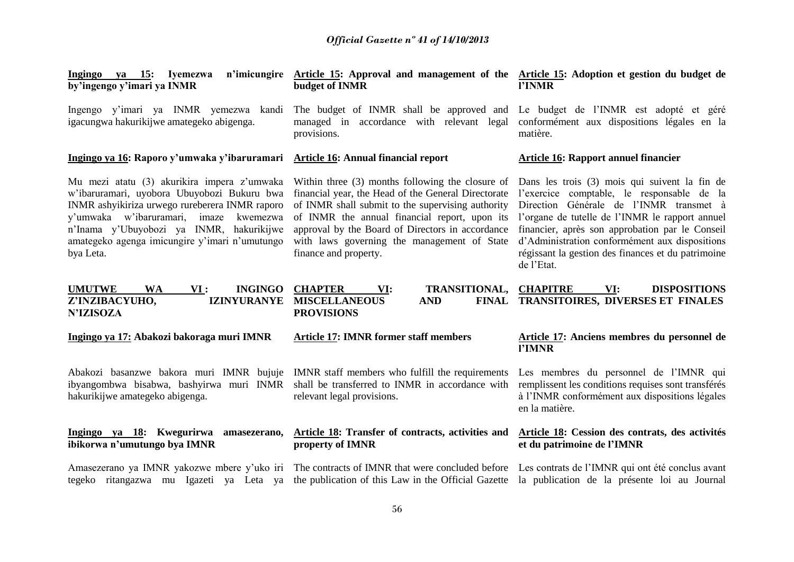| Ingingo ya 15: Iyemezwa<br>by'ingengo y'imari ya INMR                                                                                                                                                                                                                                             | n'imicungire Article 15: Approval and management of the Article 15: Adoption et gestion du budget de<br>budget of INMR                                                                                                                                                                                                                    | l'INMR                                                                                                                                                                                                                                                                                                                                                             |
|---------------------------------------------------------------------------------------------------------------------------------------------------------------------------------------------------------------------------------------------------------------------------------------------------|-------------------------------------------------------------------------------------------------------------------------------------------------------------------------------------------------------------------------------------------------------------------------------------------------------------------------------------------|--------------------------------------------------------------------------------------------------------------------------------------------------------------------------------------------------------------------------------------------------------------------------------------------------------------------------------------------------------------------|
| Ingengo y'imari ya INMR yemezwa kandi<br>igacungwa hakurikijwe amategeko abigenga.                                                                                                                                                                                                                | The budget of INMR shall be approved and<br>managed in accordance with relevant legal<br>provisions.                                                                                                                                                                                                                                      | Le budget de l'INMR est adopté et géré<br>conformément aux dispositions légales en la<br>matière.                                                                                                                                                                                                                                                                  |
| Ingingo ya 16: Raporo y'umwaka y'ibaruramari                                                                                                                                                                                                                                                      | Article 16: Annual financial report                                                                                                                                                                                                                                                                                                       | Article 16: Rapport annuel financier                                                                                                                                                                                                                                                                                                                               |
| Mu mezi atatu (3) akurikira impera z'umwaka<br>w'ibaruramari, uyobora Ubuyobozi Bukuru bwa<br>INMR ashyikiriza urwego rureberera INMR raporo<br>y'umwaka w'ibaruramari, imaze kwemezwa<br>n'Inama y'Ubuyobozi ya INMR, hakurikijwe<br>amategeko agenga imicungire y'imari n'umutungo<br>bya Leta. | Within three (3) months following the closure of<br>financial year, the Head of the General Directorate<br>of INMR shall submit to the supervising authority<br>of INMR the annual financial report, upon its<br>approval by the Board of Directors in accordance<br>with laws governing the management of State<br>finance and property. | Dans les trois (3) mois qui suivent la fin de<br>l'exercice comptable, le responsable de la<br>Direction Générale de l'INMR transmet à<br>l'organe de tutelle de l'INMR le rapport annuel<br>financier, après son approbation par le Conseil<br>d'Administration conformément aux dispositions<br>régissant la gestion des finances et du patrimoine<br>de l'Etat. |
| <b>UMUTWE</b><br><b>WA</b><br><b>INGINGO</b><br>VI:<br>Z'INZIBACYUHO,<br><b>IZINYURANYE</b><br><b>N'IZISOZA</b>                                                                                                                                                                                   | <b>CHAPTER</b><br>TRANSITIONAL,<br>VI:<br><b>MISCELLANEOUS</b><br><b>AND</b><br><b>PROVISIONS</b>                                                                                                                                                                                                                                         | <b>CHAPITRE</b><br>VI:<br><b>DISPOSITIONS</b><br>FINAL TRANSITOIRES, DIVERSES ET FINALES                                                                                                                                                                                                                                                                           |
| Ingingo ya 17: Abakozi bakoraga muri IMNR                                                                                                                                                                                                                                                         | <b>Article 17: IMNR former staff members</b>                                                                                                                                                                                                                                                                                              | Article 17: Anciens membres du personnel de<br>l'IMNR                                                                                                                                                                                                                                                                                                              |
| Abakozi basanzwe bakora muri IMNR bujuje IMNR staff members who fulfill the requirements<br>ibyangombwa bisabwa, bashyirwa muri INMR<br>hakurikijwe amategeko abigenga.                                                                                                                           | shall be transferred to INMR in accordance with<br>relevant legal provisions.                                                                                                                                                                                                                                                             | Les membres du personnel de l'IMNR qui<br>remplissent les conditions requises sont transférés<br>à l'INMR conformément aux dispositions légales<br>en la matière.                                                                                                                                                                                                  |
| Ingingo ya 18: Kwegurirwa amasezerano,<br>ibikorwa n'umutungo bya IMNR                                                                                                                                                                                                                            | <b>Article 18:</b> Transfer of contracts, activities and<br>property of IMNR                                                                                                                                                                                                                                                              | Article 18: Cession des contrats, des activités<br>et du patrimoine de l'IMNR                                                                                                                                                                                                                                                                                      |
| tegeko ritangazwa mu Igazeti ya Leta ya                                                                                                                                                                                                                                                           | Amasezerano ya IMNR yakozwe mbere y'uko iri The contracts of IMNR that were concluded before<br>the publication of this Law in the Official Gazette                                                                                                                                                                                       | Les contrats de l'IMNR qui ont été conclus avant<br>la publication de la présente loi au Journal                                                                                                                                                                                                                                                                   |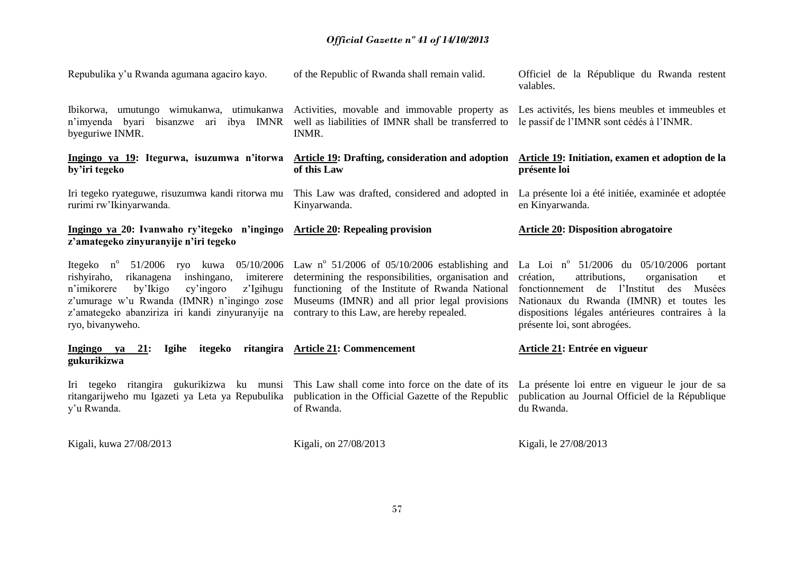| Repubulika y'u Rwanda agumana agaciro kayo.                                                                                                                                                                                                                                                                                                                                                 | of the Republic of Rwanda shall remain valid.                                                                                                          | Officiel de la République du Rwanda restent<br>valables.                                                                                                                                                                                                                         |
|---------------------------------------------------------------------------------------------------------------------------------------------------------------------------------------------------------------------------------------------------------------------------------------------------------------------------------------------------------------------------------------------|--------------------------------------------------------------------------------------------------------------------------------------------------------|----------------------------------------------------------------------------------------------------------------------------------------------------------------------------------------------------------------------------------------------------------------------------------|
| Ibikorwa, umutungo wimukanwa, utimukanwa<br>n'imyenda byari bisanzwe ari ibya IMNR<br>byeguriwe INMR.                                                                                                                                                                                                                                                                                       | Activities, movable and immovable property as<br>well as liabilities of IMNR shall be transferred to<br>INMR.                                          | Les activités, les biens meubles et immeubles et<br>le passif de l'IMNR sont cédés à l'INMR.                                                                                                                                                                                     |
| by'iri tegeko                                                                                                                                                                                                                                                                                                                                                                               | Ingingo ya 19: Itegurwa, isuzumwa n'itorwa Article 19: Drafting, consideration and adoption<br>of this Law                                             | Article 19: Initiation, examen et adoption de la<br>présente loi                                                                                                                                                                                                                 |
| rurimi rw'Ikinyarwanda.                                                                                                                                                                                                                                                                                                                                                                     | Iri tegeko ryateguwe, risuzumwa kandi ritorwa mu This Law was drafted, considered and adopted in<br>Kinyarwanda.                                       | La présente loi a été initiée, examinée et adoptée<br>en Kinyarwanda.                                                                                                                                                                                                            |
| Ingingo ya 20: Ivanwaho ry'itegeko n'ingingo<br>z'amategeko zinyuranyije n'iri tegeko                                                                                                                                                                                                                                                                                                       | <b>Article 20: Repealing provision</b>                                                                                                                 | <b>Article 20: Disposition abrogatoire</b>                                                                                                                                                                                                                                       |
| Itegeko n <sup>o</sup> 51/2006 ryo kuwa 05/10/2006 Law n <sup>o</sup> 51/2006 of 05/10/2006 establishing and<br>rishyiraho,<br>rikanagena<br>inshingano,<br>imiterere<br>n'imikorere<br>by'Ikigo<br>z'Igihugu<br>cy'ingoro<br>z'umurage w'u Rwanda (IMNR) n'ingingo zose<br>z'amategeko abanziriza iri kandi zinyuranyije na contrary to this Law, are hereby repealed.<br>ryo, bivanyweho. | determining the responsibilities, organisation and<br>functioning of the Institute of Rwanda National<br>Museums (IMNR) and all prior legal provisions | La Loi nº $51/2006$ du $05/10/2006$ portant<br>création,<br>attributions,<br>organisation<br>et<br>fonctionnement de l'Institut<br>des<br>Musées<br>Nationaux du Rwanda (IMNR) et toutes les<br>dispositions légales antérieures contraires à la<br>présente loi, sont abrogées. |
| Ingingo ya 21:<br><b>Igihe</b><br>itegeko<br>gukurikizwa                                                                                                                                                                                                                                                                                                                                    | ritangira Article 21: Commencement                                                                                                                     | Article 21: Entrée en vigueur                                                                                                                                                                                                                                                    |
| Iri tegeko ritangira gukurikizwa ku munsi<br>ritangarijweho mu Igazeti ya Leta ya Repubulika<br>y'u Rwanda.                                                                                                                                                                                                                                                                                 | This Law shall come into force on the date of its<br>publication in the Official Gazette of the Republic<br>of Rwanda.                                 | La présente loi entre en vigueur le jour de sa<br>publication au Journal Officiel de la République<br>du Rwanda.                                                                                                                                                                 |
| Kigali, kuwa 27/08/2013                                                                                                                                                                                                                                                                                                                                                                     | Kigali, on 27/08/2013                                                                                                                                  | Kigali, le 27/08/2013                                                                                                                                                                                                                                                            |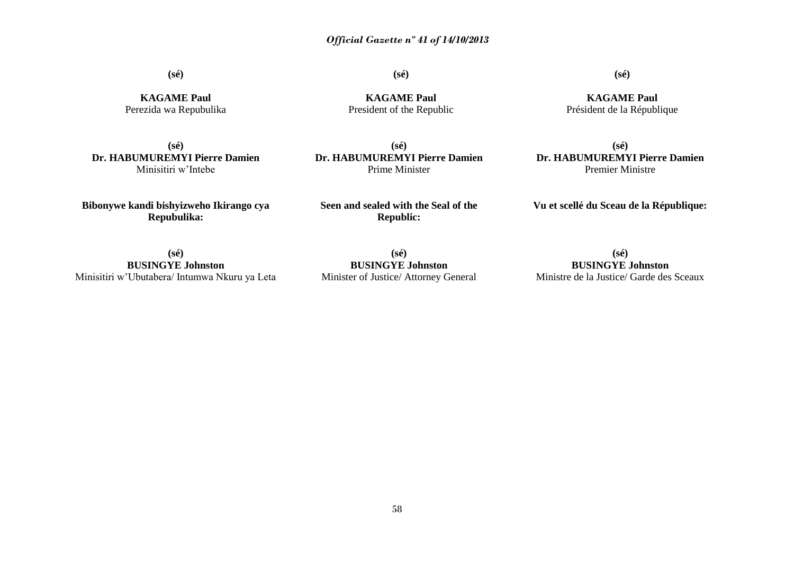**(sé)**

**(sé)**

**KAGAME Paul** President of the Republic

**KAGAME Paul** Perezida wa Repubulika

**(sé) Dr. HABUMUREMYI Pierre Damien** Minisitiri w'Intebe

**Bibonywe kandi bishyizweho Ikirango cya Repubulika:**

**(sé) Dr. HABUMUREMYI Pierre Damien** Prime Minister

**Seen and sealed with the Seal of the Republic:**

**(sé) Dr. HABUMUREMYI Pierre Damien** Premier Ministre

**Vu et scellé du Sceau de la République:**

**(sé) BUSINGYE Johnston** Minisitiri w'Ubutabera/ Intumwa Nkuru ya Leta

**(sé) BUSINGYE Johnston** Minister of Justice/ Attorney General

**(sé) BUSINGYE Johnston** Ministre de la Justice/ Garde des Sceaux

**(sé)**

**KAGAME Paul** Président de la République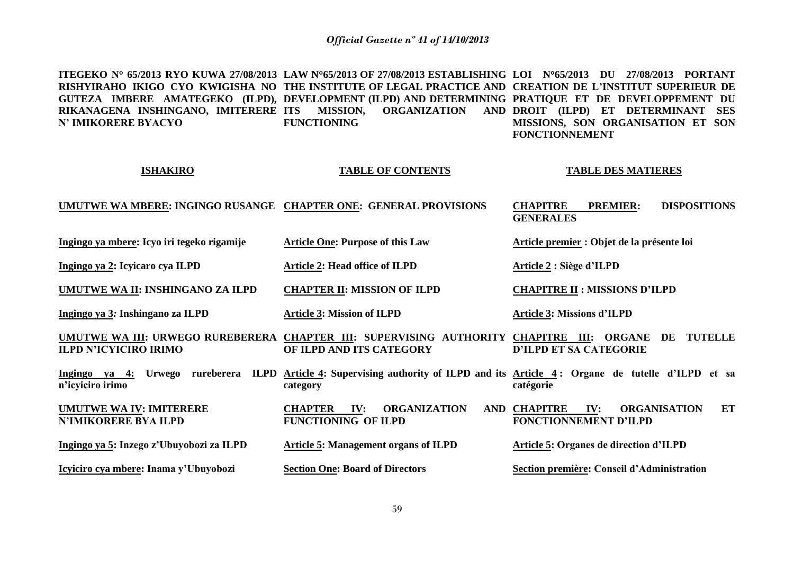**ITEGEKO N 65/2013 RYO KUWA 27/08/2013 LAW N65/2013 OF 27/08/2013 ESTABLISHING LOI N65/2013 DU 27/08/2013 PORTANT RISHYIRAHO IKIGO CYO KWIGISHA NO THE INSTITUTE OF LEGAL PRACTICE AND CREATION DE L'INSTITUT SUPERIEUR DE GUTEZA IMBERE AMATEGEKO (ILPD), DEVELOPMENT (ILPD) AND DETERMINING PRATIQUE ET DE DEVELOPPEMENT DU RIKANAGENA INSHINGANO, IMITERERE N' IMIKORERE BYACYO INISSION, ORGANIZATION FUNCTIONING DROIT (ILPD) ET DETERMINANT SES MISSIONS, SON ORGANISATION ET SON FONCTIONNEMENT** 

#### **ISHAKIRO**

#### **TABLE OF CONTENTS**

#### **TABLE DES MATIERES**

**Article premier : Objet de la présente loi**

**CHAPITRE II : MISSIONS D'ILPD** 

#### **UMUTWE WA MBERE: INGINGO RUSANGE CHAPTER ONE: GENERAL PROVISIONS CHAPITRE PREMIER: DISPOSITIONS GENERALES**

**Ingingo ya mbere: Icyo iri tegeko rigamije** 

**Ingingo ya 2: Icyicaro cya ILPD**

**UMUTWE WA II: INSHINGANO ZA ILPD** 

**CHAPTER II: MISSION OF ILPD** 

**Article 2: Head office of ILPD** 

**Article One: Purpose of this Law**

**Ingingo ya 3***:* **Inshingano za ILPD**

**N'IMIKORERE BYA ILPD** 

**Article 3: Mission of ILPD**

**Article 3: Missions d'ILPD**

**Article 2 : Siège d'ILPD**

**UMUTWE WA III: URWEGO RUREBERERA CHAPTER III: SUPERVISING AUTHORITY CHAPITRE III: ORGANE DE TUTELLE ILPD N'ICYICIRO IRIMO OF ILPD AND ITS CATEGORY D'ILPD ET SA CATEGORIE**

**Ingingo ya 4: Urwego rureberera ILPD Article 4: Supervising authority of ILPD and its Article 4 : Organe de tutelle d'ILPD et sa n'icyiciro irimo category catégorie**

**UMUTWE WA IV: IMITERERE CHAPTER IV: ORGANIZATION AND FUNCTIONING OF ILPD IV: ORGANISATION ET FONCTIONNEMENT D'ILPD**

**Article 5: Management organs of ILPD**

**Section One: Board of Directors**

**Icyiciro cya mbere: Inama y'Ubuyobozi**

**Ingingo ya 5: Inzego z'Ubuyobozi za ILPD**

**Article 5: Organes de direction d'ILPD**

**Section première: Conseil d'Administration**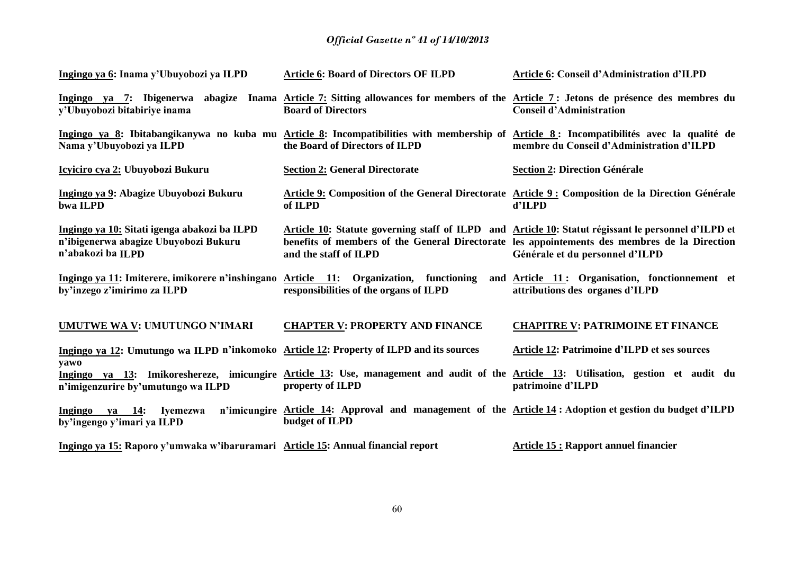| Ingingo ya 6: Inama y'Ubuyobozi ya ILPD                                                                    | <b>Article 6: Board of Directors OF ILPD</b>                                                                                                                               | <b>Article 6: Conseil d'Administration d'ILPD</b>                                                                                                                                                                                      |
|------------------------------------------------------------------------------------------------------------|----------------------------------------------------------------------------------------------------------------------------------------------------------------------------|----------------------------------------------------------------------------------------------------------------------------------------------------------------------------------------------------------------------------------------|
| y'Ubuyobozi bitabiriye inama                                                                               | Ingingo ya 7: Ibigenerwa abagize Inama Article 7: Sitting allowances for members of the Article 7: Jetons de présence des membres du<br><b>Board of Directors</b>          | <b>Conseil d'Administration</b>                                                                                                                                                                                                        |
| Nama y'Ubuyobozi ya ILPD                                                                                   | Ingingo ya 8: Ibitabangikanywa no kuba mu Article 8: Incompatibilities with membership of Article 8: Incompatibilités avec la qualité de<br>the Board of Directors of ILPD | membre du Conseil d'Administration d'ILPD                                                                                                                                                                                              |
| Icyiciro cya 2: Ubuyobozi Bukuru                                                                           | <b>Section 2: General Directorate</b>                                                                                                                                      | <b>Section 2: Direction Générale</b>                                                                                                                                                                                                   |
| Ingingo ya 9: Abagize Ubuyobozi Bukuru<br>bwa ILPD                                                         | of ILPD                                                                                                                                                                    | Article 9: Composition of the General Directorate Article 9: Composition de la Direction Générale<br>d'ILPD                                                                                                                            |
| Ingingo ya 10: Sitati igenga abakozi ba ILPD<br>n'ibigenerwa abagize Ubuyobozi Bukuru<br>n'abakozi ba ILPD | and the staff of ILPD                                                                                                                                                      | Article 10: Statute governing staff of ILPD and Article 10: Statut régissant le personnel d'ILPD et<br>benefits of members of the General Directorate les appointements des membres de la Direction<br>Générale et du personnel d'ILPD |
| Ingingo ya 11: Imiterere, imikorere n'inshingano<br>by'inzego z'imirimo za ILPD                            | Article 11: Organization, functioning<br>responsibilities of the organs of ILPD                                                                                            | and Article 11: Organisation, fonctionnement et<br>attributions des organes d'ILPD                                                                                                                                                     |
| UMUTWE WA V: UMUTUNGO N'IMARI                                                                              | <b>CHAPTER V: PROPERTY AND FINANCE</b>                                                                                                                                     | <b>CHAPITRE V: PATRIMOINE ET FINANCE</b>                                                                                                                                                                                               |
| Ingingo ya 12: Umutungo wa ILPD n'inkomoko Article 12: Property of ILPD and its sources<br>yawo            |                                                                                                                                                                            | Article 12: Patrimoine d'ILPD et ses sources                                                                                                                                                                                           |
| n'imigenzurire by'umutungo wa ILPD                                                                         | property of ILPD                                                                                                                                                           | Ingingo ya 13: Imikoreshereze, imicungire Article 13: Use, management and audit of the Article 13: Utilisation, gestion et audit du<br>patrimoine d'ILPD                                                                               |
| Ingingo ya 14: Iyemezwa<br>by'ingengo y'imari ya ILPD                                                      | n'imicungire Article 14: Approval and management of the Article 14: Adoption et gestion du budget d'ILPD<br>budget of ILPD                                                 |                                                                                                                                                                                                                                        |
| Ingingo ya 15: Raporo y'umwaka w'ibaruramari Article 15: Annual financial report                           |                                                                                                                                                                            | <b>Article 15: Rapport annuel financier</b>                                                                                                                                                                                            |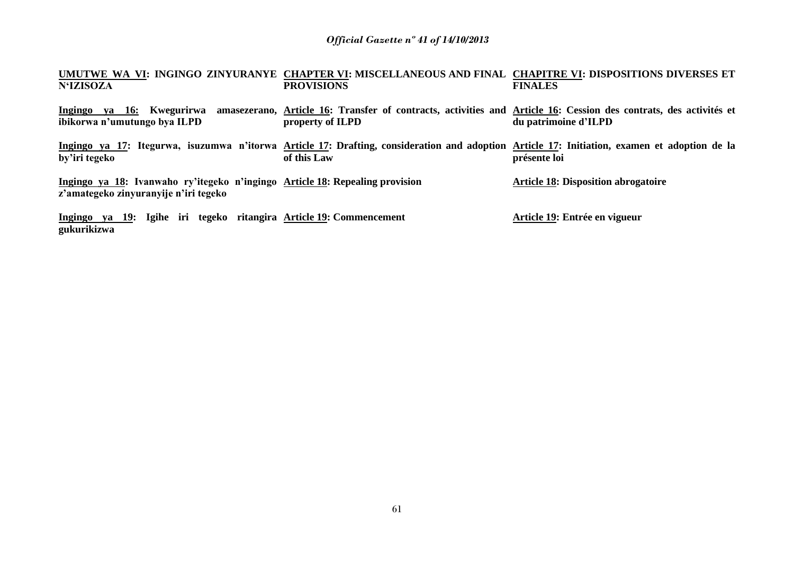#### **UMUTWE WA VI: INGINGO ZINYURANYE CHAPTER VI: MISCELLANEOUS AND FINAL CHAPITRE VI: DISPOSITIONS DIVERSES ET N'IZISOZA PROVISIONS FINALES**

**Ingingo ya 16: Kwegurirwa amasezerano, Article 16: Transfer of contracts, activities and Article 16: Cession des contrats, des activités et ibikorwa n'umutungo bya ILPD property of ILPD du patrimoine d'ILPD** 

**Ingingo ya 17: Itegurwa, isuzumwa n'itorwa Article 17: Drafting, consideration and adoption Article 17: Initiation, examen et adoption de la by'iri tegeko of this Law présente loi**

**Ingingo ya 18: Ivanwaho ry'itegeko n'ingingo Article 18: Repealing provision z'amategeko zinyuranyije n'iri tegeko** 

**Article 18: Disposition abrogatoire**

**Ingingo ya 19: Igihe iri tegeko ritangira Article 19: Commencement gukurikizwa Article 19: Entrée en vigueur**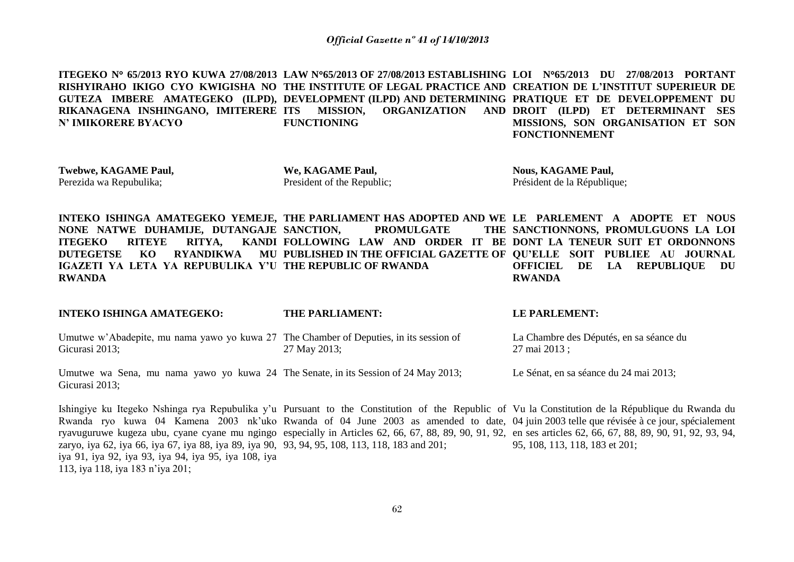**ITEGEKO N 65/2013 RYO KUWA 27/08/2013 LAW N65/2013 OF 27/08/2013 ESTABLISHING LOI N65/2013 DU 27/08/2013 PORTANT RISHYIRAHO IKIGO CYO KWIGISHA NO THE INSTITUTE OF LEGAL PRACTICE AND CREATION DE L'INSTITUT SUPERIEUR DE GUTEZA IMBERE AMATEGEKO (ILPD), DEVELOPMENT (ILPD) AND DETERMINING PRATIQUE ET DE DEVELOPPEMENT DU RIKANAGENA INSHINGANO, IMITERERE N' IMIKORERE BYACYO ITS MISSION, ORGANIZATION AND DROIT (ILPD) ET DETERMINANT SES FUNCTIONING MISSIONS, SON ORGANISATION ET SON FONCTIONNEMENT** 

**Twebwe, KAGAME Paul,** Perezida wa Repubulika;

113, iya 118, iya 183 n'iya 201;

**We, KAGAME Paul,** President of the Republic; **Nous, KAGAME Paul,** Président de la République;

**INTEKO ISHINGA AMATEGEKO YEMEJE, THE PARLIAMENT HAS ADOPTED AND WE LE PARLEMENT A ADOPTE ET NOUS NONE NATWE DUHAMIJE, DUTANGAJE ITEGEKO RITEYE RITYA, DUTEGETSE KO RYANDIKWA IGAZETI YA LETA YA REPUBULIKA Y'U THE REPUBLIC OF RWANDA RWANDA PROMULGATE FOLLOWING LAW AND ORDER IT BE DONT LA TENEUR SUIT ET ORDONNONS PUBLISHED IN THE OFFICIAL GAZETTE OF QU'ELLE SOIT PUBLIEE AU JOURNAL**  THE SANCTIONNONS, PROMULGUONS LA LOI **OFFICIEL DE LA REPUBLIQUE DU RWANDA**

| <b>INTEKO ISHINGA AMATEGEKO:</b>                                                                                                                       | <b>THE PARLIAMENT:</b>                                                                                                                                                                                                                                                                                                                                                                                                                                      | <b>LE PARLEMENT:</b>                                    |
|--------------------------------------------------------------------------------------------------------------------------------------------------------|-------------------------------------------------------------------------------------------------------------------------------------------------------------------------------------------------------------------------------------------------------------------------------------------------------------------------------------------------------------------------------------------------------------------------------------------------------------|---------------------------------------------------------|
| Umutwe w'Abadepite, mu nama yawo yo kuwa 27 The Chamber of Deputies, in its session of<br>Gicurasi 2013;                                               | 27 May 2013;                                                                                                                                                                                                                                                                                                                                                                                                                                                | La Chambre des Députés, en sa séance du<br>27 mai 2013; |
| Umutwe wa Sena, mu nama yawo yo kuwa 24 The Senate, in its Session of 24 May 2013;<br>Gicurasi 2013;                                                   |                                                                                                                                                                                                                                                                                                                                                                                                                                                             | Le Sénat, en sa séance du 24 mai 2013;                  |
| zaryo, iya 62, iya 66, iya 67, iya 88, iya 89, iya 90, 93, 94, 95, 108, 113, 118, 183 and 201;<br>iya 91, iya 92, iya 93, iya 94, iya 95, iya 108, iya | Ishingiye ku Itegeko Nshinga rya Repubulika y'u Pursuant to the Constitution of the Republic of Vu la Constitution de la République du Rwanda du<br>Rwanda ryo kuwa 04 Kamena 2003 nk'uko Rwanda of 04 June 2003 as amended to date, 04 juin 2003 telle que révisée à ce jour, spécialement<br>ryavuguruwe kugeza ubu, cyane cyane mu ngingo especially in Articles 62, 66, 67, 88, 89, 90, 91, 92, en ses articles 62, 66, 67, 88, 89, 90, 91, 92, 93, 94, | 95, 108, 113, 118, 183 et 201;                          |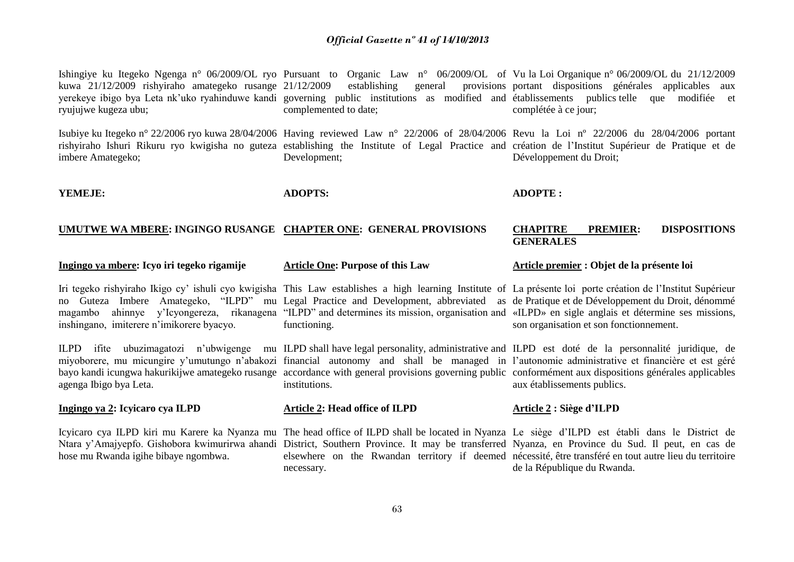| kuwa 21/12/2009 rishyiraho amategeko rusange 21/12/2009<br>ryujujwe kugeza ubu; | Ishingiye ku Itegeko Ngenga n° 06/2009/OL ryo Pursuant to Organic Law n° 06/2009/OL of Vu la Loi Organique n° 06/2009/OL du 21/12/2009<br>establishing<br>general<br>yerekeye ibigo bya Leta nk'uko ryahinduwe kandi governing public institutions as modified and établissements publics telle que modifiée et<br>complemented to date;                                                                                                                                   | provisions portant dispositions générales applicables aux<br>complétée à ce jour;                                                                                                                                                                                                                                             |  |  |
|---------------------------------------------------------------------------------|----------------------------------------------------------------------------------------------------------------------------------------------------------------------------------------------------------------------------------------------------------------------------------------------------------------------------------------------------------------------------------------------------------------------------------------------------------------------------|-------------------------------------------------------------------------------------------------------------------------------------------------------------------------------------------------------------------------------------------------------------------------------------------------------------------------------|--|--|
| imbere Amategeko;                                                               | Development;                                                                                                                                                                                                                                                                                                                                                                                                                                                               | Isubiye ku Itegeko n° 22/2006 ryo kuwa 28/04/2006 Having reviewed Law n° 22/2006 of 28/04/2006 Revu la Loi n° 22/2006 du 28/04/2006 portant<br>rishyiraho Ishuri Rikuru ryo kwigisha no guteza establishing the Institute of Legal Practice and création de l'Institut Supérieur de Pratique et de<br>Développement du Droit; |  |  |
| YEMEJE:                                                                         | <b>ADOPTS:</b>                                                                                                                                                                                                                                                                                                                                                                                                                                                             | <b>ADOPTE:</b>                                                                                                                                                                                                                                                                                                                |  |  |
| UMUTWE WA MBERE: INGINGO RUSANGE CHAPTER ONE: GENERAL PROVISIONS                |                                                                                                                                                                                                                                                                                                                                                                                                                                                                            | <b>DISPOSITIONS</b><br><b>CHAPITRE</b><br><b>PREMIER:</b><br><b>GENERALES</b>                                                                                                                                                                                                                                                 |  |  |
| Ingingo ya mbere: Icyo iri tegeko rigamije                                      | <b>Article One: Purpose of this Law</b>                                                                                                                                                                                                                                                                                                                                                                                                                                    | Article premier : Objet de la présente loi                                                                                                                                                                                                                                                                                    |  |  |
| inshingano, imiterere n'imikorere byacyo.                                       | Iri tegeko rishyiraho Ikigo cy' ishuli cyo kwigisha This Law establishes a high learning Institute of La présente loi porte création de l'Institut Supérieur<br>no Guteza Imbere Amategeko, "ILPD" mu Legal Practice and Development, abbreviated as de Pratique et de Développement du Droit, dénommé<br>magambo ahinnye y'Icyongereza, rikanagena "ILPD" and determines its mission, organisation and «ILPD» en sigle anglais et détermine ses missions,<br>functioning. | son organisation et son fonctionnement.                                                                                                                                                                                                                                                                                       |  |  |
| agenga Ibigo bya Leta.                                                          | ILPD ifite ubuzimagatozi n'ubwigenge mu ILPD shall have legal personality, administrative and ILPD est doté de la personnalité juridique, de<br>miyoborere, mu micungire y'umutungo n'abakozi financial autonomy and shall be managed in l'autonomie administrative et financière et est géré<br>bayo kandi icungwa hakurikijwe amategeko rusange accordance with general provisions governing public conformément aux dispositions générales applicables<br>institutions. | aux établissements publics.                                                                                                                                                                                                                                                                                                   |  |  |
| Ingingo ya 2: Icyicaro cya ILPD                                                 | <b>Article 2: Head office of ILPD</b>                                                                                                                                                                                                                                                                                                                                                                                                                                      | Article 2 : Siège d'ILPD                                                                                                                                                                                                                                                                                                      |  |  |
| hose mu Rwanda igihe bibaye ngombwa.                                            | Icyicaro cya ILPD kiri mu Karere ka Nyanza mu The head office of ILPD shall be located in Nyanza Le siège d'ILPD est établi dans le District de<br>Ntara y'Amajyepfo. Gishobora kwimurirwa ahandi District, Southern Province. It may be transferred Nyanza, en Province du Sud. Il peut, en cas de                                                                                                                                                                        | elsewhere on the Rwandan territory if deemed nécessité, être transféré en tout autre lieu du territoire                                                                                                                                                                                                                       |  |  |

de la République du Rwanda.

necessary.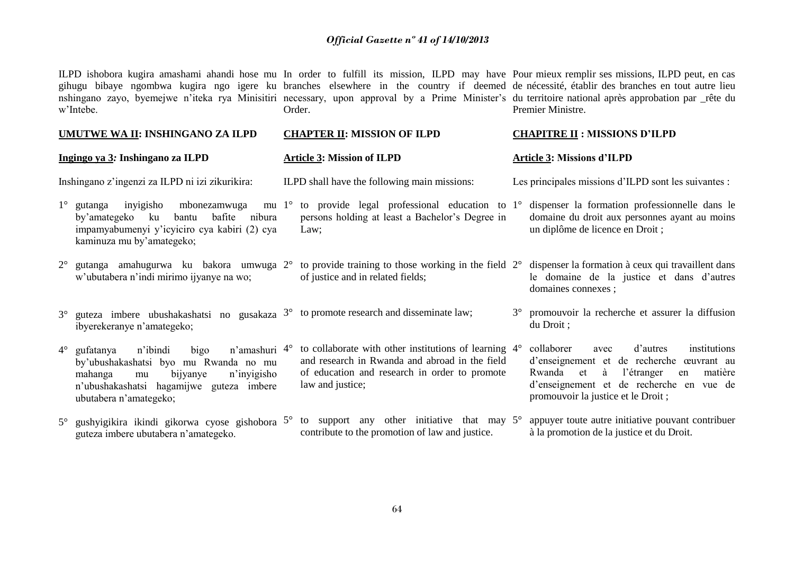ILPD ishobora kugira amashami ahandi hose mu In order to fulfill its mission, ILPD may have Pour mieux remplir ses missions, ILPD peut, en cas gihugu bibaye ngombwa kugira ngo igere ku branches elsewhere in the country if deemed de nécessité, établir des branches en tout autre lieu nshingano zayo, byemejwe n'iteka rya Minisitiri necessary, upon approval by a Prime Minister's du territoire national après approbation par \_rête du w'Intebe. Order. Premier Ministre.

#### **UMUTWE WA II: INSHINGANO ZA ILPD Ingingo ya 3***:* **Inshingano za ILPD** Inshingano z'ingenzi za ILPD ni izi zikurikira:  $1^\circ$  gutanga inyigisho mbonezamwuga by'amategeko ku bantu bafite nibura impamyabumenyi y'icyiciro cya kabiri (2) cya kaminuza mu by'amategeko; 2° gutanga amahugurwa ku bakora umwuga 2° to provide training to those working in the field w'ubutabera n'indi mirimo ijyanye na wo;  $3^{\circ}$  guteza imbere ubushakashatsi no gusakaza  $3^{\circ}$  to promote research and disseminate law; ibyerekeranye n'amategeko; 4° gufatanya n'ibindi bigo n'amashuri by'ubushakashatsi byo mu Rwanda no mu mahanga mu bijyanye n'inyigisho n'ubushakashatsi hagamijwe guteza imbere **CHAPTER II: MISSION OF ILPD Article 3: Mission of ILPD** ILPD shall have the following main missions: mu  $1^\circ$  to provide legal professional education to  $1^\circ$ persons holding at least a Bachelor's Degree in Law; of justice and in related fields;  $4^{\circ}$  to collaborate with other institutions of learning  $4^{\circ}$ and research in Rwanda and abroad in the field of education and research in order to promote law and justice; **CHAPITRE II : MISSIONS D'ILPD Article 3: Missions d'ILPD** Les principales missions d'ILPD sont les suivantes : 1° dispenser la formation professionnelle dans le domaine du droit aux personnes ayant au moins un diplôme de licence en Droit ; 2° dispenser la formation à ceux qui travaillent dans le domaine de la justice et dans d'autres domaines connexes ; 3° promouvoir la recherche et assurer la diffusion du Droit ; 4° collaborer avec d'autres institutions d'enseignement et de recherche œuvrant au Rwanda et à l'étranger en matière d'enseignement et de recherche en vue de

5° gushyigikira ikindi gikorwa cyose gishobora 5° to support any other initiative that may guteza imbere ubutabera n'amategeko. contribute to the promotion of law and justice. appuyer toute autre initiative pouvant contribuer à la promotion de la justice et du Droit.

promouvoir la justice et le Droit ;

ubutabera n'amategeko;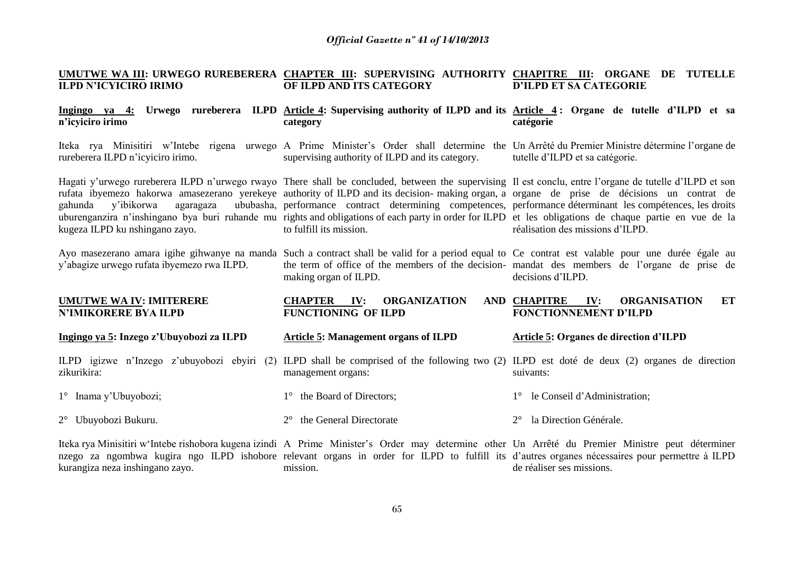#### **UMUTWE WA III: URWEGO RUREBERERA CHAPTER III: SUPERVISING AUTHORITY CHAPITRE III: ORGANE DE TUTELLE ILPD N'ICYICIRO IRIMO OF ILPD AND ITS CATEGORY D'ILPD ET SA CATEGORIE**

#### **Ingingo ya 4: Urwego rureberera ILPD Article 4: Supervising authority of ILPD and its Article 4 : Organe de tutelle d'ILPD et sa n'icyiciro irimo category catégorie**

Iteka rya Minisitiri w'Intebe rigena urwego A Prime Minister's Order shall determine the Un-Arrêté-du-Premier-Ministre-détermine-l'organe-de rureberera ILPD n'icyiciro irimo. supervising authority of ILPD and its category. tutelle d'ILPD et sa catégorie.

making organ of ILPD.

management organs:

1° the Board of Directors;

**FUNCTIONING OF ILPD**

**CHAPTER IV: ORGANIZATION** 

Hagati y'urwego rureberera ILPD n'urwego rwayo There shall be concluded, between the supervising Il est conclu, entre l'organe de tutelle d'ILPD et son rufata ibyemezo hakorwa amasezerano yerekeye authority of ILPD and its decision- making organ, a organe de prise de décisions un contrat de gahunda y'ibikorwa agaragaza uburenganzira n'inshingano bya buri ruhande mu rights and obligations of each party in order for ILPD et les obligations de chaque partie en vue de la kugeza ILPD ku nshingano zayo. performance contract determining competences, performance déterminant les compétences, les droits to fulfill its mission.

Ayo masezerano amara igihe gihwanye na manda Such a contract shall be valid for a period equal to Ce contrat est valable pour une durée égale au y'abagize urwego rufata ibyemezo rwa ILPD.

### **UMUTWE WA IV: IMITERERE N'IMIKORERE BYA ILPD**

**Ingingo ya 5: Inzego z'Ubuyobozi za ILPD Article 5: Management organs of ILPD**

ILPD igizwe n'Inzego z'ubuyobozi ebyiri (2) ILPD shall be comprised of the following two (2) ILPD est doté de deux (2) organes de direction zikurikira:

1° Inama y'Ubuyobozi;

2° Ubuyobozi Bukuru.

2° the General Directorate

Iteka rya Minisitiri w'Intebe rishobora kugena izindi A Prime Minister's Order may determine other Un Arrêté du Premier Ministre peut déterminer nzego za ngombwa kugira ngo ILPD ishobore relevant organs in order for ILPD to fulfill its d'autres organes nécessaires pour permettre à ILPD kurangiza neza inshingano zayo. mission. de réaliser ses missions.

#### **Article 5: Organes de direction d'ILPD**

**CHAPITRE IV: ORGANISATION ET** 

suivants:

- 
- 
- 
- 
- 
- 

**FONCTIONNEMENT D'ILPD**

- 
- 

réalisation des missions d'ILPD.

- - 1° le Conseil d'Administration;
- 
- 

2° la Direction Générale.

decisions d'ILPD.

the term of office of the members of the decision-mandat des members de l'organe de prise de

- -
- 
-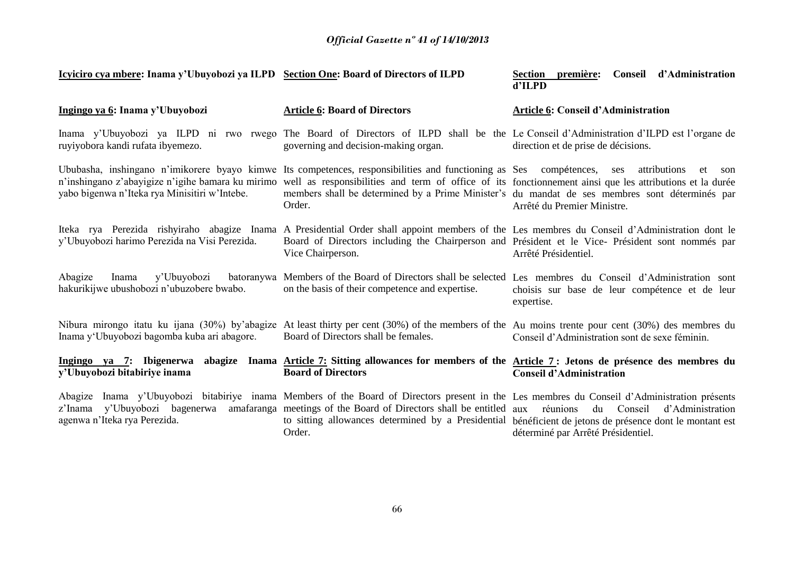| Icyiciro cya mbere: Inama y'Ubuyobozi ya ILPD Section One: Board of Directors of ILPD                                                              |                                                                                                                                                                                                                                                                             | Conseil d'Administration<br>Section<br>première:<br>d'ILPD                                                                                                 |  |  |
|----------------------------------------------------------------------------------------------------------------------------------------------------|-----------------------------------------------------------------------------------------------------------------------------------------------------------------------------------------------------------------------------------------------------------------------------|------------------------------------------------------------------------------------------------------------------------------------------------------------|--|--|
| Ingingo ya 6: Inama y'Ubuyobozi                                                                                                                    | <b>Article 6: Board of Directors</b>                                                                                                                                                                                                                                        | Article 6: Conseil d'Administration                                                                                                                        |  |  |
| ruyiyobora kandi rufata ibyemezo.                                                                                                                  | Inama y'Ubuyobozi ya ILPD ni rwo rwego The Board of Directors of ILPD shall be the Le Conseil d'Administration d'ILPD est l'organe de<br>governing and decision-making organ.                                                                                               | direction et de prise de décisions.                                                                                                                        |  |  |
| Ububasha, inshingano n'imikorere byayo kimwe<br>n'inshingano z'abayigize n'igihe bamara ku mirimo<br>yabo bigenwa n'Iteka rya Minisitiri w'Intebe. | Its competences, responsibilities and functioning as Ses compétences, ses<br>well as responsibilities and term of office of its fonctionnement ainsi que les attributions et la durée<br>Order.                                                                             | attributions<br>et<br>son<br>members shall be determined by a Prime Minister's du mandat de ses membres sont déterminés par<br>Arrêté du Premier Ministre. |  |  |
| y'Ubuyobozi harimo Perezida na Visi Perezida.                                                                                                      | Iteka rya Perezida rishyiraho abagize Inama A Presidential Order shall appoint members of the Les membres du Conseil d'Administration dont le<br>Board of Directors including the Chairperson and Président et le Vice- Président sont nommés par<br>Vice Chairperson.      | Arrêté Présidentiel.                                                                                                                                       |  |  |
| Abagize<br>y'Ubuyobozi<br>Inama<br>hakurikijwe ubushobozi n'ubuzobere bwabo.                                                                       | batoranywa Members of the Board of Directors shall be selected Les membres du Conseil d'Administration sont<br>on the basis of their competence and expertise.                                                                                                              | choisis sur base de leur compétence et de leur<br>expertise.                                                                                               |  |  |
| Inama y'Ubuyobozi bagomba kuba ari abagore.                                                                                                        | Nibura mirongo itatu ku ijana (30%) by'abagize At least thirty per cent (30%) of the members of the Au moins trente pour cent (30%) des membres du<br>Board of Directors shall be females.                                                                                  | Conseil d'Administration sont de sexe féminin.                                                                                                             |  |  |
| Ingingo ya 7: Ibigenerwa<br>y'Ubuyobozi bitabiriye inama                                                                                           | abagize Inama Article 7: Sitting allowances for members of the Article 7: Jetons de présence des membres du<br><b>Board of Directors</b>                                                                                                                                    | <b>Conseil d'Administration</b>                                                                                                                            |  |  |
| Abagize<br>y'Ubuyobozi bagenerwa<br>z'Inama<br>agenwa n'Iteka rya Perezida.                                                                        | Inama y'Ubuyobozi bitabiriye inama Members of the Board of Directors present in the Les membres du Conseil d'Administration présents<br>amafaranga meetings of the Board of Directors shall be entitled aux<br>to sitting allowances determined by a Presidential<br>Order. | Conseil<br>d'Administration<br>réunions<br>du<br>bénéficient de jetons de présence dont le montant est<br>déterminé par Arrêté Présidentiel.               |  |  |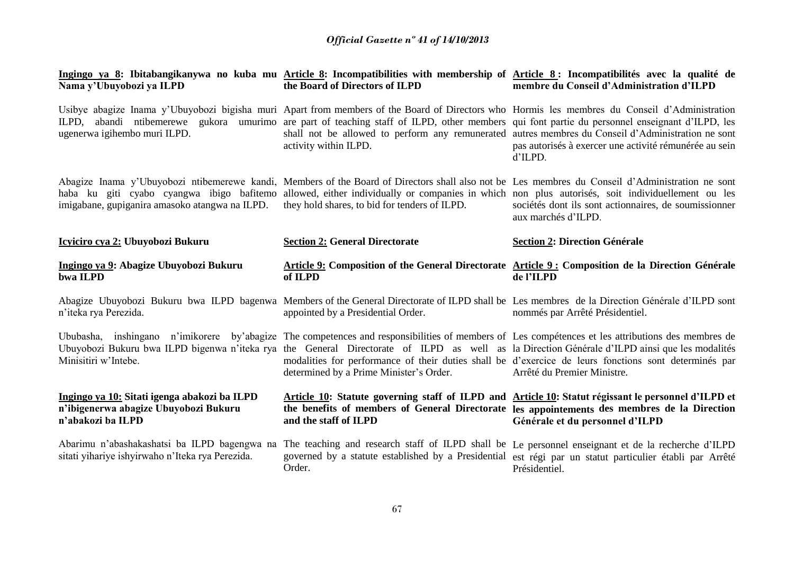| Nama y'Ubuyobozi ya ILPD                                                                                   | Ingingo ya 8: Ibitabangikanywa no kuba mu Article 8: Incompatibilities with membership of Article 8: Incompatibilités avec la qualité de<br>the Board of Directors of ILPD                                                                                                                                                                                                                                                                             | membre du Conseil d'Administration d'ILPD                                                                                                                                                                                              |
|------------------------------------------------------------------------------------------------------------|--------------------------------------------------------------------------------------------------------------------------------------------------------------------------------------------------------------------------------------------------------------------------------------------------------------------------------------------------------------------------------------------------------------------------------------------------------|----------------------------------------------------------------------------------------------------------------------------------------------------------------------------------------------------------------------------------------|
| ILPD.<br>ugenerwa igihembo muri ILPD.                                                                      | Usibye abagize Inama y'Ubuyobozi bigisha muri Apart from members of the Board of Directors who Hormis les membres du Conseil d'Administration<br>abandi ntibemerewe gukora umurimo are part of teaching staff of ILPD, other members qui font partie du personnel enseignant d'ILPD, les<br>shall not be allowed to perform any remunerated autres membres du Conseil d'Administration ne sont<br>activity within ILPD.                                | pas autorisés à exercer une activité rémunérée au sein<br>d'ILPD.                                                                                                                                                                      |
| imigabane, gupiganira amasoko atangwa na ILPD.                                                             | Abagize Inama y'Ubuyobozi ntibemerewe kandi, Members of the Board of Directors shall also not be Les membres du Conseil d'Administration ne sont<br>haba ku giti cyabo cyangwa ibigo bafitemo allowed, either individually or companies in which non plus autorisés, soit individuellement ou les<br>they hold shares, to bid for tenders of ILPD.                                                                                                     | sociétés dont ils sont actionnaires, de soumissionner<br>aux marchés d'ILPD.                                                                                                                                                           |
| Icyiciro cya 2: Ubuyobozi Bukuru                                                                           | <b>Section 2: General Directorate</b>                                                                                                                                                                                                                                                                                                                                                                                                                  | <b>Section 2: Direction Générale</b>                                                                                                                                                                                                   |
| Ingingo ya 9: Abagize Ubuyobozi Bukuru<br>bwa ILPD                                                         | Article 9: Composition of the General Directorate Article 9: Composition de la Direction Générale<br>of ILPD                                                                                                                                                                                                                                                                                                                                           | de l'ILPD                                                                                                                                                                                                                              |
| n'iteka rya Perezida.                                                                                      | Abagize Ubuyobozi Bukuru bwa ILPD bagenwa Members of the General Directorate of ILPD shall be Les membres de la Direction Générale d'ILPD sont<br>appointed by a Presidential Order.                                                                                                                                                                                                                                                                   | nommés par Arrêté Présidentiel.                                                                                                                                                                                                        |
| Minisitiri w'Intebe.                                                                                       | Ububasha, inshingano n'imikorere by abagize The competences and responsibilities of members of Les compétences et les attributions des membres de<br>Ubuyobozi Bukuru bwa ILPD bigenwa n'iteka rya the General Directorate of ILPD as well as la Direction Générale d'ILPD ainsi que les modalités<br>modalities for performance of their duties shall be d'exercice de leurs fonctions sont determinés par<br>determined by a Prime Minister's Order. | Arrêté du Premier Ministre.                                                                                                                                                                                                            |
| Ingingo ya 10: Sitati igenga abakozi ba ILPD<br>n'ibigenerwa abagize Ubuyobozi Bukuru<br>n'abakozi ba ILPD | and the staff of ILPD                                                                                                                                                                                                                                                                                                                                                                                                                                  | Article 10: Statute governing staff of ILPD and Article 10: Statut régissant le personnel d'ILPD et<br>the benefits of members of General Directorate les appointements des membres de la Direction<br>Générale et du personnel d'ILPD |
| Abarimu n'abashakashatsi ba ILPD bagengwa na<br>sitati yihariye ishyirwaho n'Iteka rya Perezida.           | The teaching and research staff of ILPD shall be Le personnel enseignant et de la recherche d'ILPD<br>governed by a statute established by a Presidential<br>Order.                                                                                                                                                                                                                                                                                    | est régi par un statut particulier établi par Arrêté<br>Présidentiel.                                                                                                                                                                  |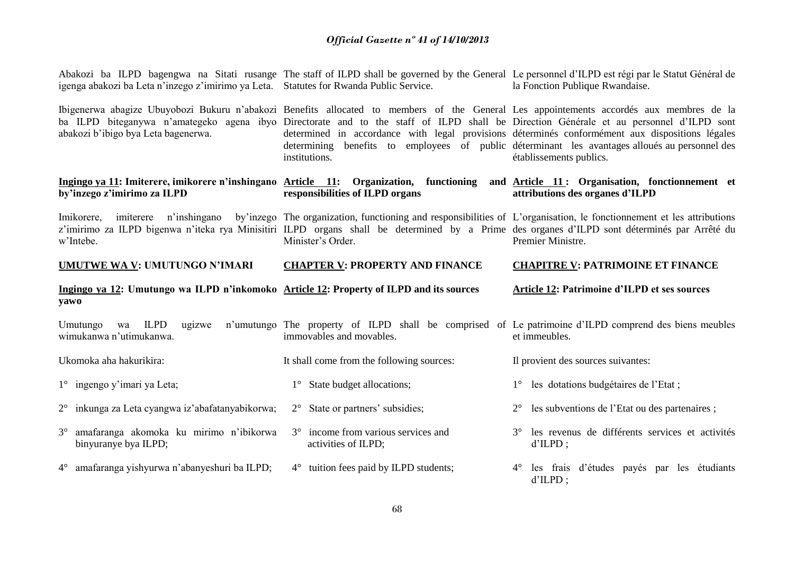| igenga abakozi ba Leta n'inzego z'imirimo ya Leta. Statutes for Rwanda Public Service.          | Abakozi ba ILPD bagengwa na Sitati rusange The staff of ILPD shall be governed by the General Le personnel d'ILPD est régi par le Statut Général de<br>la Fonction Publique Rwandaise.                                                                                                      |                                                                                                                                                                                                                                                                                                                                                                                                                                                                                                                   |
|-------------------------------------------------------------------------------------------------|---------------------------------------------------------------------------------------------------------------------------------------------------------------------------------------------------------------------------------------------------------------------------------------------|-------------------------------------------------------------------------------------------------------------------------------------------------------------------------------------------------------------------------------------------------------------------------------------------------------------------------------------------------------------------------------------------------------------------------------------------------------------------------------------------------------------------|
| abakozi b'ibigo bya Leta bagenerwa.                                                             | institutions.                                                                                                                                                                                                                                                                               | Ibigenerwa abagize Ubuyobozi Bukuru n'abakozi Benefits allocated to members of the General Les appointements accordés aux membres de la<br>ba ILPD biteganywa n'amategeko agena ibyo Directorate and to the staff of ILPD shall be Direction Générale et au personnel d'ILPD sont<br>determined in accordance with legal provisions déterminés conformément aux dispositions légales<br>determining benefits to employees of public determinant les avantages alloués au personnel des<br>établissements publics. |
| by'inzego z'imirimo za ILPD                                                                     | responsibilities of ILPD organs                                                                                                                                                                                                                                                             | Ingingo ya 11: Imiterere, imikorere n'inshingano Article 11: Organization, functioning and Article 11: Organisation, fonctionnement et<br>attributions des organes d'ILPD                                                                                                                                                                                                                                                                                                                                         |
| imiterere n'inshingano<br>Imikorere,<br>w'Intebe.                                               | by inzego. The organization, functioning and responsibilities of L'organisation, le fonctionnement et les attributions<br>z'imirimo za ILPD bigenwa n'iteka rya Minisitiri ILPD organs shall be determined by a Prime des organes d'ILPD sont déterminés par Arrêté du<br>Minister's Order. | Premier Ministre.                                                                                                                                                                                                                                                                                                                                                                                                                                                                                                 |
| UMUTWE WA V: UMUTUNGO N'IMARI                                                                   | <b>CHAPTER V: PROPERTY AND FINANCE</b>                                                                                                                                                                                                                                                      | <b>CHAPITRE V: PATRIMOINE ET FINANCE</b>                                                                                                                                                                                                                                                                                                                                                                                                                                                                          |
|                                                                                                 |                                                                                                                                                                                                                                                                                             |                                                                                                                                                                                                                                                                                                                                                                                                                                                                                                                   |
| Ingingo ya 12: Umutungo wa ILPD n'inkomoko Article 12: Property of ILPD and its sources<br>yawo |                                                                                                                                                                                                                                                                                             | Article 12: Patrimoine d'ILPD et ses sources                                                                                                                                                                                                                                                                                                                                                                                                                                                                      |
| <b>ILPD</b><br>Umutungo<br>ugizwe<br>wa<br>wimukanwa n'utimukanwa.                              | n'umutungo The property of ILPD shall be comprised of Le patrimoine d'ILPD comprend des biens meubles<br>immovables and movables.                                                                                                                                                           | et immeubles.                                                                                                                                                                                                                                                                                                                                                                                                                                                                                                     |
| Ukomoka aha hakurikira:                                                                         | It shall come from the following sources:                                                                                                                                                                                                                                                   | Il provient des sources suivantes:                                                                                                                                                                                                                                                                                                                                                                                                                                                                                |
| 1° ingengo y'imari ya Leta;                                                                     | 1° State budget allocations;                                                                                                                                                                                                                                                                | les dotations budgétaires de l'Etat;<br>$1^{\circ}$                                                                                                                                                                                                                                                                                                                                                                                                                                                               |
| $2^{\circ}$ inkunga za Leta cyangwa iz'abafatanyabikorwa;                                       | $2^{\circ}$ State or partners' subsidies;                                                                                                                                                                                                                                                   | les subventions de l'Etat ou des partenaires ;<br>$2^{\circ}$                                                                                                                                                                                                                                                                                                                                                                                                                                                     |
| amafaranga akomoka ku mirimo n'ibikorwa<br>$3^\circ$<br>binyuranye bya ILPD;                    | income from various services and<br>$3^\circ$<br>activities of ILPD;                                                                                                                                                                                                                        | les revenus de différents services et activités<br>$3^\circ$<br>$d'ILPD$ ;                                                                                                                                                                                                                                                                                                                                                                                                                                        |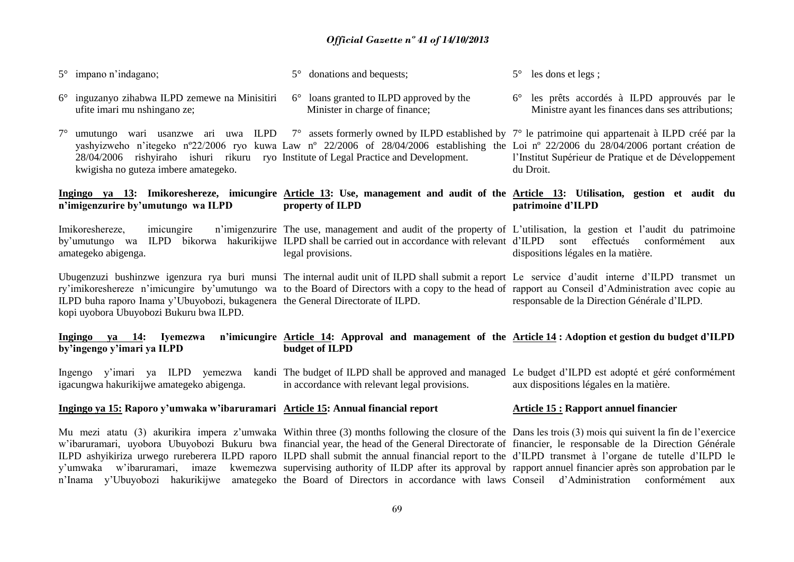| $5^{\circ}$ impano n'indagano;                                                          |             | donations and bequests;                                                 | $5^\circ$ les dons et legs;                                                                                     |
|-----------------------------------------------------------------------------------------|-------------|-------------------------------------------------------------------------|-----------------------------------------------------------------------------------------------------------------|
| $6^{\circ}$ inguzanyo zihabwa ILPD zemewe na Minisitiri<br>ufite imari mu nshingano ze; | $6^{\circ}$ | loans granted to ILPD approved by the<br>Minister in charge of finance; | 6 <sup>°</sup> les prêts accordés à ILPD approuvés par le<br>Ministre ayant les finances dans ses attributions; |

7° umutungo wari usanzwe ari uwa ILPD 7° assets formerly owned by ILPD established by 7° le patrimoine qui appartenait à ILPD créé par la yashyizweho n'itegeko nº22/2006 ryo kuwa Law nº 22/2006 of 28/04/2006 establishing the Loi nº 22/2006 du 28/04/2006 portant création de 28/04/2006 rishyiraho ishuri rikuru ryo Institute of Legal Practice and Development. kwigisha no guteza imbere amategeko. l'Institut Supérieur de Pratique et de Développement du Droit.

#### **Ingingo ya 13: Imikoreshereze, imicungire Article 13: Use, management and audit of the Article 13: Utilisation, gestion et audit du n'imigenzurire by'umutungo wa ILPD property of ILPD patrimoine d'ILPD**

Imikoreshereze, imicungire n'imigenzurire The use, management and audit of the property of L'utilisation, la gestion et l'audit du patrimoine by'umutungo wa ILPD bikorwa hakurikijwe ILPD shall be carried out in accordance with relevant d'ILPD sont effectués conformément aux amategeko abigenga. legal provisions. dispositions légales en la matière.

Ubugenzuzi bushinzwe igenzura rya buri munsi The internal audit unit of ILPD shall submit a report Le service d'audit interne d'ILPD transmet un ry'imikoreshereze n'imicungire by'umutungo wa to the Board of Directors with a copy to the head of rapport au Conseil d'Administration avec copie au ILPD buha raporo Inama y'Ubuyobozi, bukagenera the General Directorate of ILPD. kopi uyobora Ubuyobozi Bukuru bwa ILPD. responsable de la Direction Générale d'ILPD.

#### **Ingingo ya 14: Iyemezwa n'imicungire Article 14: Approval and management of the Article 14 : Adoption et gestion du budget d'ILPD by'ingengo y'imari ya ILPD budget of ILPD**

Ingengo y'imari ya ILPD yemezwa kandi The budget of ILPD shall be approved and managed Le budget d'ILPD est adopté et géré conformément igacungwa hakurikijwe amategeko abigenga. in accordance with relevant legal provisions. aux dispositions légales en la matière.

#### **Ingingo ya 15: Raporo y'umwaka w'ibaruramari Article 15: Annual financial report Article 15 : Rapport annuel financier**

Mu mezi atatu (3) akurikira impera z'umwaka Within three (3) months following the closure of the Dans les trois (3) mois qui suivent la fin de l'exercice w'ibaruramari, uyobora Ubuyobozi Bukuru bwa financial year, the head of the General Directorate of financier, le responsable de la Direction Générale ILPD ashyikiriza urwego rureberera ILPD raporo ILPD shall submit the annual financial report to the d'ILPD transmet à l'organe de tutelle d'ILPD le y'umwaka w'ibaruramari, imaze kwemezwa supervising authority of ILDP after its approval by rapport annuel financier après son approbation par le n'Inama y'Ubuyobozi hakurikijwe amategeko the Board of Directors in accordance with laws Conseil d'Administration conformément aux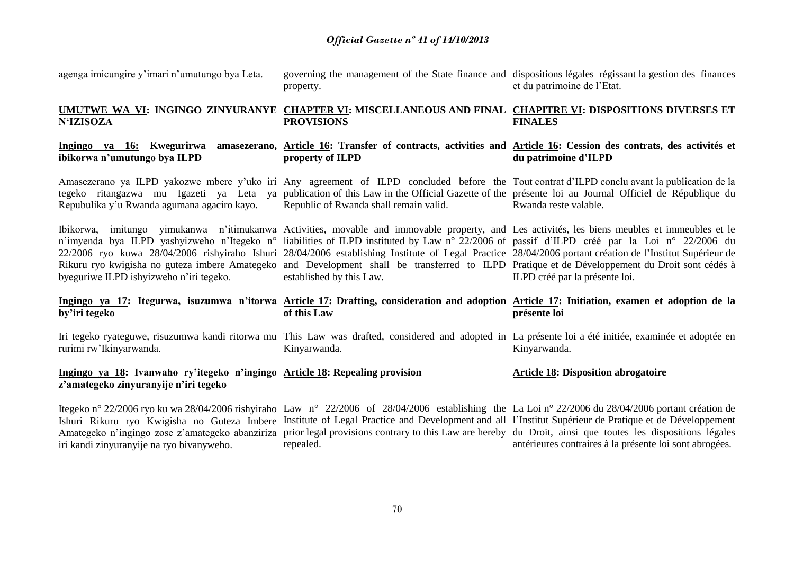agenga imicungire y'imari n'umutungo bya Leta. **UMUTWE WA VI: INGINGO ZINYURANYE CHAPTER VI: MISCELLANEOUS AND FINAL CHAPITRE VI: DISPOSITIONS DIVERSES ET N'IZISOZA Ingingo ya 16: Kwegurirwa amasezerano, Article 16: Transfer of contracts, activities and Article 16: Cession des contrats, des activités et ibikorwa n'umutungo bya ILPD** Amasezerano ya ILPD yakozwe mbere y'uko iri Any agreement of ILPD concluded before the Tout contrat d'ILPD conclu avant la publication de la tegeko ritangazwa mu Igazeti ya Leta ya publication of this Law in the Official Gazette of the présente loi au Journal Officiel de République du Repubulika y'u Rwanda agumana agaciro kayo. Ibikorwa, imitungo yimukanwa n'itimukanwa Activities, movable and immovable property, and Les activités, les biens meubles et immeubles et le n'imyenda bya ILPD yashyizweho n'Itegeko n° liabilities of ILPD instituted by Law n° 22/2006 of passif d'ILPD créé par la Loi n° 22/2006 du 22/2006 ryo kuwa 28/04/2006 rishyiraho Ishuri 28/04/2006 establishing Institute of Legal Practice 28/04/2006 portant création de l'Institut Supérieur de Rikuru ryo kwigisha no guteza imbere Amategeko and Development shall be transferred to ILPD Pratique et de Développement du Droit sont cédés à byeguriwe ILPD ishyizweho n'iri tegeko. **Ingingo ya 17: Itegurwa, isuzumwa n'itorwa Article 17: Drafting, consideration and adoption Article 17: Initiation, examen et adoption de la by'iri tegeko** Iri tegeko ryateguwe, risuzumwa kandi ritorwa mu This Law was drafted, considered and adopted in La présente loi a été initiée, examinée et adoptée en rurimi rw'Ikinyarwanda. **Ingingo ya 18: Ivanwaho ry'itegeko n'ingingo Article 18: Repealing provision z'amategeko zinyuranyije n'iri tegeko**  Itegeko n° 22/2006 ryo ku wa 28/04/2006 rishyiraho Law n° 22/2006 of 28/04/2006 establishing the La Loi n° 22/2006 du 28/04/2006 portant création de Ishuri Rikuru ryo Kwigisha no Guteza Imbere Institute of Legal Practice and Development and all l'Institut Supérieur de Pratique et de Développement governing the management of the State finance and dispositions légales régissant la gestion des finances property. **PROVISIONS property of ILPD** Republic of Rwanda shall remain valid. established by this Law. **of this Law** Kinyarwanda. et du patrimoine de l'Etat. **FINALES du patrimoine d'ILPD**  Rwanda reste valable. ILPD créé par la présente loi. **présente loi** Kinyarwanda. **Article 18: Disposition abrogatoire**

70

Amategeko n'ingingo zose z'amategeko abanziriza prior legal provisions contrary to this Law are hereby du Droit, ainsi que toutes les dispositions légales

antérieures contraires à la présente loi sont abrogées*.*

repealed.

iri kandi zinyuranyije na ryo bivanyweho.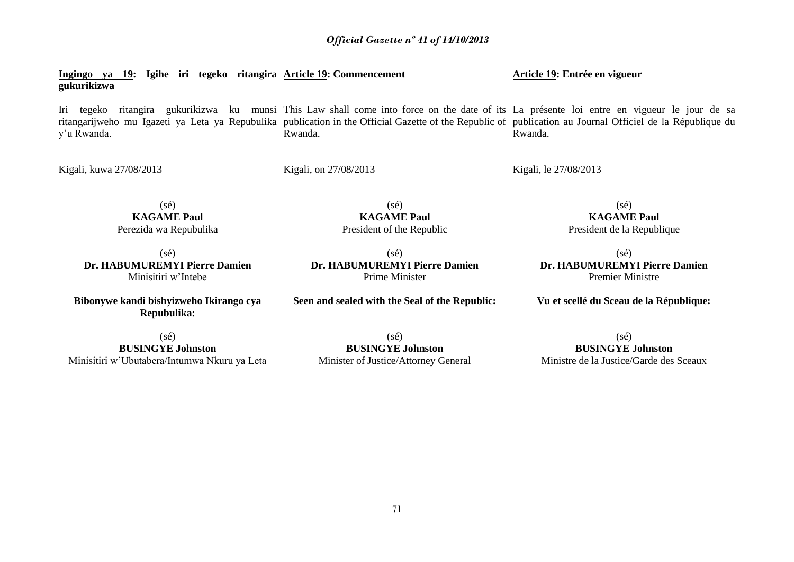**Ingingo ya 19: Igihe iri tegeko ritangira Article 19: Commencement gukurikizwa**

Iri tegeko ritangira gukurikizwa ku munsi This Law shall come into force on the date of its La présente loi entre en vigueur le jour de sa ritangarijweho mu Igazeti ya Leta ya Repubulika publication in the Official Gazette of the Republic of publication au Journal Officiel de la République du y'u Rwanda. Rwanda. Rwanda.

> (sé) **KAGAME Paul** President of the Republic

(sé) **Dr. HABUMUREMYI Pierre Damien**

Kigali, kuwa 27/08/2013

Kigali, on 27/08/2013

Kigali, le 27/08/2013

 $(sé)$ **KAGAME Paul** Perezida wa Repubulika

(sé) **Dr. HABUMUREMYI Pierre Damien** Minisitiri w'Intebe

**Bibonywe kandi bishyizweho Ikirango cya Repubulika:**

 $(s<sub>e</sub>)$ **BUSINGYE Johnston** Minisitiri w'Ubutabera/Intumwa Nkuru ya Leta (sé)

**BUSINGYE Johnston** Minister of Justice/Attorney General

(sé) **KAGAME Paul** President de la Republique

(sé) **Dr. HABUMUREMYI Pierre Damien** Premier Ministre

**Vu et scellé du Sceau de la République:**

(sé) **BUSINGYE Johnston** Ministre de la Justice/Garde des Sceaux

Prime Minister **Seen and sealed with the Seal of the Republic:** **Article 19: Entrée en vigueur**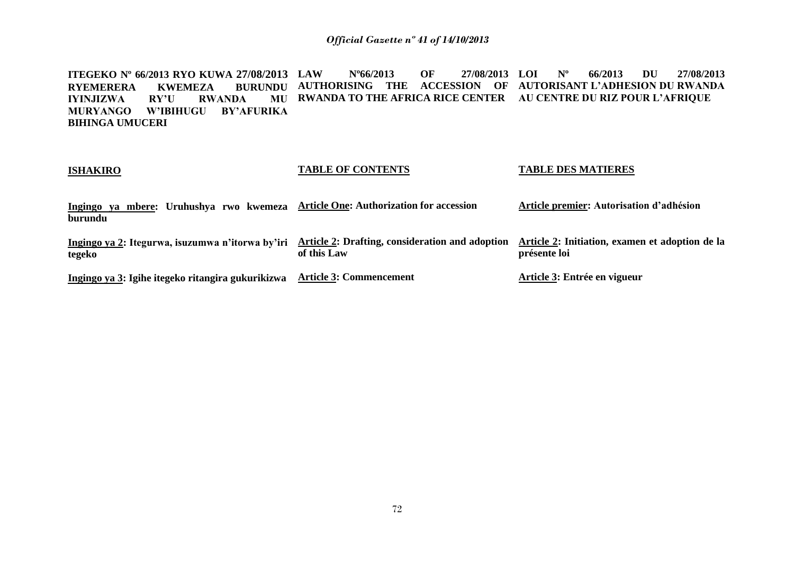**ITEGEKO Nº 66/2013 RYO KUWA 27/08/2013 RYEMERERA KWEMEZA BURUNDU RWANDA IYINJIZWA MURYANGO W'IBIHUGU BY'AFURIKA BIHINGA UMUCERI LAW Nº66/2013 OF 27/08/2013 AUTHORISING THE ACCESSION OF AUTORISANT L'ADHESION DU RWANDA RWANDA TO THE AFRICA RICE CENTER AU CENTRE DU RIZ POUR L'AFRIQUE LOI Nº 66/2013 DU 27/08/2013**

| <b>ISHAKIRO</b>                                            | <b>TABLE OF CONTENTS</b>                                              | <b>TABLE DES MATIERES</b>                                       |
|------------------------------------------------------------|-----------------------------------------------------------------------|-----------------------------------------------------------------|
| Ingingo ya mbere: Uruhushya rwo kwemeza<br>burundu         | <b>Article One: Authorization for accession</b>                       | Article premier: Autorisation d'adhésion                        |
| Ingingo ya 2: Itegurwa, isuzumwa n'itorwa by'iri<br>tegeko | <b>Article 2: Drafting, consideration and adoption</b><br>of this Law | Article 2: Initiation, examen et adoption de la<br>présente loi |
| Ingingo ya 3: Igihe itegeko ritangira gukurikizwa          | <b>Article 3: Commencement</b>                                        | Article 3: Entrée en vigueur                                    |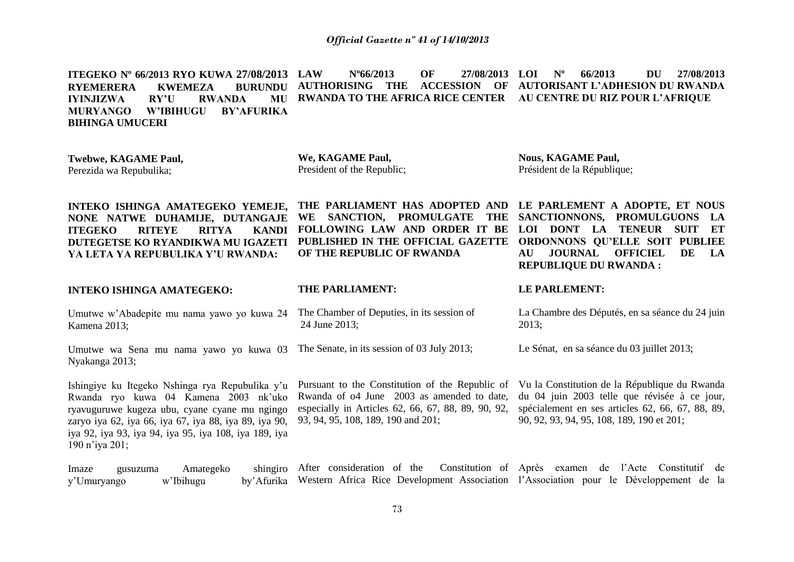## *Official Gazette nº 41 of 14/10/2013*

**ITEGEKO Nº 66/2013 RYO KUWA 27/08/2013 RYEMERERA KWEMEZA BURUNDU IYINJIZWA RY'U RWANDA MU MURYANGO W'IBIHUGU BY'AFURIKA BIHINGA UMUCERI LAW Nº66/2013 OF 27/08/2013 AUTHORISING THE ACCESSION OF AUTORISANT L'ADHESION DU RWANDA RWANDA TO THE AFRICA RICE CENTER AU CENTRE DU RIZ POUR L'AFRIQUE LOI Nº 66/2013 DU 27/08/2013**

| Twebwe, KAGAME Paul,<br>Perezida wa Repubulika;                                                                                                                                                                                                                               | We, KAGAME Paul,<br>President of the Republic;                                                                                                                                            | <b>Nous, KAGAME Paul,</b><br>Président de la République;                                                                                                                                                                                               |
|-------------------------------------------------------------------------------------------------------------------------------------------------------------------------------------------------------------------------------------------------------------------------------|-------------------------------------------------------------------------------------------------------------------------------------------------------------------------------------------|--------------------------------------------------------------------------------------------------------------------------------------------------------------------------------------------------------------------------------------------------------|
| INTEKO ISHINGA AMATEGEKO YEMEJE,<br>NONE NATWE DUHAMIJE, DUTANGAJE<br><b>ITEGEKO</b><br><b>RITYA</b><br><b>KANDI</b><br><b>RITEYE</b><br>DUTEGETSE KO RYANDIKWA MU IGAZETI<br>YA LETA YA REPUBULIKA Y'U RWANDA:                                                               | THE PARLIAMENT HAS ADOPTED AND<br>WE SANCTION, PROMULGATE<br>THE<br>FOLLOWING LAW AND ORDER IT BE<br>PUBLISHED IN THE OFFICIAL GAZETTE<br>OF THE REPUBLIC OF RWANDA                       | LE PARLEMENT A ADOPTE, ET NOUS<br>SANCTIONNONS, PROMULGUONS<br>- LA<br>DONT LA<br><b>TENEUR</b><br><b>SUIT</b><br>ET<br>LOI –<br>ORDONNONS QU'ELLE SOIT PUBLIEE<br><b>JOURNAL</b><br><b>OFFICIEL</b><br>DE<br>AU<br>LA<br><b>REPUBLIQUE DU RWANDA:</b> |
| <b>INTEKO ISHINGA AMATEGEKO:</b>                                                                                                                                                                                                                                              | THE PARLIAMENT:                                                                                                                                                                           | LE PARLEMENT:                                                                                                                                                                                                                                          |
| Umutwe w'Abadepite mu nama yawo yo kuwa 24<br>Kamena 2013;                                                                                                                                                                                                                    | The Chamber of Deputies, in its session of<br>24 June 2013;                                                                                                                               | La Chambre des Députés, en sa séance du 24 juin<br>2013;                                                                                                                                                                                               |
| Umutwe wa Sena mu nama yawo yo kuwa 03<br>Nyakanga 2013;                                                                                                                                                                                                                      | The Senate, in its session of 03 July 2013;                                                                                                                                               | Le Sénat, en sa séance du 03 juillet 2013;                                                                                                                                                                                                             |
| Ishingiye ku Itegeko Nshinga rya Repubulika y'u<br>Rwanda ryo kuwa 04 Kamena 2003 nk'uko<br>ryavuguruwe kugeza ubu, cyane cyane mu ngingo<br>zaryo iya 62, iya 66, iya 67, iya 88, iya 89, iya 90,<br>iya 92, iya 93, iya 94, iya 95, iya 108, iya 189, iya<br>190 n'iya 201; | Pursuant to the Constitution of the Republic of<br>Rwanda of 04 June 2003 as amended to date,<br>especially in Articles 62, 66, 67, 88, 89, 90, 92,<br>93, 94, 95, 108, 189, 190 and 201; | Vu la Constitution de la République du Rwanda<br>du 04 juin 2003 telle que révisée à ce jour,<br>spécialement en ses articles 62, 66, 67, 88, 89,<br>90, 92, 93, 94, 95, 108, 189, 190 et 201;                                                         |
| shingiro<br>Amategeko<br>Imaze<br>gusuzuma<br>w'Ibihugu<br>by' Afurika<br>y'Umuryango                                                                                                                                                                                         | After consideration of the<br>Western Africa Rice Development Association l'Association pour le Développement de la                                                                       | Constitution of Après examen<br>l'Acte Constitutif de<br>de                                                                                                                                                                                            |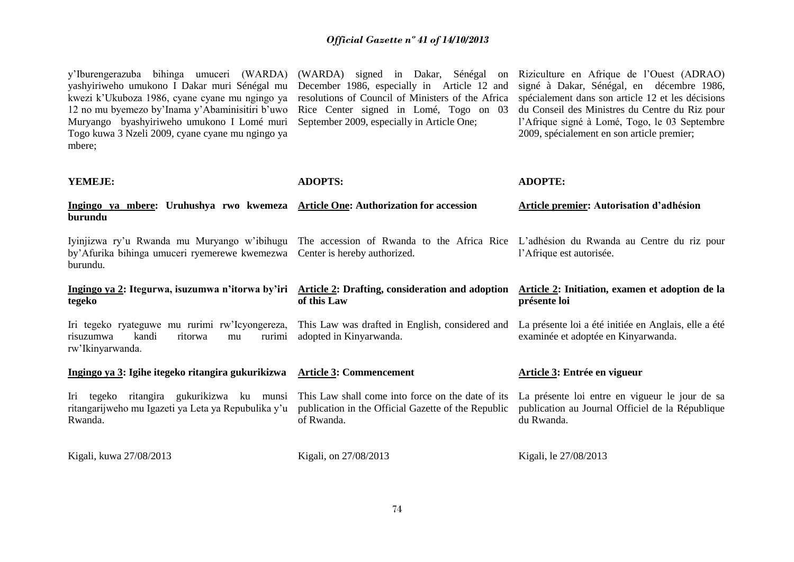| y'Iburengerazuba bihinga umuceri (WARDA)<br>yashyiriweho umukono I Dakar muri Sénégal mu<br>kwezi k'Ukuboza 1986, cyane cyane mu ngingo ya<br>12 no mu byemezo by'Inama y'Abaminisitiri b'uwo<br>Muryango byashyiriweho umukono I Lomé muri<br>Togo kuwa 3 Nzeli 2009, cyane cyane mu ngingo ya<br>mbere; | (WARDA) signed in Dakar, Sénégal<br><sub>on</sub><br>December 1986, especially in Article 12 and<br>resolutions of Council of Ministers of the Africa<br>Rice Center signed in Lomé, Togo on 03<br>September 2009, especially in Article One; | Riziculture en Afrique de l'Ouest (ADRAO)<br>signé à Dakar, Sénégal, en décembre 1986,<br>spécialement dans son article 12 et les décisions<br>du Conseil des Ministres du Centre du Riz pour<br>l'Afrique signé à Lomé, Togo, le 03 Septembre<br>2009, spécialement en son article premier; |
|-----------------------------------------------------------------------------------------------------------------------------------------------------------------------------------------------------------------------------------------------------------------------------------------------------------|-----------------------------------------------------------------------------------------------------------------------------------------------------------------------------------------------------------------------------------------------|----------------------------------------------------------------------------------------------------------------------------------------------------------------------------------------------------------------------------------------------------------------------------------------------|
| YEMEJE:                                                                                                                                                                                                                                                                                                   | <b>ADOPTS:</b>                                                                                                                                                                                                                                | <b>ADOPTE:</b>                                                                                                                                                                                                                                                                               |
| Ingingo ya mbere: Uruhushya rwo kwemeza<br>burundu                                                                                                                                                                                                                                                        | <b>Article One: Authorization for accession</b>                                                                                                                                                                                               | Article premier: Autorisation d'adhésion                                                                                                                                                                                                                                                     |
| Iyinjizwa ry'u Rwanda mu Muryango w'ibihugu<br>by'Afurika bihinga umuceri ryemerewe kwemezwa<br>burundu.                                                                                                                                                                                                  | The accession of Rwanda to the Africa Rice L'adhésion du Rwanda au Centre du riz pour<br>Center is hereby authorized.                                                                                                                         | l'Afrique est autorisée.                                                                                                                                                                                                                                                                     |
| Ingingo ya 2: Itegurwa, isuzumwa n'itorwa by'iri Article 2: Drafting, consideration and adoption<br>tegeko                                                                                                                                                                                                | of this Law                                                                                                                                                                                                                                   | Article 2: Initiation, examen et adoption de la<br>présente loi                                                                                                                                                                                                                              |
| Iri tegeko ryateguwe mu rurimi rw'Icyongereza,<br>kandi<br>risuzumwa<br>ritorwa<br>rurimi<br>mu<br>rw'Ikinyarwanda.                                                                                                                                                                                       | This Law was drafted in English, considered and<br>adopted in Kinyarwanda.                                                                                                                                                                    | La présente loi a été initiée en Anglais, elle a été<br>examinée et adoptée en Kinyarwanda.                                                                                                                                                                                                  |
| Ingingo ya 3: Igihe itegeko ritangira gukurikizwa Article 3: Commencement                                                                                                                                                                                                                                 |                                                                                                                                                                                                                                               | Article 3: Entrée en vigueur                                                                                                                                                                                                                                                                 |
| Iri tegeko ritangira gukurikizwa ku munsi<br>ritangarijweho mu Igazeti ya Leta ya Repubulika y'u<br>Rwanda.                                                                                                                                                                                               | This Law shall come into force on the date of its<br>publication in the Official Gazette of the Republic<br>of Rwanda.                                                                                                                        | La présente loi entre en vigueur le jour de sa<br>publication au Journal Officiel de la République<br>du Rwanda.                                                                                                                                                                             |
| Kigali, kuwa 27/08/2013                                                                                                                                                                                                                                                                                   | Kigali, on 27/08/2013                                                                                                                                                                                                                         | Kigali, le 27/08/2013                                                                                                                                                                                                                                                                        |